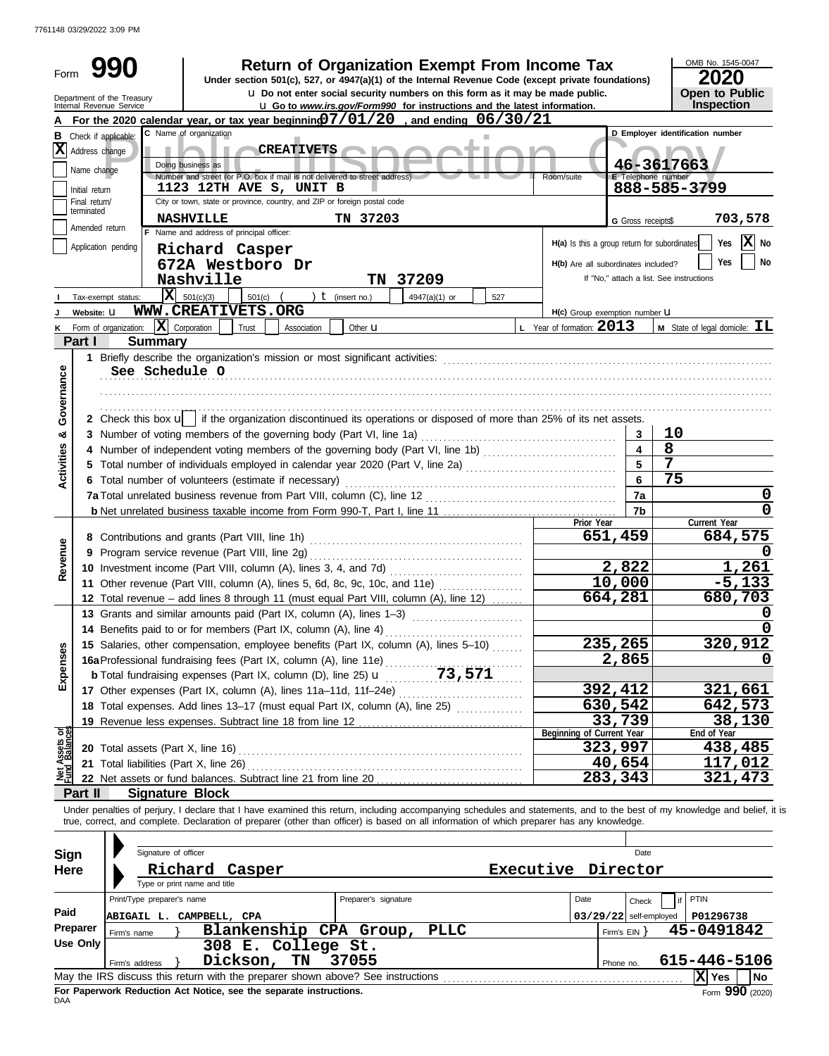7761148 03/29/2022 3:09 PM

|                                |                             | 990                                                    |                                                                            | <b>Return of Organization Exempt From Income Tax</b>                                                                                                                                                                                                                                                                     |     |                                              |                           | OMB No. 1545-0047                               |
|--------------------------------|-----------------------------|--------------------------------------------------------|----------------------------------------------------------------------------|--------------------------------------------------------------------------------------------------------------------------------------------------------------------------------------------------------------------------------------------------------------------------------------------------------------------------|-----|----------------------------------------------|---------------------------|-------------------------------------------------|
| Form                           |                             |                                                        |                                                                            | Under section 501(c), 527, or 4947(a)(1) of the Internal Revenue Code (except private foundations)                                                                                                                                                                                                                       |     |                                              |                           | 2020                                            |
|                                |                             | Department of the Treasury<br>Internal Revenue Service |                                                                            | <b>u</b> Do not enter social security numbers on this form as it may be made public.                                                                                                                                                                                                                                     |     |                                              |                           | <b>Open to Public</b>                           |
|                                |                             |                                                        |                                                                            | <b>u</b> Go to www.irs.gov/Form990 for instructions and the latest information.                                                                                                                                                                                                                                          |     |                                              |                           | Inspection                                      |
|                                |                             | C Name of organization                                 |                                                                            | For the 2020 calendar year, or tax year beginning $7/01/20$ , and ending $06/30/21$                                                                                                                                                                                                                                      |     |                                              |                           | D Employer identification number                |
| X                              |                             | <b>B</b> Check if applicable:                          | <b>CREATIVETS</b>                                                          |                                                                                                                                                                                                                                                                                                                          |     |                                              |                           |                                                 |
|                                | Address change              | Doing business as                                      |                                                                            |                                                                                                                                                                                                                                                                                                                          |     |                                              |                           | 46-3617663                                      |
|                                | Name change                 |                                                        | Number and street (or P.O. box if mail is not delivered to street address) |                                                                                                                                                                                                                                                                                                                          |     | Room/suite                                   | <b>E</b> Telephone number |                                                 |
|                                | Initial return              |                                                        | 1123 12TH AVE S, UNIT B                                                    |                                                                                                                                                                                                                                                                                                                          |     |                                              |                           | 888-585-3799                                    |
|                                | Final return/<br>terminated |                                                        | City or town, state or province, country, and ZIP or foreign postal code   |                                                                                                                                                                                                                                                                                                                          |     |                                              |                           |                                                 |
|                                | Amended return              | <b>NASHVILLE</b>                                       |                                                                            | TN 37203                                                                                                                                                                                                                                                                                                                 |     |                                              | G Gross receipts\$        | 703,578                                         |
|                                |                             |                                                        | F Name and address of principal officer:                                   |                                                                                                                                                                                                                                                                                                                          |     | H(a) Is this a group return for subordinates |                           | Yes $X$ No                                      |
|                                |                             | Application pending                                    | Richard Casper                                                             |                                                                                                                                                                                                                                                                                                                          |     |                                              |                           | Yes<br>No                                       |
|                                |                             |                                                        | 672A Westboro Dr                                                           |                                                                                                                                                                                                                                                                                                                          |     | H(b) Are all subordinates included?          |                           | If "No," attach a list. See instructions        |
|                                |                             | Nashville                                              |                                                                            | TN 37209                                                                                                                                                                                                                                                                                                                 |     |                                              |                           |                                                 |
|                                |                             | $ \mathbf{X} $ 501(c)(3)<br>Tax-exempt status:         | 501(c)<br>WWW.CREATIVETS.ORG                                               | ) $t$ (insert no.)<br>4947(a)(1) or                                                                                                                                                                                                                                                                                      | 527 |                                              |                           |                                                 |
|                                | Website: U                  | $\mathbf{X}$ Corporation                               |                                                                            |                                                                                                                                                                                                                                                                                                                          |     | H(c) Group exemption number <b>U</b>         |                           |                                                 |
| Κ                              | Part I                      | Form of organization:                                  | Trust<br>Association                                                       | Other <b>u</b>                                                                                                                                                                                                                                                                                                           |     | L Year of formation: $2013$                  |                           | <b>M</b> State of legal domicile: $\mathbf{IL}$ |
|                                |                             | <b>Summary</b>                                         |                                                                            |                                                                                                                                                                                                                                                                                                                          |     |                                              |                           |                                                 |
|                                |                             | See Schedule O                                         |                                                                            |                                                                                                                                                                                                                                                                                                                          |     |                                              |                           |                                                 |
| Governance                     |                             |                                                        |                                                                            |                                                                                                                                                                                                                                                                                                                          |     |                                              |                           |                                                 |
|                                |                             |                                                        |                                                                            |                                                                                                                                                                                                                                                                                                                          |     |                                              |                           |                                                 |
|                                |                             |                                                        |                                                                            | 2 Check this box $\mathbf{u}$ if the organization discontinued its operations or disposed of more than 25% of its net assets.                                                                                                                                                                                            |     |                                              |                           |                                                 |
| య                              |                             |                                                        |                                                                            |                                                                                                                                                                                                                                                                                                                          |     |                                              | 3                         | 10                                              |
|                                |                             |                                                        |                                                                            | 4 Number of independent voting members of the governing body (Part VI, line 1b)                                                                                                                                                                                                                                          |     |                                              | 4                         | 8                                               |
|                                |                             |                                                        |                                                                            | 5 Total number of individuals employed in calendar year 2020 (Part V, line 2a) [[[[[[[[[[[[[[[[[[[[[[[[[[[[[[[                                                                                                                                                                                                           |     |                                              | 5                         | 7                                               |
| <b>Activities</b>              |                             |                                                        | 6 Total number of volunteers (estimate if necessary)                       |                                                                                                                                                                                                                                                                                                                          |     |                                              | 6                         | 75                                              |
|                                |                             |                                                        |                                                                            |                                                                                                                                                                                                                                                                                                                          |     |                                              | 7a                        | 0                                               |
|                                |                             |                                                        |                                                                            |                                                                                                                                                                                                                                                                                                                          |     |                                              | 7b                        | 0                                               |
|                                |                             |                                                        |                                                                            |                                                                                                                                                                                                                                                                                                                          |     | Prior Year                                   |                           | Current Year                                    |
|                                |                             |                                                        |                                                                            |                                                                                                                                                                                                                                                                                                                          |     | 651,459                                      |                           | 684,575                                         |
|                                |                             |                                                        | 9 Program service revenue (Part VIII, line 2g)                             |                                                                                                                                                                                                                                                                                                                          |     |                                              |                           |                                                 |
| Revenue                        |                             |                                                        |                                                                            |                                                                                                                                                                                                                                                                                                                          |     |                                              | 2,822                     | 1,261                                           |
|                                |                             |                                                        |                                                                            | 11 Other revenue (Part VIII, column (A), lines 5, 6d, 8c, 9c, 10c, and 11e)                                                                                                                                                                                                                                              |     |                                              | 10,000                    | $-5, 133$                                       |
|                                |                             |                                                        |                                                                            | 12 Total revenue - add lines 8 through 11 (must equal Part VIII, column (A), line 12)                                                                                                                                                                                                                                    |     | 664,281                                      |                           | 680,703                                         |
|                                |                             |                                                        |                                                                            | 13 Grants and similar amounts paid (Part IX, column (A), lines 1-3)                                                                                                                                                                                                                                                      |     |                                              |                           | ν                                               |
|                                |                             |                                                        | 14 Benefits paid to or for members (Part IX, column (A), line 4)           |                                                                                                                                                                                                                                                                                                                          |     |                                              |                           | $\overline{0}$                                  |
|                                |                             |                                                        |                                                                            | 15 Salaries, other compensation, employee benefits (Part IX, column (A), lines 5-10)                                                                                                                                                                                                                                     |     | 235,265                                      |                           | 320,912                                         |
| Expenses                       |                             |                                                        |                                                                            | 16a Professional fundraising fees (Part IX, column (A), line 11e)<br>b Total fundraising expenses (Part IX, column (D), line 25) <b>u</b> 73, 571                                                                                                                                                                        |     |                                              | 2,865                     | 0                                               |
|                                |                             |                                                        |                                                                            |                                                                                                                                                                                                                                                                                                                          |     |                                              |                           |                                                 |
|                                |                             |                                                        |                                                                            | 17 Other expenses (Part IX, column (A), lines 11a-11d, 11f-24e)                                                                                                                                                                                                                                                          |     | 392,412                                      |                           | 321,661                                         |
|                                |                             |                                                        |                                                                            |                                                                                                                                                                                                                                                                                                                          |     | 630,542                                      |                           | 642,573                                         |
|                                |                             |                                                        | 19 Revenue less expenses. Subtract line 18 from line 12                    |                                                                                                                                                                                                                                                                                                                          |     |                                              | 33,739                    | 38,130                                          |
| Net Assets or<br>Fund Balances |                             |                                                        |                                                                            |                                                                                                                                                                                                                                                                                                                          |     | Beginning of Current Year                    |                           | End of Year                                     |
|                                |                             |                                                        |                                                                            |                                                                                                                                                                                                                                                                                                                          |     | 323,997                                      |                           | 438,485                                         |
|                                |                             |                                                        |                                                                            |                                                                                                                                                                                                                                                                                                                          |     |                                              | 40,654                    | 117,012                                         |
|                                |                             |                                                        |                                                                            |                                                                                                                                                                                                                                                                                                                          |     | 283,343                                      |                           | 321,473                                         |
|                                | Part II                     | <b>Signature Block</b>                                 |                                                                            |                                                                                                                                                                                                                                                                                                                          |     |                                              |                           |                                                 |
|                                |                             |                                                        |                                                                            | Under penalties of perjury, I declare that I have examined this return, including accompanying schedules and statements, and to the best of my knowledge and belief, it is<br>true, correct, and complete. Declaration of preparer (other than officer) is based on all information of which preparer has any knowledge. |     |                                              |                           |                                                 |
|                                |                             |                                                        |                                                                            |                                                                                                                                                                                                                                                                                                                          |     |                                              |                           |                                                 |
|                                |                             | Signature of officer                                   |                                                                            |                                                                                                                                                                                                                                                                                                                          |     |                                              | Date                      |                                                 |
| Sign                           |                             |                                                        |                                                                            |                                                                                                                                                                                                                                                                                                                          |     |                                              |                           |                                                 |
| <b>Here</b>                    |                             | Richard                                                | Casper                                                                     |                                                                                                                                                                                                                                                                                                                          |     | Executive Director                           |                           |                                                 |
|                                |                             | Type or print name and title                           |                                                                            | Preparer's signature                                                                                                                                                                                                                                                                                                     |     | Date                                         |                           | <b>PTIN</b>                                     |
| Paid                           |                             | Print/Type preparer's name                             |                                                                            |                                                                                                                                                                                                                                                                                                                          |     |                                              | Check                     |                                                 |
|                                | Preparer                    | ABIGAIL L. CAMPBELL, CPA                               |                                                                            |                                                                                                                                                                                                                                                                                                                          |     | $03/29/22$ self-employed                     |                           | P01296738                                       |
|                                | <b>Use Only</b>             | Firm's name                                            | Blankenship CPA Group,                                                     | <b>PLLC</b>                                                                                                                                                                                                                                                                                                              |     |                                              | Firm's $EIN$ }            | 45-0491842                                      |
|                                |                             |                                                        | 308 E. College St.                                                         |                                                                                                                                                                                                                                                                                                                          |     |                                              |                           |                                                 |
|                                |                             | Firm's address                                         | Dickson,<br>TN                                                             | 37055                                                                                                                                                                                                                                                                                                                    |     |                                              | Phone no.                 | 615-446-5106                                    |
|                                |                             |                                                        |                                                                            |                                                                                                                                                                                                                                                                                                                          |     |                                              |                           | X Yes<br><b>No</b>                              |

|     | Firm's address | Dickson, TN                                                        | 37055                                                                           | Phone no. | 615-446-5106 |                 |      |
|-----|----------------|--------------------------------------------------------------------|---------------------------------------------------------------------------------|-----------|--------------|-----------------|------|
|     |                |                                                                    | May the IRS discuss this return with the preparer shown above? See instructions |           |              | ∣X  Yes         | l No |
| DAA |                | For Paperwork Reduction Act Notice, see the separate instructions. |                                                                                 |           |              | Form 990 (2020) |      |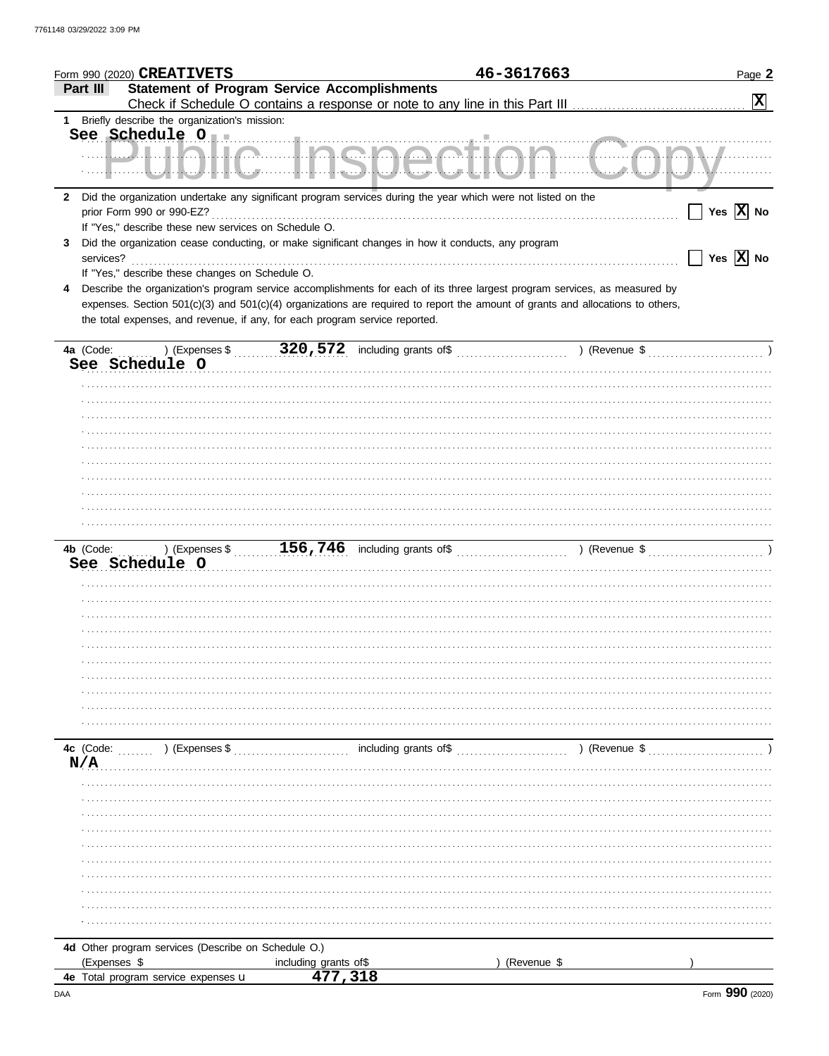|                | Form 990 (2020) CREATIVETS                           |                                                                                                                                                                                                                                                                                                                                             | 46-3617663  | Page 2                                      |
|----------------|------------------------------------------------------|---------------------------------------------------------------------------------------------------------------------------------------------------------------------------------------------------------------------------------------------------------------------------------------------------------------------------------------------|-------------|---------------------------------------------|
| Part III       |                                                      | <b>Statement of Program Service Accomplishments</b>                                                                                                                                                                                                                                                                                         |             |                                             |
|                |                                                      |                                                                                                                                                                                                                                                                                                                                             |             | $\boxed{\mathbf{X}}$                        |
|                | 1 Briefly describe the organization's mission:       |                                                                                                                                                                                                                                                                                                                                             |             |                                             |
|                |                                                      | ┈┈╢┈┈┄┖ <u>╱┨┧┡╌┦╂╂┖╍</u> ╝┈┈┈┋┦┠┈┋┍ <u>═┙┡╾┛┡╼┛┡╼┛</u> ┖╾┇┸┖╌┛┦┈┋╌┈┈┡╌┈┸┺╍┙┸┺╍┙                                                                                                                                                                                                                                                            |             | See Schedule 011<br>MONAGA MONAGA MONAGA MU |
|                | prior Form 990 or 990-EZ?                            | 2 Did the organization undertake any significant program services during the year which were not listed on the                                                                                                                                                                                                                              |             | Yes $\overline{X}$ No                       |
| 3<br>services? | If "Yes," describe these new services on Schedule O. | Did the organization cease conducting, or make significant changes in how it conducts, any program                                                                                                                                                                                                                                          |             | Yes $\boxed{\mathbf{X}}$ No                 |
|                | If "Yes," describe these changes on Schedule O.      |                                                                                                                                                                                                                                                                                                                                             |             |                                             |
| 4              |                                                      | Describe the organization's program service accomplishments for each of its three largest program services, as measured by<br>expenses. Section 501(c)(3) and 501(c)(4) organizations are required to report the amount of grants and allocations to others,<br>the total expenses, and revenue, if any, for each program service reported. |             |                                             |
|                |                                                      |                                                                                                                                                                                                                                                                                                                                             |             |                                             |
|                | See Schedule O                                       |                                                                                                                                                                                                                                                                                                                                             |             |                                             |
|                |                                                      |                                                                                                                                                                                                                                                                                                                                             |             |                                             |
|                |                                                      |                                                                                                                                                                                                                                                                                                                                             |             |                                             |
|                |                                                      |                                                                                                                                                                                                                                                                                                                                             |             |                                             |
|                |                                                      |                                                                                                                                                                                                                                                                                                                                             |             |                                             |
|                |                                                      |                                                                                                                                                                                                                                                                                                                                             |             |                                             |
|                |                                                      |                                                                                                                                                                                                                                                                                                                                             |             |                                             |
|                |                                                      |                                                                                                                                                                                                                                                                                                                                             |             |                                             |
|                | See Schedule O                                       |                                                                                                                                                                                                                                                                                                                                             |             |                                             |
|                |                                                      |                                                                                                                                                                                                                                                                                                                                             |             |                                             |
|                |                                                      |                                                                                                                                                                                                                                                                                                                                             |             |                                             |
|                |                                                      |                                                                                                                                                                                                                                                                                                                                             |             |                                             |
|                |                                                      |                                                                                                                                                                                                                                                                                                                                             |             |                                             |
|                |                                                      |                                                                                                                                                                                                                                                                                                                                             |             |                                             |
|                |                                                      |                                                                                                                                                                                                                                                                                                                                             |             |                                             |
|                |                                                      |                                                                                                                                                                                                                                                                                                                                             |             |                                             |
|                |                                                      | $\frac{1}{2}$ including grants of \$                                                                                                                                                                                                                                                                                                        |             | ) (Revenue \$                               |
| N/A            | <b>4c</b> (Code: $\ldots$ ) (Expenses \$             |                                                                                                                                                                                                                                                                                                                                             |             |                                             |
|                |                                                      |                                                                                                                                                                                                                                                                                                                                             |             |                                             |
|                |                                                      |                                                                                                                                                                                                                                                                                                                                             |             |                                             |
|                |                                                      |                                                                                                                                                                                                                                                                                                                                             |             |                                             |
|                |                                                      |                                                                                                                                                                                                                                                                                                                                             |             |                                             |
|                |                                                      |                                                                                                                                                                                                                                                                                                                                             |             |                                             |
|                |                                                      |                                                                                                                                                                                                                                                                                                                                             |             |                                             |
|                |                                                      |                                                                                                                                                                                                                                                                                                                                             |             |                                             |
|                | 4d Other program services (Describe on Schedule O.)  |                                                                                                                                                                                                                                                                                                                                             |             |                                             |
| (Expenses \$   |                                                      | including grants of\$                                                                                                                                                                                                                                                                                                                       | (Revenue \$ |                                             |
|                | 4e Total program service expenses u                  | 477,318                                                                                                                                                                                                                                                                                                                                     |             |                                             |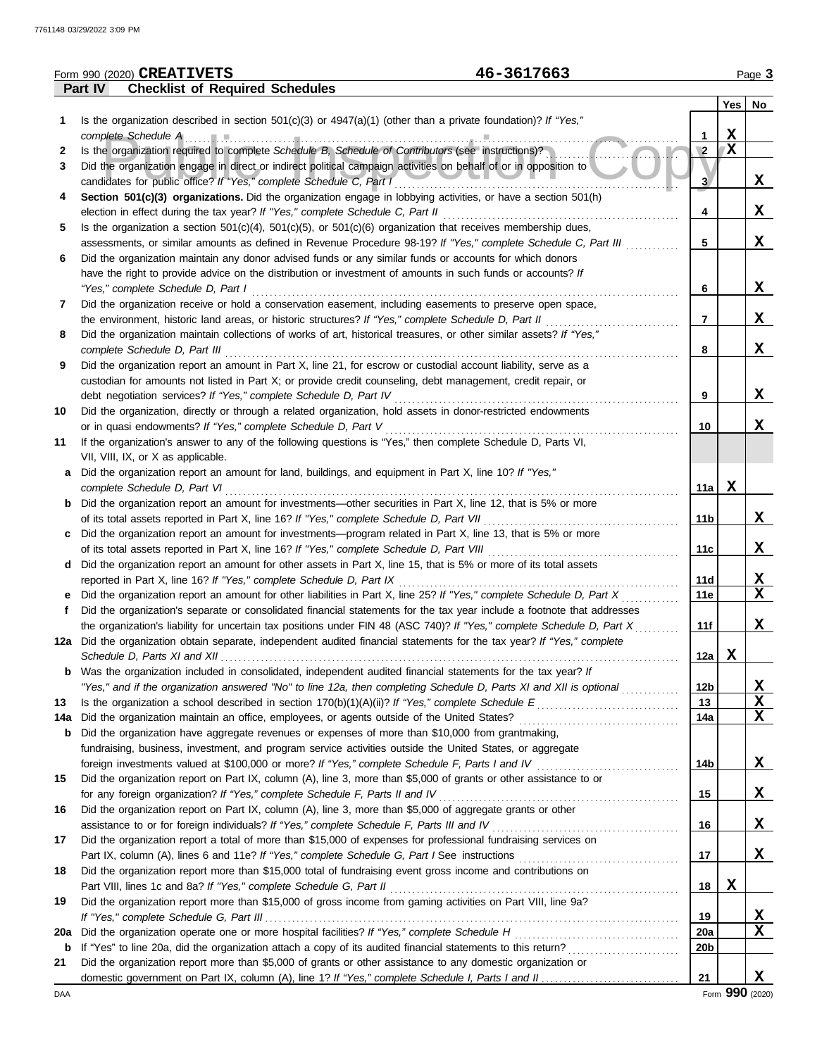|     | 46-3617663<br>Form 990 (2020) CREATIVETS                                                                                |                 |             | Page 3          |
|-----|-------------------------------------------------------------------------------------------------------------------------|-----------------|-------------|-----------------|
|     | <b>Checklist of Required Schedules</b><br><b>Part IV</b>                                                                |                 |             |                 |
|     |                                                                                                                         |                 |             | Yes   No        |
| 1.  | Is the organization described in section $501(c)(3)$ or $4947(a)(1)$ (other than a private foundation)? If "Yes,"       |                 |             |                 |
|     | complete Schedule A example and the schedule A complete Schedule A and the set of the schedule A and the schedule A     | 1               | X           |                 |
| 2   | Is the organization required to complete Schedule B, Schedule of Contributors (see instructions)?                       | $\overline{2}$  | $\mathbf X$ |                 |
| 3   | Did the organization engage in direct or indirect political campaign activities on behalf of or in opposition to        |                 |             |                 |
|     | candidates for public office? If "Yes," complete Schedule C, Part I                                                     | 3               |             | x               |
| 4   | Section 501(c)(3) organizations. Did the organization engage in lobbying activities, or have a section 501(h)           |                 |             |                 |
|     | election in effect during the tax year? If "Yes," complete Schedule C, Part II                                          | 4               |             | X               |
| 5   | Is the organization a section $501(c)(4)$ , $501(c)(5)$ , or $501(c)(6)$ organization that receives membership dues,    |                 |             |                 |
|     | assessments, or similar amounts as defined in Revenue Procedure 98-19? If "Yes," complete Schedule C, Part III          | 5               |             | X               |
| 6   | Did the organization maintain any donor advised funds or any similar funds or accounts for which donors                 |                 |             |                 |
|     | have the right to provide advice on the distribution or investment of amounts in such funds or accounts? If             |                 |             |                 |
|     | "Yes," complete Schedule D, Part I                                                                                      | 6               |             | X               |
| 7   | Did the organization receive or hold a conservation easement, including easements to preserve open space,               |                 |             |                 |
|     | the environment, historic land areas, or historic structures? If "Yes," complete Schedule D, Part II                    | 7               |             | X               |
| 8   | Did the organization maintain collections of works of art, historical treasures, or other similar assets? If "Yes,"     |                 |             |                 |
|     | complete Schedule D, Part III                                                                                           | 8               |             | X               |
| 9   | Did the organization report an amount in Part X, line 21, for escrow or custodial account liability, serve as a         |                 |             |                 |
|     | custodian for amounts not listed in Part X; or provide credit counseling, debt management, credit repair, or            |                 |             |                 |
|     | debt negotiation services? If "Yes," complete Schedule D, Part IV                                                       | 9               |             | X               |
| 10  | Did the organization, directly or through a related organization, hold assets in donor-restricted endowments            |                 |             |                 |
|     | or in quasi endowments? If "Yes," complete Schedule D, Part V                                                           | 10              |             | X               |
| 11  | If the organization's answer to any of the following questions is "Yes," then complete Schedule D, Parts VI,            |                 |             |                 |
|     | VII, VIII, IX, or X as applicable.                                                                                      |                 |             |                 |
| а   | Did the organization report an amount for land, buildings, and equipment in Part X, line 10? If "Yes,"                  |                 |             |                 |
|     | complete Schedule D, Part VI                                                                                            | 11a             | X           |                 |
| b   | Did the organization report an amount for investments—other securities in Part X, line 12, that is 5% or more           |                 |             |                 |
|     |                                                                                                                         | 11b             |             | X               |
| c   | Did the organization report an amount for investments—program related in Part X, line 13, that is 5% or more            |                 |             |                 |
|     |                                                                                                                         | 11c             |             | X               |
| d   | Did the organization report an amount for other assets in Part X, line 15, that is 5% or more of its total assets       |                 |             |                 |
|     | reported in Part X, line 16? If "Yes," complete Schedule D, Part IX                                                     | 11d             |             | X               |
|     | Did the organization report an amount for other liabilities in Part X, line 25? If "Yes," complete Schedule D, Part X   | 11e             |             | $\mathbf x$     |
|     | Did the organization's separate or consolidated financial statements for the tax year include a footnote that addresses |                 |             |                 |
|     | the organization's liability for uncertain tax positions under FIN 48 (ASC 740)? If "Yes," complete Schedule D, Part X  | 11f             |             | X               |
|     | 12a Did the organization obtain separate, independent audited financial statements for the tax year? If "Yes," complete |                 |             |                 |
|     |                                                                                                                         | 12a             | X           |                 |
| b   | Was the organization included in consolidated, independent audited financial statements for the tax year? If            |                 |             |                 |
|     | "Yes," and if the organization answered "No" to line 12a, then completing Schedule D, Parts XI and XII is optional      | 12b             |             | X               |
| 13  | Is the organization a school described in section $170(b)(1)(A)(ii)?$ If "Yes," complete Schedule E                     | 13              |             | X               |
| 14a | Did the organization maintain an office, employees, or agents outside of the United States?                             | 14a             |             | X               |
| b   | Did the organization have aggregate revenues or expenses of more than \$10,000 from grantmaking,                        |                 |             |                 |
|     | fundraising, business, investment, and program service activities outside the United States, or aggregate               |                 |             |                 |
|     | foreign investments valued at \$100,000 or more? If "Yes," complete Schedule F, Parts I and IV [[[[[[[[[[[[[[[[         | 14b             |             | X               |
| 15  | Did the organization report on Part IX, column (A), line 3, more than \$5,000 of grants or other assistance to or       |                 |             |                 |
|     | for any foreign organization? If "Yes," complete Schedule F, Parts II and IV                                            | 15              |             | X               |
| 16  | Did the organization report on Part IX, column (A), line 3, more than \$5,000 of aggregate grants or other              |                 |             |                 |
|     |                                                                                                                         | 16              |             | X               |
| 17  | Did the organization report a total of more than \$15,000 of expenses for professional fundraising services on          |                 |             |                 |
|     |                                                                                                                         | 17              |             | x               |
| 18  | Did the organization report more than \$15,000 total of fundraising event gross income and contributions on             |                 |             |                 |
|     | Part VIII, lines 1c and 8a? If "Yes," complete Schedule G, Part II                                                      | 18              | X           |                 |
| 19  | Did the organization report more than \$15,000 of gross income from gaming activities on Part VIII, line 9a?            |                 |             |                 |
|     |                                                                                                                         | 19              |             | X               |
| 20a | Did the organization operate one or more hospital facilities? If "Yes," complete Schedule H                             | <b>20a</b>      |             | $\mathbf X$     |
| b   |                                                                                                                         | 20 <sub>b</sub> |             |                 |
| 21  | Did the organization report more than \$5,000 of grants or other assistance to any domestic organization or             |                 |             |                 |
|     |                                                                                                                         | 21              |             | X               |
| DAA |                                                                                                                         |                 |             | Form 990 (2020) |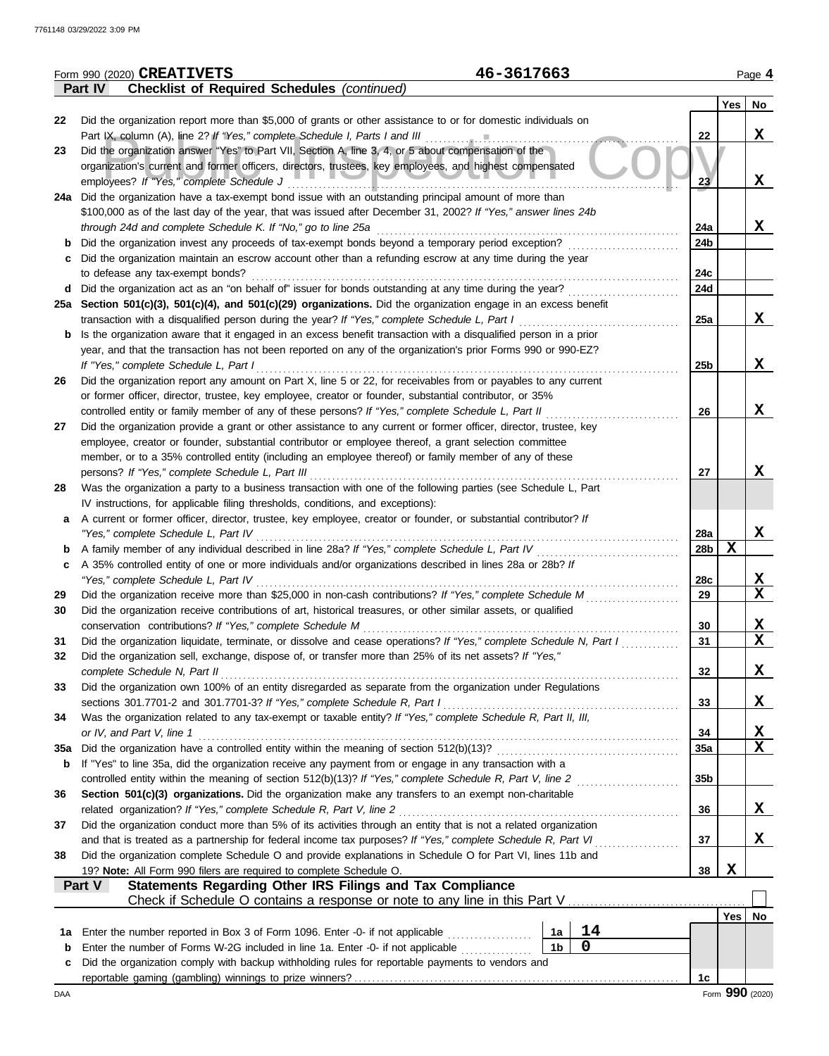|     | Form 990 (2020) CREATIVETS                       | 46-3617663                                                                                                                                                                                          |                 |     | Page 4          |
|-----|--------------------------------------------------|-----------------------------------------------------------------------------------------------------------------------------------------------------------------------------------------------------|-----------------|-----|-----------------|
|     | Part IV                                          | <b>Checklist of Required Schedules (continued)</b>                                                                                                                                                  |                 |     |                 |
|     |                                                  |                                                                                                                                                                                                     |                 | Yes | No              |
| 22  |                                                  | Did the organization report more than \$5,000 of grants or other assistance to or for domestic individuals on                                                                                       |                 |     |                 |
|     |                                                  | Part IX, column (A), line 2? If "Yes," complete Schedule I, Parts I and III                                                                                                                         | 22              |     | X               |
| 23  |                                                  | Did the organization answer "Yes" to Part VII, Section A, line 3, 4, or 5 about compensation of the                                                                                                 |                 |     |                 |
|     |                                                  | organization's current and former officers, directors, trustees, key employees, and highest compensated                                                                                             |                 |     |                 |
|     | employees? If "Yes," complete Schedule J         |                                                                                                                                                                                                     | 23 <sup>7</sup> |     | X               |
|     |                                                  | 24a Did the organization have a tax-exempt bond issue with an outstanding principal amount of more than                                                                                             |                 |     |                 |
|     |                                                  | \$100,000 as of the last day of the year, that was issued after December 31, 2002? If "Yes," answer lines 24b                                                                                       |                 |     |                 |
|     |                                                  | through 24d and complete Schedule K. If "No," go to line 25a                                                                                                                                        | 24a             |     | X               |
| b   |                                                  | Did the organization invest any proceeds of tax-exempt bonds beyond a temporary period exception?                                                                                                   | 24b             |     |                 |
| с   |                                                  | Did the organization maintain an escrow account other than a refunding escrow at any time during the year                                                                                           |                 |     |                 |
|     | to defease any tax-exempt bonds?                 |                                                                                                                                                                                                     | 24c             |     |                 |
| d   |                                                  | Did the organization act as an "on behalf of" issuer for bonds outstanding at any time during the year?                                                                                             | 24d             |     |                 |
|     |                                                  | 25a Section 501(c)(3), 501(c)(4), and 501(c)(29) organizations. Did the organization engage in an excess benefit                                                                                    |                 |     |                 |
|     |                                                  | transaction with a disqualified person during the year? If "Yes," complete Schedule L, Part I                                                                                                       | 25a             |     | X               |
| b   |                                                  | Is the organization aware that it engaged in an excess benefit transaction with a disqualified person in a prior                                                                                    |                 |     |                 |
|     |                                                  | year, and that the transaction has not been reported on any of the organization's prior Forms 990 or 990-EZ?                                                                                        |                 |     |                 |
|     | If "Yes," complete Schedule L, Part I            |                                                                                                                                                                                                     | 25 <sub>b</sub> |     | X               |
| 26  |                                                  | Did the organization report any amount on Part X, line 5 or 22, for receivables from or payables to any current                                                                                     |                 |     |                 |
|     |                                                  | or former officer, director, trustee, key employee, creator or founder, substantial contributor, or 35%                                                                                             |                 |     |                 |
|     |                                                  | controlled entity or family member of any of these persons? If "Yes," complete Schedule L, Part II                                                                                                  | 26              |     | X               |
| 27  |                                                  | Did the organization provide a grant or other assistance to any current or former officer, director, trustee, key                                                                                   |                 |     |                 |
|     |                                                  | employee, creator or founder, substantial contributor or employee thereof, a grant selection committee                                                                                              |                 |     |                 |
|     |                                                  | member, or to a 35% controlled entity (including an employee thereof) or family member of any of these                                                                                              |                 |     |                 |
|     | persons? If "Yes," complete Schedule L, Part III |                                                                                                                                                                                                     | 27              |     | X               |
| 28  |                                                  | Was the organization a party to a business transaction with one of the following parties (see Schedule L, Part                                                                                      |                 |     |                 |
|     |                                                  | IV instructions, for applicable filing thresholds, conditions, and exceptions):<br>A current or former officer, director, trustee, key employee, creator or founder, or substantial contributor? If |                 |     |                 |
| a   | "Yes," complete Schedule L, Part IV              |                                                                                                                                                                                                     | 28a             |     | X               |
|     |                                                  | A family member of any individual described in line 28a? If "Yes," complete Schedule L, Part IV                                                                                                     | 28b             | X   |                 |
| b   |                                                  | A 35% controlled entity of one or more individuals and/or organizations described in lines 28a or 28b? If                                                                                           |                 |     |                 |
| c   | "Yes," complete Schedule L, Part IV              |                                                                                                                                                                                                     | 28c             |     | X               |
| 29  |                                                  | Did the organization receive more than \$25,000 in non-cash contributions? If "Yes," complete Schedule M                                                                                            | 29              |     | X               |
| 30  |                                                  | Did the organization receive contributions of art, historical treasures, or other similar assets, or qualified                                                                                      |                 |     |                 |
|     |                                                  | conservation contributions? If "Yes," complete Schedule M                                                                                                                                           | 30              |     | X               |
| 31  |                                                  | Did the organization liquidate, terminate, or dissolve and cease operations? If "Yes," complete Schedule N, Part I                                                                                  | 31              |     | X               |
| 32  |                                                  | Did the organization sell, exchange, dispose of, or transfer more than 25% of its net assets? If "Yes,"                                                                                             |                 |     |                 |
|     | complete Schedule N, Part II                     |                                                                                                                                                                                                     | 32              |     | X               |
| 33  |                                                  | Did the organization own 100% of an entity disregarded as separate from the organization under Regulations                                                                                          |                 |     |                 |
|     |                                                  | sections 301.7701-2 and 301.7701-3? If "Yes," complete Schedule R, Part I                                                                                                                           | 33              |     | X               |
| 34  |                                                  | Was the organization related to any tax-exempt or taxable entity? If "Yes," complete Schedule R, Part II, III,                                                                                      |                 |     |                 |
|     | or IV, and Part V, line 1                        |                                                                                                                                                                                                     | 34              |     | X               |
| 35a |                                                  | Did the organization have a controlled entity within the meaning of section 512(b)(13)?                                                                                                             | <b>35a</b>      |     | $\mathbf x$     |
| b   |                                                  | If "Yes" to line 35a, did the organization receive any payment from or engage in any transaction with a                                                                                             |                 |     |                 |
|     |                                                  | controlled entity within the meaning of section 512(b)(13)? If "Yes," complete Schedule R, Part V, line 2                                                                                           | 35 <sub>b</sub> |     |                 |
| 36  |                                                  | Section 501(c)(3) organizations. Did the organization make any transfers to an exempt non-charitable                                                                                                |                 |     |                 |
|     |                                                  | related organization? If "Yes," complete Schedule R, Part V, line 2                                                                                                                                 | 36              |     | X               |
| 37  |                                                  | Did the organization conduct more than 5% of its activities through an entity that is not a related organization                                                                                    |                 |     |                 |
|     |                                                  | and that is treated as a partnership for federal income tax purposes? If "Yes," complete Schedule R, Part VI                                                                                        | 37              |     | X               |
| 38  |                                                  | Did the organization complete Schedule O and provide explanations in Schedule O for Part VI, lines 11b and                                                                                          |                 |     |                 |
|     |                                                  | 19? Note: All Form 990 filers are required to complete Schedule O.                                                                                                                                  | 38              | X   |                 |
|     | Part V                                           | <b>Statements Regarding Other IRS Filings and Tax Compliance</b>                                                                                                                                    |                 |     |                 |
|     |                                                  |                                                                                                                                                                                                     |                 |     |                 |
|     |                                                  |                                                                                                                                                                                                     |                 | Yes | No              |
| 1a  |                                                  | 14<br>Enter the number reported in Box 3 of Form 1096. Enter -0- if not applicable<br>1a                                                                                                            |                 |     |                 |
| b   |                                                  | $\mathbf 0$<br>1 <sub>b</sub><br>Enter the number of Forms W-2G included in line 1a. Enter -0- if not applicable                                                                                    |                 |     |                 |
| c   |                                                  | Did the organization comply with backup withholding rules for reportable payments to vendors and                                                                                                    |                 |     |                 |
|     |                                                  |                                                                                                                                                                                                     | 1c              |     |                 |
| DAA |                                                  |                                                                                                                                                                                                     |                 |     | Form 990 (2020) |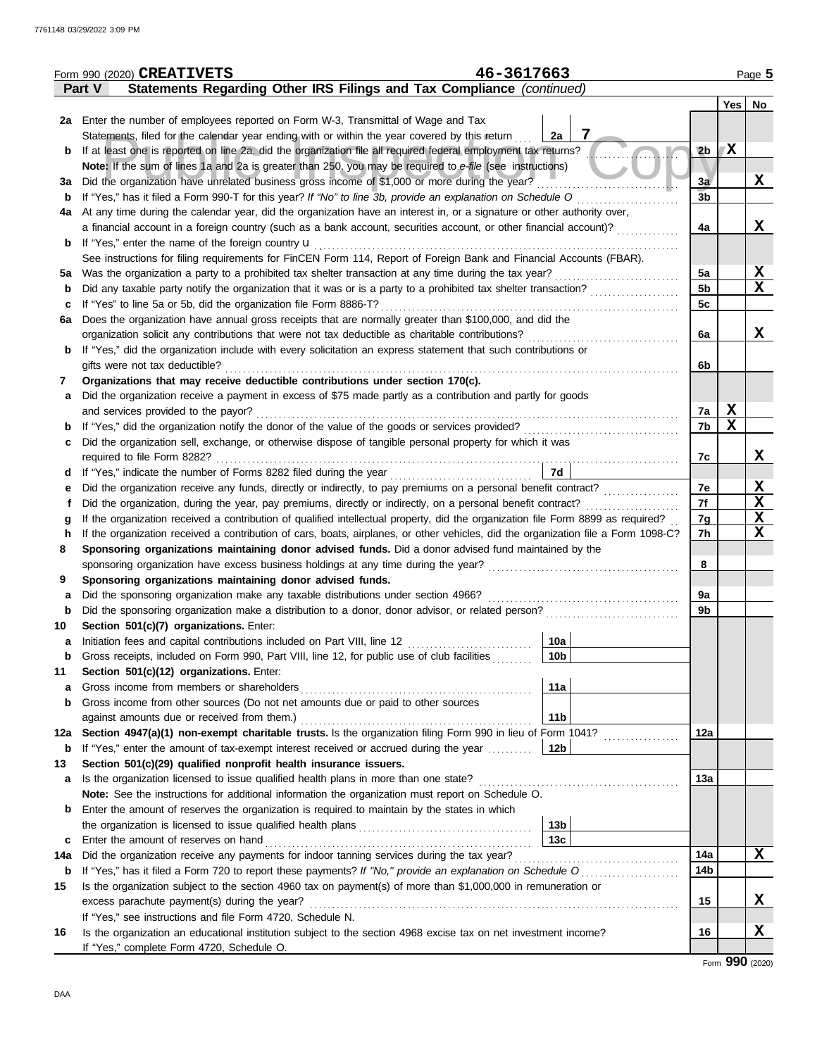|             | 46-3617663<br>Form 990 (2020) CREATIVETS                                                                                           |                 |                  | Page 5      |
|-------------|------------------------------------------------------------------------------------------------------------------------------------|-----------------|------------------|-------------|
|             | Statements Regarding Other IRS Filings and Tax Compliance (continued)<br>Part V                                                    |                 |                  |             |
|             |                                                                                                                                    |                 | Yes <sub>1</sub> | No          |
|             | 2a Enter the number of employees reported on Form W-3, Transmittal of Wage and Tax                                                 |                 |                  |             |
|             | 7<br>Statements, filed for the calendar year ending with or within the year covered by this return<br>2a                           |                 |                  |             |
| b           | If at least one is reported on line 2a, did the organization file all required federal employment tax returns?                     | 2 <sub>b</sub>  | X                |             |
|             | Note: If the sum of lines 1a and 2a is greater than 250, you may be required to e-file (see instructions)                          |                 |                  |             |
| За          | Did the organization have unrelated business gross income of \$1,000 or more during the year?                                      | 3a              |                  | X           |
| b           |                                                                                                                                    | 3 <sub>b</sub>  |                  |             |
| 4a          | At any time during the calendar year, did the organization have an interest in, or a signature or other authority over,            |                 |                  |             |
|             | a financial account in a foreign country (such as a bank account, securities account, or other financial account)?                 | 4a              |                  | X           |
| b           | If "Yes," enter the name of the foreign country <b>u</b>                                                                           |                 |                  |             |
|             | See instructions for filing requirements for FinCEN Form 114, Report of Foreign Bank and Financial Accounts (FBAR).                |                 |                  |             |
| 5а          |                                                                                                                                    | 5a              |                  | X           |
| b           |                                                                                                                                    | 5 <sub>b</sub>  |                  | x           |
| c           | If "Yes" to line 5a or 5b, did the organization file Form 8886-T?                                                                  | 5c              |                  |             |
| 6a          | Does the organization have annual gross receipts that are normally greater than \$100,000, and did the                             |                 |                  |             |
|             | organization solicit any contributions that were not tax deductible as charitable contributions?                                   | 6a              |                  | X           |
| b           | If "Yes," did the organization include with every solicitation an express statement that such contributions or                     |                 |                  |             |
|             | gifts were not tax deductible?                                                                                                     | 6b              |                  |             |
| 7           | Organizations that may receive deductible contributions under section 170(c).                                                      |                 |                  |             |
| a           | Did the organization receive a payment in excess of \$75 made partly as a contribution and partly for goods                        |                 |                  |             |
|             | and services provided to the payor?                                                                                                | 7a              | X                |             |
| b           |                                                                                                                                    | 7b              | $\mathbf x$      |             |
| c           | Did the organization sell, exchange, or otherwise dispose of tangible personal property for which it was                           |                 |                  |             |
|             |                                                                                                                                    | 7c              |                  | X           |
|             | 7d                                                                                                                                 |                 |                  |             |
| е           |                                                                                                                                    | 7e              |                  | X           |
| Ť           | Did the organization, during the year, pay premiums, directly or indirectly, on a personal benefit contract?                       | 7f              |                  | $\mathbf X$ |
| g           | If the organization received a contribution of qualified intellectual property, did the organization file Form 8899 as required?   | 7g              |                  | $\mathbf X$ |
| h           | If the organization received a contribution of cars, boats, airplanes, or other vehicles, did the organization file a Form 1098-C? | 7h              |                  | $\mathbf X$ |
| 8           | Sponsoring organizations maintaining donor advised funds. Did a donor advised fund maintained by the                               |                 |                  |             |
|             |                                                                                                                                    | 8               |                  |             |
| 9           | Sponsoring organizations maintaining donor advised funds.                                                                          |                 |                  |             |
| a           | Did the sponsoring organization make any taxable distributions under section 4966?                                                 | 9a              |                  |             |
| b           | Did the sponsoring organization make a distribution to a donor, donor advisor, or related person?                                  | 9b              |                  |             |
| 10          | Section 501(c)(7) organizations. Enter:                                                                                            |                 |                  |             |
| a           | 10a                                                                                                                                |                 |                  |             |
| b           | Gross receipts, included on Form 990, Part VIII, line 12, for public use of club facilities<br>10b                                 |                 |                  |             |
| 11          | Section 501(c)(12) organizations. Enter:                                                                                           |                 |                  |             |
| a           | 11a<br>Gross income from members or shareholders                                                                                   |                 |                  |             |
| b           | Gross income from other sources (Do not net amounts due or paid to other sources                                                   |                 |                  |             |
|             | 11 <sub>b</sub><br>against amounts due or received from them.)                                                                     |                 |                  |             |
| 12a         | Section 4947(a)(1) non-exempt charitable trusts. Is the organization filing Form 990 in lieu of Form 1041?                         | 12a             |                  |             |
| $\mathbf b$ | If "Yes," enter the amount of tax-exempt interest received or accrued during the year<br>12b                                       |                 |                  |             |
| 13          | Section 501(c)(29) qualified nonprofit health insurance issuers.                                                                   |                 |                  |             |
| а           | Is the organization licensed to issue qualified health plans in more than one state?                                               | 13a             |                  |             |
|             | Note: See the instructions for additional information the organization must report on Schedule O.                                  |                 |                  |             |
| b           | Enter the amount of reserves the organization is required to maintain by the states in which                                       |                 |                  |             |
|             | 13 <sub>b</sub>                                                                                                                    |                 |                  |             |
| c           | 13 <sub>c</sub><br>Enter the amount of reserves on hand                                                                            |                 |                  |             |
| 14a         |                                                                                                                                    | 14a             |                  | X           |
| $\mathbf b$ |                                                                                                                                    | 14 <sub>b</sub> |                  |             |
| 15          | Is the organization subject to the section 4960 tax on payment(s) of more than \$1,000,000 in remuneration or                      |                 |                  |             |
|             | excess parachute payment(s) during the year?                                                                                       | 15              |                  | X           |
|             | If "Yes," see instructions and file Form 4720, Schedule N.                                                                         |                 |                  |             |
| 16          | Is the organization an educational institution subject to the section 4968 excise tax on net investment income?                    | 16              |                  | X           |
|             | If "Yes," complete Form 4720, Schedule O.                                                                                          |                 |                  |             |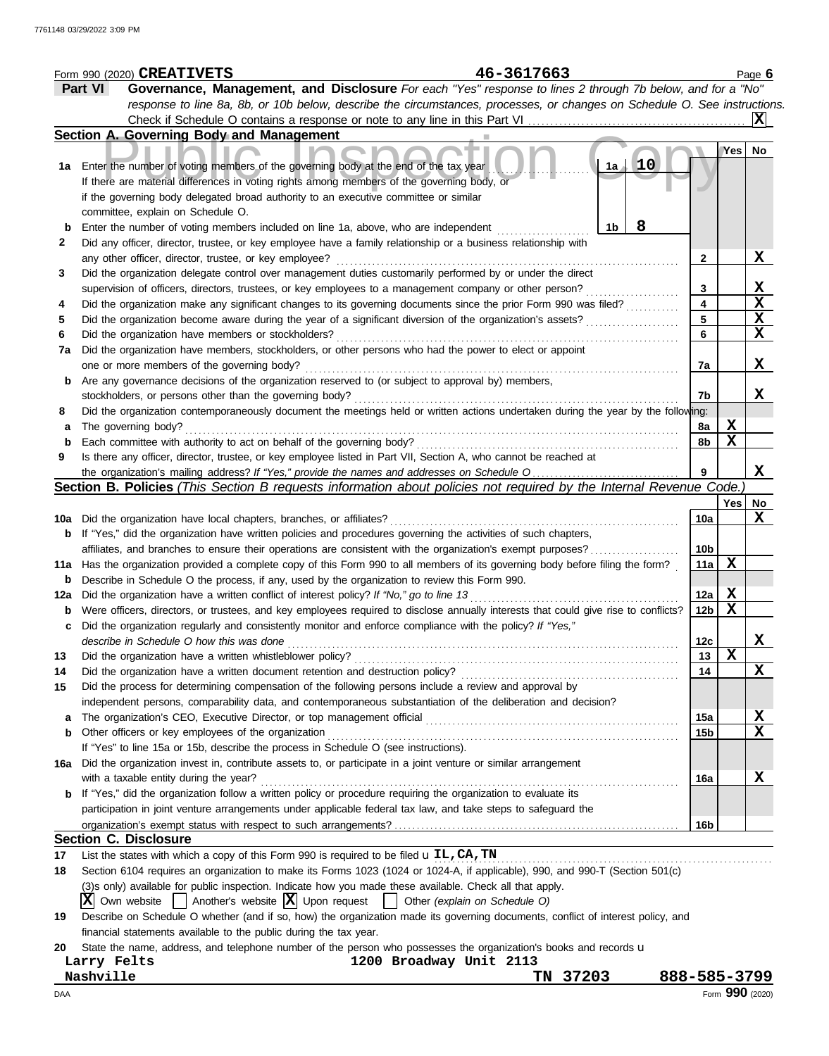|     | 46-3617663<br>Form 990 (2020) CREATIVETS                                                                                                                                                                                        |                 |             | Page $6$        |
|-----|---------------------------------------------------------------------------------------------------------------------------------------------------------------------------------------------------------------------------------|-----------------|-------------|-----------------|
|     | Governance, Management, and Disclosure For each "Yes" response to lines 2 through 7b below, and for a "No"<br><b>Part VI</b>                                                                                                    |                 |             |                 |
|     | response to line 8a, 8b, or 10b below, describe the circumstances, processes, or changes on Schedule O. See instructions.                                                                                                       |                 |             |                 |
|     | Check if Schedule O contains a response or note to any line in this Part VI                                                                                                                                                     |                 |             |                 |
|     | Section A. Governing Body and Management                                                                                                                                                                                        |                 |             |                 |
| 1a  | 10<br>1a<br>Enter the number of voting members of the governing body at the end of the tax year<br>If there are material differences in voting rights among members of the governing body, or                                   |                 | Yes No      |                 |
|     | if the governing body delegated broad authority to an executive committee or similar<br>committee, explain on Schedule O.                                                                                                       |                 |             |                 |
| b   | 8<br>1b<br>Enter the number of voting members included on line 1a, above, who are independent                                                                                                                                   |                 |             |                 |
| 2   | Did any officer, director, trustee, or key employee have a family relationship or a business relationship with<br>any other officer, director, trustee, or key employee?                                                        | 2               |             | X               |
| 3   | Did the organization delegate control over management duties customarily performed by or under the direct                                                                                                                       |                 |             |                 |
|     | supervision of officers, directors, trustees, or key employees to a management company or other person?                                                                                                                         | 3               |             | $\mathbf{x}$    |
| 4   | Did the organization make any significant changes to its governing documents since the prior Form 990 was filed?                                                                                                                | 4               |             | X               |
| 5   | Did the organization become aware during the year of a significant diversion of the organization's assets?                                                                                                                      | 5               |             | $\mathbf X$     |
| 6   | Did the organization have members or stockholders?                                                                                                                                                                              | 6               |             | X               |
| 7a  | Did the organization have members, stockholders, or other persons who had the power to elect or appoint                                                                                                                         |                 |             |                 |
|     | one or more members of the governing body?                                                                                                                                                                                      | 7a              |             | X               |
|     |                                                                                                                                                                                                                                 |                 |             |                 |
| b   | Are any governance decisions of the organization reserved to (or subject to approval by) members,                                                                                                                               |                 |             |                 |
|     | stockholders, or persons other than the governing body?                                                                                                                                                                         | 7b              |             | x               |
| 8   | Did the organization contemporaneously document the meetings held or written actions undertaken during the year by the following:                                                                                               |                 |             |                 |
| а   | The governing body?                                                                                                                                                                                                             | 8a              | X           |                 |
| b   | Each committee with authority to act on behalf of the governing body?                                                                                                                                                           | 8b              | $\mathbf x$ |                 |
| 9   | Is there any officer, director, trustee, or key employee listed in Part VII, Section A, who cannot be reached at                                                                                                                |                 |             |                 |
|     | the organization's mailing address? If "Yes," provide the names and addresses on Schedule O                                                                                                                                     | 9               |             | X               |
|     | Section B. Policies (This Section B requests information about policies not required by the Internal Revenue Code.                                                                                                              |                 |             |                 |
|     |                                                                                                                                                                                                                                 |                 | Yes         | No              |
| 10a | Did the organization have local chapters, branches, or affiliates?                                                                                                                                                              | 10a             |             | x               |
| b   | If "Yes," did the organization have written policies and procedures governing the activities of such chapters,                                                                                                                  |                 |             |                 |
|     | affiliates, and branches to ensure their operations are consistent with the organization's exempt purposes?                                                                                                                     | 10 <sub>b</sub> |             |                 |
|     | 11a Has the organization provided a complete copy of this Form 990 to all members of its governing body before filing the form?                                                                                                 | 11a             | X           |                 |
| b   | Describe in Schedule O the process, if any, used by the organization to review this Form 990.                                                                                                                                   |                 |             |                 |
| 12a | Did the organization have a written conflict of interest policy? If "No," go to line 13                                                                                                                                         | 12a             | X           |                 |
| b   | Were officers, directors, or trustees, and key employees required to disclose annually interests that could give rise to conflicts?                                                                                             | 12 <sub>b</sub> | X           |                 |
|     | Did the organization regularly and consistently monitor and enforce compliance with the policy? If "Yes,"                                                                                                                       |                 |             |                 |
|     | describe in Schedule O how this was done                                                                                                                                                                                        | 12c             |             |                 |
| 13  | Did the organization have a written whistleblower policy?                                                                                                                                                                       | 13              | X           | А.              |
| 14  | Did the organization have a written document retention and destruction policy?                                                                                                                                                  | 14              |             | X               |
|     |                                                                                                                                                                                                                                 |                 |             |                 |
| 15  | Did the process for determining compensation of the following persons include a review and approval by                                                                                                                          |                 |             |                 |
|     | independent persons, comparability data, and contemporaneous substantiation of the deliberation and decision?                                                                                                                   |                 |             |                 |
| a   | The organization's CEO, Executive Director, or top management official                                                                                                                                                          | 15a             |             | <u>х</u>        |
| b   | Other officers or key employees of the organization                                                                                                                                                                             | 15 <sub>b</sub> |             | X               |
|     | If "Yes" to line 15a or 15b, describe the process in Schedule O (see instructions).                                                                                                                                             |                 |             |                 |
| 16a | Did the organization invest in, contribute assets to, or participate in a joint venture or similar arrangement                                                                                                                  |                 |             |                 |
|     | with a taxable entity during the year?                                                                                                                                                                                          | 16a             |             | X               |
|     | If "Yes," did the organization follow a written policy or procedure requiring the organization to evaluate its<br>participation in joint venture arrangements under applicable federal tax law, and take steps to safeguard the |                 |             |                 |
|     |                                                                                                                                                                                                                                 | 16b             |             |                 |
|     | <b>Section C. Disclosure</b>                                                                                                                                                                                                    |                 |             |                 |
| 17  | List the states with which a copy of this Form 990 is required to be filed $\mathbf{u}$ IL, CA, TN                                                                                                                              |                 |             |                 |
| 18  | Section 6104 requires an organization to make its Forms 1023 (1024 or 1024-A, if applicable), 990, and 990-T (Section 501(c)                                                                                                    |                 |             |                 |
|     | (3)s only) available for public inspection. Indicate how you made these available. Check all that apply.                                                                                                                        |                 |             |                 |
|     |                                                                                                                                                                                                                                 |                 |             |                 |
|     | $ \mathbf{X} $ Own website $ \cdot $ Another's website $ \mathbf{X} $ Upon request $ \cdot $ Other (explain on Schedule O)                                                                                                      |                 |             |                 |
| 19  | Describe on Schedule O whether (and if so, how) the organization made its governing documents, conflict of interest policy, and                                                                                                 |                 |             |                 |
|     | financial statements available to the public during the tax year.                                                                                                                                                               |                 |             |                 |
| 20  | State the name, address, and telephone number of the person who possesses the organization's books and records u                                                                                                                |                 |             |                 |
|     | 1200 Broadway Unit 2113<br>Larry Felts                                                                                                                                                                                          |                 |             |                 |
|     | Nashville<br>TN 37203<br>888-585-3799                                                                                                                                                                                           |                 |             |                 |
| DAA |                                                                                                                                                                                                                                 |                 |             | Form 990 (2020) |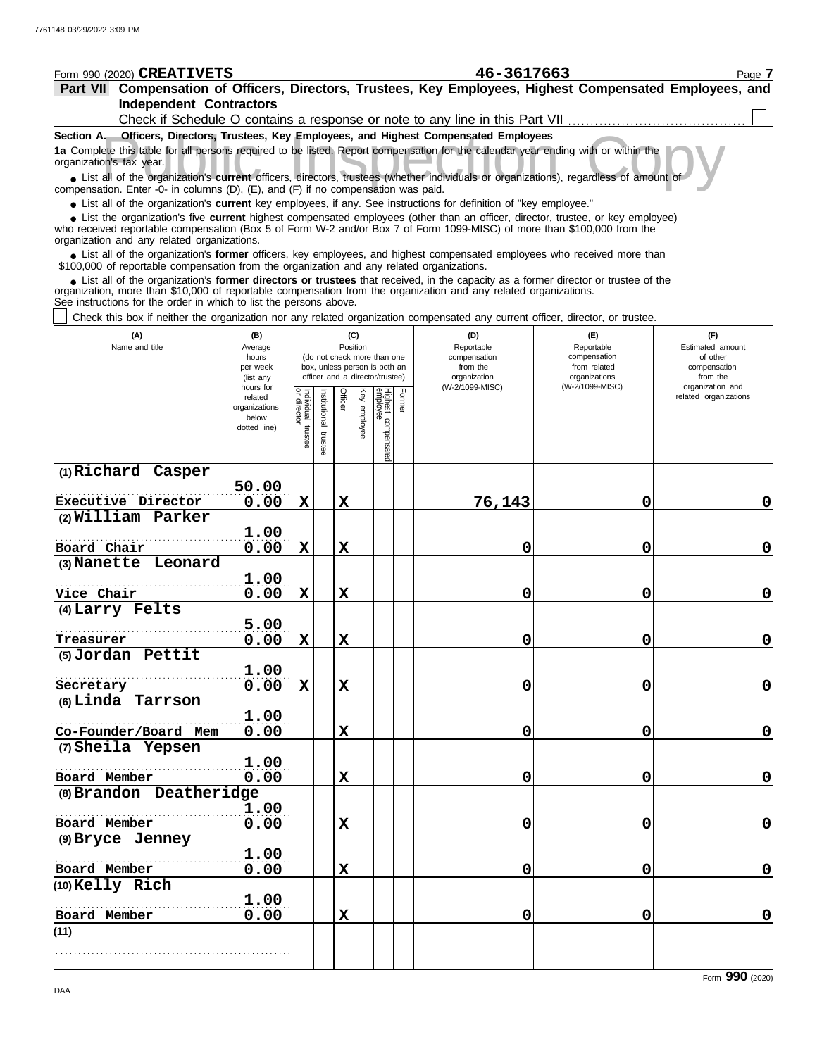| Form 990 (2020) <b>CREATIVETS</b>                                                                                                                                                                                                                           |                                                                                                                                        |                                   |               |                                                                  |                 |                                 |        | 46-3617663                                                                   |                               | Page 7                                    |  |  |  |  |
|-------------------------------------------------------------------------------------------------------------------------------------------------------------------------------------------------------------------------------------------------------------|----------------------------------------------------------------------------------------------------------------------------------------|-----------------------------------|---------------|------------------------------------------------------------------|-----------------|---------------------------------|--------|------------------------------------------------------------------------------|-------------------------------|-------------------------------------------|--|--|--|--|
| Part VII Compensation of Officers, Directors, Trustees, Key Employees, Highest Compensated Employees, and                                                                                                                                                   |                                                                                                                                        |                                   |               |                                                                  |                 |                                 |        |                                                                              |                               |                                           |  |  |  |  |
| <b>Independent Contractors</b>                                                                                                                                                                                                                              |                                                                                                                                        |                                   |               |                                                                  |                 |                                 |        |                                                                              |                               |                                           |  |  |  |  |
|                                                                                                                                                                                                                                                             |                                                                                                                                        |                                   |               |                                                                  |                 |                                 |        | Check if Schedule O contains a response or note to any line in this Part VII |                               |                                           |  |  |  |  |
| Section A. Officers, Directors, Trustees, Key Employees, and Highest Compensated Employees                                                                                                                                                                  |                                                                                                                                        |                                   |               |                                                                  |                 |                                 |        |                                                                              |                               |                                           |  |  |  |  |
| 1a Complete this table for all persons required to be listed. Report compensation for the calendar year ending with or within the<br>organization's tax year.                                                                                               |                                                                                                                                        |                                   |               |                                                                  |                 |                                 |        |                                                                              |                               |                                           |  |  |  |  |
|                                                                                                                                                                                                                                                             | • List all of the organization's current officers, directors, trustees (whether individuals or organizations), regardless of amount of |                                   |               |                                                                  |                 |                                 |        |                                                                              |                               |                                           |  |  |  |  |
| compensation. Enter -0- in columns (D), (E), and (F) if no compensation was paid.                                                                                                                                                                           |                                                                                                                                        |                                   |               |                                                                  |                 |                                 |        |                                                                              |                               |                                           |  |  |  |  |
| • List all of the organization's current key employees, if any. See instructions for definition of "key employee."                                                                                                                                          |                                                                                                                                        |                                   |               |                                                                  |                 |                                 |        |                                                                              |                               |                                           |  |  |  |  |
| • List the organization's five current highest compensated employees (other than an officer, director, trustee, or key employee)<br>who received reportable compensation (Box 5 of Form W-2 and/or Box 7 of Form 1099-MISC) of more than \$100,000 from the |                                                                                                                                        |                                   |               |                                                                  |                 |                                 |        |                                                                              |                               |                                           |  |  |  |  |
| organization and any related organizations.                                                                                                                                                                                                                 |                                                                                                                                        |                                   |               |                                                                  |                 |                                 |        |                                                                              |                               |                                           |  |  |  |  |
| • List all of the organization's former officers, key employees, and highest compensated employees who received more than<br>\$100,000 of reportable compensation from the organization and any related organizations.                                      |                                                                                                                                        |                                   |               |                                                                  |                 |                                 |        |                                                                              |                               |                                           |  |  |  |  |
| • List all of the organization's former directors or trustees that received, in the capacity as a former director or trustee of the                                                                                                                         |                                                                                                                                        |                                   |               |                                                                  |                 |                                 |        |                                                                              |                               |                                           |  |  |  |  |
| organization, more than \$10,000 of reportable compensation from the organization and any related organizations.                                                                                                                                            |                                                                                                                                        |                                   |               |                                                                  |                 |                                 |        |                                                                              |                               |                                           |  |  |  |  |
| See instructions for the order in which to list the persons above.                                                                                                                                                                                          |                                                                                                                                        |                                   |               |                                                                  |                 |                                 |        |                                                                              |                               |                                           |  |  |  |  |
| Check this box if neither the organization nor any related organization compensated any current officer, director, or trustee.                                                                                                                              |                                                                                                                                        |                                   |               |                                                                  |                 |                                 |        |                                                                              |                               |                                           |  |  |  |  |
| (A)<br>Name and title                                                                                                                                                                                                                                       | (B)<br>Average                                                                                                                         |                                   |               |                                                                  | (C)<br>Position |                                 |        | (D)<br>Reportable                                                            | (E)<br>Reportable             | (F)<br>Estimated amount                   |  |  |  |  |
|                                                                                                                                                                                                                                                             | hours                                                                                                                                  |                                   |               | (do not check more than one                                      |                 |                                 |        | compensation                                                                 | compensation                  | of other                                  |  |  |  |  |
|                                                                                                                                                                                                                                                             | per week<br>(list any                                                                                                                  |                                   |               | box, unless person is both an<br>officer and a director/trustee) |                 |                                 |        | from the<br>organization                                                     | from related<br>organizations | compensation<br>from the                  |  |  |  |  |
|                                                                                                                                                                                                                                                             | hours for<br>related                                                                                                                   |                                   |               | Officer                                                          |                 |                                 |        | (W-2/1099-MISC)                                                              | (W-2/1099-MISC)               | organization and<br>related organizations |  |  |  |  |
|                                                                                                                                                                                                                                                             | organizations                                                                                                                          | Individual trustee<br>or director | Institutional |                                                                  | Key employee    | Highest compensated<br>employee | Former |                                                                              |                               |                                           |  |  |  |  |
|                                                                                                                                                                                                                                                             | below<br>dotted line)                                                                                                                  |                                   |               |                                                                  |                 |                                 |        |                                                                              |                               |                                           |  |  |  |  |
|                                                                                                                                                                                                                                                             |                                                                                                                                        |                                   | trustee       |                                                                  |                 |                                 |        |                                                                              |                               |                                           |  |  |  |  |
|                                                                                                                                                                                                                                                             |                                                                                                                                        |                                   |               |                                                                  |                 |                                 |        |                                                                              |                               |                                           |  |  |  |  |
| (1) Richard Casper                                                                                                                                                                                                                                          |                                                                                                                                        |                                   |               |                                                                  |                 |                                 |        |                                                                              |                               |                                           |  |  |  |  |
| Executive Director                                                                                                                                                                                                                                          | 50.00<br>0.00                                                                                                                          | $\mathbf X$                       |               | $\mathbf X$                                                      |                 |                                 |        | 76,143                                                                       | 0                             | 0                                         |  |  |  |  |
| (2) William Parker                                                                                                                                                                                                                                          |                                                                                                                                        |                                   |               |                                                                  |                 |                                 |        |                                                                              |                               |                                           |  |  |  |  |
|                                                                                                                                                                                                                                                             | 1.00                                                                                                                                   |                                   |               |                                                                  |                 |                                 |        |                                                                              |                               |                                           |  |  |  |  |
| Board Chair                                                                                                                                                                                                                                                 | 0.00                                                                                                                                   | $\mathbf X$                       |               | X                                                                |                 |                                 |        | 0                                                                            | 0                             | 0                                         |  |  |  |  |
| (3) Nanette Leonard                                                                                                                                                                                                                                         |                                                                                                                                        |                                   |               |                                                                  |                 |                                 |        |                                                                              |                               |                                           |  |  |  |  |
|                                                                                                                                                                                                                                                             | 1.00                                                                                                                                   |                                   |               |                                                                  |                 |                                 |        |                                                                              |                               |                                           |  |  |  |  |
| Vice Chair                                                                                                                                                                                                                                                  | 0.00                                                                                                                                   | $\mathbf X$                       |               | X                                                                |                 |                                 |        | 0                                                                            | 0                             | 0                                         |  |  |  |  |
| (4) Larry Felts                                                                                                                                                                                                                                             |                                                                                                                                        |                                   |               |                                                                  |                 |                                 |        |                                                                              |                               |                                           |  |  |  |  |
| Treasurer                                                                                                                                                                                                                                                   | 5.00<br>0.00                                                                                                                           | $\mathbf X$                       |               | X                                                                |                 |                                 |        | 0                                                                            | 0                             | 0                                         |  |  |  |  |
| (5) Jordan Pettit                                                                                                                                                                                                                                           |                                                                                                                                        |                                   |               |                                                                  |                 |                                 |        |                                                                              |                               |                                           |  |  |  |  |
|                                                                                                                                                                                                                                                             | 1.00                                                                                                                                   |                                   |               |                                                                  |                 |                                 |        |                                                                              |                               |                                           |  |  |  |  |
| Secretary                                                                                                                                                                                                                                                   | 0.00                                                                                                                                   | $\mathbf X$                       |               | X                                                                |                 |                                 |        | 0                                                                            | 0                             | 0                                         |  |  |  |  |
| (6) Linda Tarrson                                                                                                                                                                                                                                           |                                                                                                                                        |                                   |               |                                                                  |                 |                                 |        |                                                                              |                               |                                           |  |  |  |  |
|                                                                                                                                                                                                                                                             | 1.00                                                                                                                                   |                                   |               |                                                                  |                 |                                 |        |                                                                              |                               |                                           |  |  |  |  |
| Co-Founder/Board Mem                                                                                                                                                                                                                                        | 0.00                                                                                                                                   |                                   |               | X                                                                |                 |                                 |        | 0                                                                            | 0                             | $\pmb{0}$                                 |  |  |  |  |
| (7) Sheila Yepsen                                                                                                                                                                                                                                           |                                                                                                                                        |                                   |               |                                                                  |                 |                                 |        |                                                                              |                               |                                           |  |  |  |  |
| Board Member                                                                                                                                                                                                                                                | 1.00<br>0.00                                                                                                                           |                                   |               | X                                                                |                 |                                 |        | 0                                                                            | 0                             | 0                                         |  |  |  |  |
| (8) Brandon Deatheridge                                                                                                                                                                                                                                     |                                                                                                                                        |                                   |               |                                                                  |                 |                                 |        |                                                                              |                               |                                           |  |  |  |  |
|                                                                                                                                                                                                                                                             | 1.00                                                                                                                                   |                                   |               |                                                                  |                 |                                 |        |                                                                              |                               |                                           |  |  |  |  |
| Board Member                                                                                                                                                                                                                                                | 0.00                                                                                                                                   |                                   |               | X                                                                |                 |                                 |        | 0                                                                            | 0                             | $\mathbf 0$                               |  |  |  |  |
| (9) Bryce Jenney                                                                                                                                                                                                                                            |                                                                                                                                        |                                   |               |                                                                  |                 |                                 |        |                                                                              |                               |                                           |  |  |  |  |
|                                                                                                                                                                                                                                                             | 1.00                                                                                                                                   |                                   |               |                                                                  |                 |                                 |        |                                                                              |                               |                                           |  |  |  |  |
| Board Member                                                                                                                                                                                                                                                | 0.00                                                                                                                                   |                                   |               | X                                                                |                 |                                 |        | 0                                                                            | 0                             | $\mathbf 0$                               |  |  |  |  |
| (10) Kelly Rich                                                                                                                                                                                                                                             | 1.00                                                                                                                                   |                                   |               |                                                                  |                 |                                 |        |                                                                              |                               |                                           |  |  |  |  |
| Board Member                                                                                                                                                                                                                                                | 0.00                                                                                                                                   |                                   |               | X                                                                |                 |                                 |        | 0                                                                            | 0                             | $\mathbf 0$                               |  |  |  |  |
| (11)                                                                                                                                                                                                                                                        |                                                                                                                                        |                                   |               |                                                                  |                 |                                 |        |                                                                              |                               |                                           |  |  |  |  |

. . . . . . . . . . . . . . . . . . . . . . . . . . . . . . . . . . . . . . . . . . . . . . . . . . . . .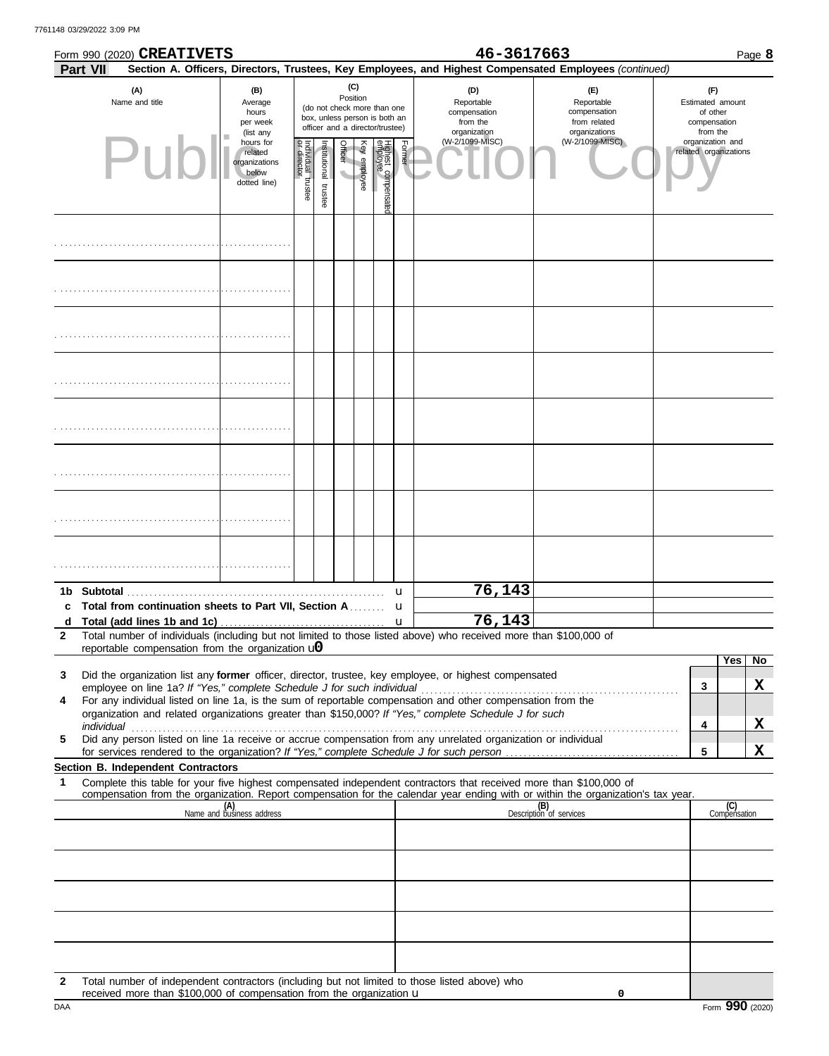|   |          | Form 990 (2020) CREATIVETS                                                                                     |                                                                |                                   |                                                                                                                    |                                     |              |                                |        | 46-3617663                                                                                                                                                                                                           |                                                                                                                                                                    |                                                                 | Page 8              |
|---|----------|----------------------------------------------------------------------------------------------------------------|----------------------------------------------------------------|-----------------------------------|--------------------------------------------------------------------------------------------------------------------|-------------------------------------|--------------|--------------------------------|--------|----------------------------------------------------------------------------------------------------------------------------------------------------------------------------------------------------------------------|--------------------------------------------------------------------------------------------------------------------------------------------------------------------|-----------------------------------------------------------------|---------------------|
|   | Part VII |                                                                                                                |                                                                |                                   |                                                                                                                    |                                     |              |                                |        |                                                                                                                                                                                                                      | Section A. Officers, Directors, Trustees, Key Employees, and Highest Compensated Employees (continued)                                                             |                                                                 |                     |
|   |          | (A)<br>Name and title                                                                                          | (B)<br>Average<br>hours<br>per week<br>(list any               |                                   | (C)<br>Position<br>(do not check more than one<br>box, unless person is both an<br>officer and a director/trustee) |                                     |              |                                |        | (D)<br>Reportable<br>compensation<br>from the<br>organization                                                                                                                                                        | (E)<br>Reportable<br>compensation<br>from related<br>organizations                                                                                                 | (F)<br>Estimated amount<br>of other<br>compensation<br>from the |                     |
|   |          | Pur                                                                                                            | hours for<br>related<br>organizations<br>below<br>dotted line) | Individual trustee<br>or director | Institutional trustee                                                                                              | Officer<br>$\overline{\phantom{0}}$ | Key employee | Highest compensate<br>employee | Former | (W-2/1099-MISC)                                                                                                                                                                                                      | (W-2/1099-MISC)                                                                                                                                                    | organization and<br>related organizations                       |                     |
|   |          |                                                                                                                |                                                                |                                   |                                                                                                                    |                                     |              |                                |        |                                                                                                                                                                                                                      |                                                                                                                                                                    |                                                                 |                     |
|   |          |                                                                                                                |                                                                |                                   |                                                                                                                    |                                     |              |                                |        |                                                                                                                                                                                                                      |                                                                                                                                                                    |                                                                 |                     |
|   |          |                                                                                                                |                                                                |                                   |                                                                                                                    |                                     |              |                                |        |                                                                                                                                                                                                                      |                                                                                                                                                                    |                                                                 |                     |
|   |          |                                                                                                                |                                                                |                                   |                                                                                                                    |                                     |              |                                |        |                                                                                                                                                                                                                      |                                                                                                                                                                    |                                                                 |                     |
|   |          |                                                                                                                |                                                                |                                   |                                                                                                                    |                                     |              |                                |        |                                                                                                                                                                                                                      |                                                                                                                                                                    |                                                                 |                     |
|   |          |                                                                                                                |                                                                |                                   |                                                                                                                    |                                     |              |                                |        |                                                                                                                                                                                                                      |                                                                                                                                                                    |                                                                 |                     |
|   |          |                                                                                                                |                                                                |                                   |                                                                                                                    |                                     |              |                                |        |                                                                                                                                                                                                                      |                                                                                                                                                                    |                                                                 |                     |
|   |          |                                                                                                                |                                                                |                                   |                                                                                                                    |                                     |              |                                |        |                                                                                                                                                                                                                      |                                                                                                                                                                    |                                                                 |                     |
|   |          |                                                                                                                |                                                                |                                   |                                                                                                                    |                                     |              |                                | u      | 76,143                                                                                                                                                                                                               |                                                                                                                                                                    |                                                                 |                     |
| c |          | Total from continuation sheets to Part VII, Section A                                                          |                                                                |                                   |                                                                                                                    |                                     |              |                                | u      | 76,143                                                                                                                                                                                                               |                                                                                                                                                                    |                                                                 |                     |
| 2 |          | d Total (add lines 1b and 1c) $\ldots$ $\ldots$ $\ldots$ $\ldots$ $\ldots$ $\ldots$ $\ldots$ $\ldots$ $\ldots$ |                                                                |                                   |                                                                                                                    |                                     |              |                                |        | Total number of individuals (including but not limited to those listed above) who received more than \$100,000 of                                                                                                    |                                                                                                                                                                    |                                                                 |                     |
|   |          | reportable compensation from the organization $\mathbf{u}$                                                     |                                                                |                                   |                                                                                                                    |                                     |              |                                |        |                                                                                                                                                                                                                      |                                                                                                                                                                    |                                                                 |                     |
| 3 |          |                                                                                                                |                                                                |                                   |                                                                                                                    |                                     |              |                                |        | Did the organization list any former officer, director, trustee, key employee, or highest compensated                                                                                                                |                                                                                                                                                                    |                                                                 | Yes<br>No           |
|   |          |                                                                                                                |                                                                |                                   |                                                                                                                    |                                     |              |                                |        |                                                                                                                                                                                                                      |                                                                                                                                                                    | 3                                                               | X                   |
| 4 |          |                                                                                                                |                                                                |                                   |                                                                                                                    |                                     |              |                                |        | For any individual listed on line 1a, is the sum of reportable compensation and other compensation from the<br>organization and related organizations greater than \$150,000? If "Yes," complete Schedule J for such |                                                                                                                                                                    |                                                                 |                     |
|   |          |                                                                                                                |                                                                |                                   |                                                                                                                    |                                     |              |                                |        |                                                                                                                                                                                                                      |                                                                                                                                                                    | 4                                                               | X                   |
| 5 |          |                                                                                                                |                                                                |                                   |                                                                                                                    |                                     |              |                                |        | Did any person listed on line 1a receive or accrue compensation from any unrelated organization or individual                                                                                                        |                                                                                                                                                                    | 5                                                               | X                   |
|   |          | Section B. Independent Contractors                                                                             |                                                                |                                   |                                                                                                                    |                                     |              |                                |        |                                                                                                                                                                                                                      |                                                                                                                                                                    |                                                                 |                     |
| 1 |          |                                                                                                                |                                                                |                                   |                                                                                                                    |                                     |              |                                |        | Complete this table for your five highest compensated independent contractors that received more than \$100,000 of                                                                                                   |                                                                                                                                                                    |                                                                 |                     |
|   |          |                                                                                                                | (A)<br>Name and business address                               |                                   |                                                                                                                    |                                     |              |                                |        |                                                                                                                                                                                                                      | compensation from the organization. Report compensation for the calendar year ending with or within the organization's tax year.<br>(B)<br>Description of services |                                                                 | (C)<br>Compensation |
|   |          |                                                                                                                |                                                                |                                   |                                                                                                                    |                                     |              |                                |        |                                                                                                                                                                                                                      |                                                                                                                                                                    |                                                                 |                     |
|   |          |                                                                                                                |                                                                |                                   |                                                                                                                    |                                     |              |                                |        |                                                                                                                                                                                                                      |                                                                                                                                                                    |                                                                 |                     |
|   |          |                                                                                                                |                                                                |                                   |                                                                                                                    |                                     |              |                                |        |                                                                                                                                                                                                                      |                                                                                                                                                                    |                                                                 |                     |
|   |          |                                                                                                                |                                                                |                                   |                                                                                                                    |                                     |              |                                |        |                                                                                                                                                                                                                      |                                                                                                                                                                    |                                                                 |                     |
|   |          |                                                                                                                |                                                                |                                   |                                                                                                                    |                                     |              |                                |        |                                                                                                                                                                                                                      |                                                                                                                                                                    |                                                                 |                     |
|   |          |                                                                                                                |                                                                |                                   |                                                                                                                    |                                     |              |                                |        |                                                                                                                                                                                                                      |                                                                                                                                                                    |                                                                 |                     |
|   |          |                                                                                                                |                                                                |                                   |                                                                                                                    |                                     |              |                                |        |                                                                                                                                                                                                                      |                                                                                                                                                                    |                                                                 |                     |
|   |          |                                                                                                                |                                                                |                                   |                                                                                                                    |                                     |              |                                |        |                                                                                                                                                                                                                      |                                                                                                                                                                    |                                                                 |                     |
|   |          |                                                                                                                |                                                                |                                   |                                                                                                                    |                                     |              |                                |        |                                                                                                                                                                                                                      |                                                                                                                                                                    |                                                                 |                     |

**2** Total number of independent contractors (including but not limited to those listed above) who received more than \$100,000 of compensation from the organization u

**0**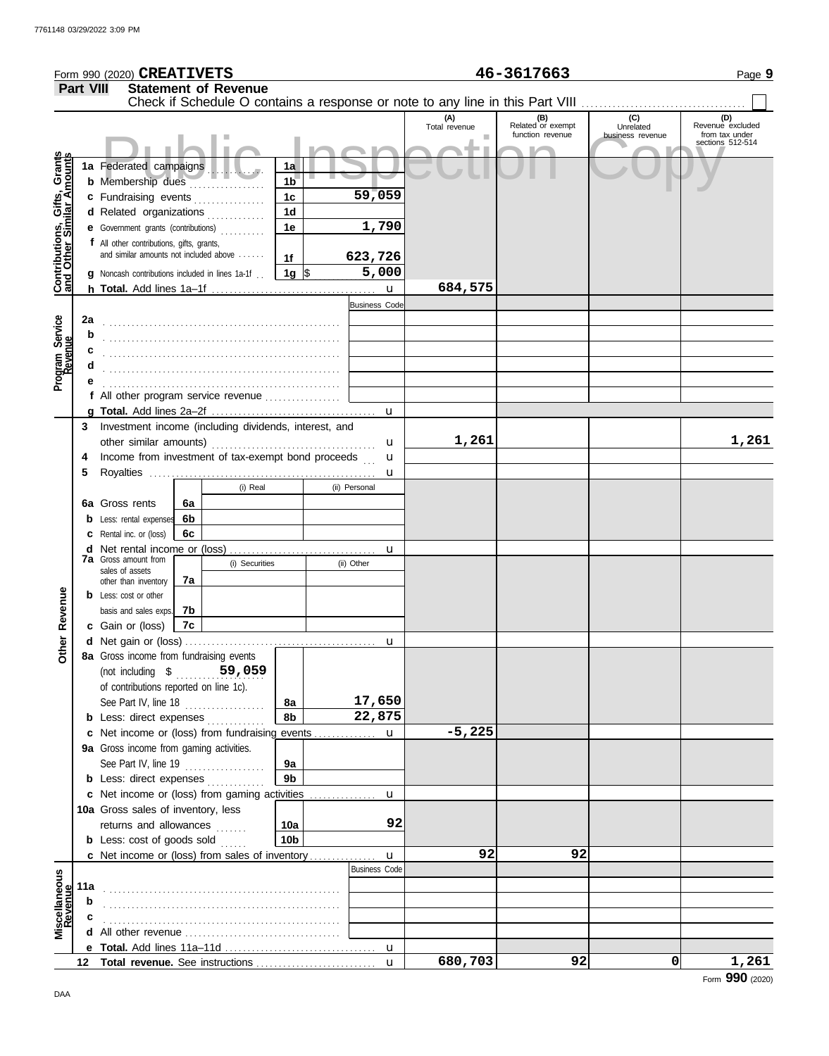|                                                                  |                  | Form 990 (2020) <b>CREATIVETS</b>                                                   |    |                             |                      |                                                                               |                      | 46-3617663               |                  | Page 9                             |
|------------------------------------------------------------------|------------------|-------------------------------------------------------------------------------------|----|-----------------------------|----------------------|-------------------------------------------------------------------------------|----------------------|--------------------------|------------------|------------------------------------|
|                                                                  | <b>Part VIII</b> |                                                                                     |    | <b>Statement of Revenue</b> |                      | Check if Schedule O contains a response or note to any line in this Part VIII |                      |                          |                  |                                    |
|                                                                  |                  |                                                                                     |    |                             |                      |                                                                               | (A)<br>Total revenue | (B)<br>Related or exempt | (C)<br>Unrelated | (D)<br>Revenue excluded            |
|                                                                  |                  |                                                                                     |    |                             |                      |                                                                               |                      | function revenue         | business revenue | from tax under<br>sections 512-514 |
|                                                                  |                  |                                                                                     |    |                             |                      |                                                                               |                      |                          |                  |                                    |
| <b>Contributions, Gifts, Grants</b><br>and Other Similar Amounts |                  | 1a Federated campaigns<br>b Membership dues                                         |    |                             | 1a<br>1 <sub>b</sub> |                                                                               |                      |                          |                  |                                    |
|                                                                  |                  | c Fundraising events                                                                |    |                             | 1c                   | 59,059                                                                        |                      |                          |                  |                                    |
|                                                                  |                  | d Related organizations                                                             |    |                             | 1 <sub>d</sub>       |                                                                               |                      |                          |                  |                                    |
|                                                                  |                  | e Government grants (contributions)                                                 |    |                             | 1e                   | 1,790                                                                         |                      |                          |                  |                                    |
|                                                                  |                  | f All other contributions, gifts, grants,<br>and similar amounts not included above |    |                             |                      |                                                                               |                      |                          |                  |                                    |
|                                                                  |                  |                                                                                     |    |                             | 1f                   | 623,726<br>5,000                                                              |                      |                          |                  |                                    |
|                                                                  |                  | <b>g</b> Noncash contributions included in lines 1a-1f $\Box$ <b>1g</b> $\$\$       |    |                             |                      |                                                                               | 684,575              |                          |                  |                                    |
|                                                                  |                  |                                                                                     |    |                             |                      | <b>Business Code</b>                                                          |                      |                          |                  |                                    |
|                                                                  | 2a               |                                                                                     |    |                             |                      |                                                                               |                      |                          |                  |                                    |
| Program Service                                                  | b                |                                                                                     |    |                             |                      |                                                                               |                      |                          |                  |                                    |
|                                                                  |                  |                                                                                     |    |                             |                      |                                                                               |                      |                          |                  |                                    |
|                                                                  |                  |                                                                                     |    |                             |                      |                                                                               |                      |                          |                  |                                    |
|                                                                  | е                |                                                                                     |    |                             |                      |                                                                               |                      |                          |                  |                                    |
|                                                                  |                  |                                                                                     |    |                             |                      | u                                                                             |                      |                          |                  |                                    |
|                                                                  | 3                | Investment income (including dividends, interest, and                               |    |                             |                      |                                                                               |                      |                          |                  |                                    |
|                                                                  |                  |                                                                                     |    |                             |                      | u                                                                             | 1,261                |                          |                  | 1,261                              |
|                                                                  | 4                | Income from investment of tax-exempt bond proceeds                                  |    |                             |                      | u                                                                             |                      |                          |                  |                                    |
|                                                                  | 5                |                                                                                     |    | (i) Real                    |                      | u<br>(ii) Personal                                                            |                      |                          |                  |                                    |
|                                                                  |                  | 6a Gross rents                                                                      | 6а |                             |                      |                                                                               |                      |                          |                  |                                    |
|                                                                  |                  | <b>b</b> Less: rental expenses                                                      | 6b |                             |                      |                                                                               |                      |                          |                  |                                    |
|                                                                  |                  | <b>c</b> Rental inc. or (loss)                                                      | 6с |                             |                      |                                                                               |                      |                          |                  |                                    |
|                                                                  |                  | <b>7a</b> Gross amount from                                                         |    |                             |                      | u                                                                             |                      |                          |                  |                                    |
|                                                                  |                  | sales of assets                                                                     |    | (i) Securities              |                      | (ii) Other                                                                    |                      |                          |                  |                                    |
|                                                                  |                  | other than inventory                                                                | 7a |                             |                      |                                                                               |                      |                          |                  |                                    |
| Revenue                                                          |                  | <b>b</b> Less: cost or other<br>basis and sales exps.                               | 7b |                             |                      |                                                                               |                      |                          |                  |                                    |
|                                                                  |                  | c Gain or (loss)                                                                    | 7c |                             |                      |                                                                               |                      |                          |                  |                                    |
|                                                                  |                  |                                                                                     |    |                             |                      | u                                                                             |                      |                          |                  |                                    |
| Other                                                            |                  | 8a Gross income from fundraising events                                             |    |                             |                      |                                                                               |                      |                          |                  |                                    |
|                                                                  |                  | (not including \$ 59,059)                                                           |    |                             |                      |                                                                               |                      |                          |                  |                                    |
|                                                                  |                  | of contributions reported on line 1c).                                              |    |                             |                      | 17,650                                                                        |                      |                          |                  |                                    |
|                                                                  |                  | See Part IV, line 18<br><b>b</b> Less: direct expenses <i>minimum</i>               |    |                             | 8а<br>8b             | 22,875                                                                        |                      |                          |                  |                                    |
|                                                                  |                  | c Net income or (loss) from fundraising events                                      |    |                             |                      | u                                                                             | $-5,225$             |                          |                  |                                    |
|                                                                  |                  | <b>9a</b> Gross income from gaming activities.                                      |    |                             |                      |                                                                               |                      |                          |                  |                                    |
|                                                                  |                  | See Part IV, line 19                                                                |    |                             | 9а                   |                                                                               |                      |                          |                  |                                    |
|                                                                  |                  | <b>b</b> Less: direct expenses                                                      |    |                             | 9 <sub>b</sub>       |                                                                               |                      |                          |                  |                                    |
|                                                                  |                  | c Net income or (loss) from gaming activities                                       |    |                             |                      | u                                                                             |                      |                          |                  |                                    |
|                                                                  |                  | 10a Gross sales of inventory, less<br>returns and allowances                        |    |                             | 10a                  | 92                                                                            |                      |                          |                  |                                    |
|                                                                  |                  | <b>b</b> Less: $cost$ of goods sold $\ldots$                                        |    |                             | 10b                  |                                                                               |                      |                          |                  |                                    |
|                                                                  |                  | c Net income or (loss) from sales of inventory                                      |    |                             |                      | u                                                                             | 92                   | 92                       |                  |                                    |
|                                                                  |                  |                                                                                     |    |                             |                      | <b>Business Code</b>                                                          |                      |                          |                  |                                    |
|                                                                  | 11a              |                                                                                     |    |                             |                      |                                                                               |                      |                          |                  |                                    |
| Miscellaneous<br>Revenue                                         | b                |                                                                                     |    |                             |                      |                                                                               |                      |                          |                  |                                    |
|                                                                  |                  |                                                                                     |    |                             |                      |                                                                               |                      |                          |                  |                                    |
|                                                                  |                  |                                                                                     |    |                             |                      |                                                                               |                      |                          |                  |                                    |
|                                                                  |                  |                                                                                     |    |                             |                      | $\mathbf{u}$                                                                  | 680,703              | 92                       | 0                | 1,261                              |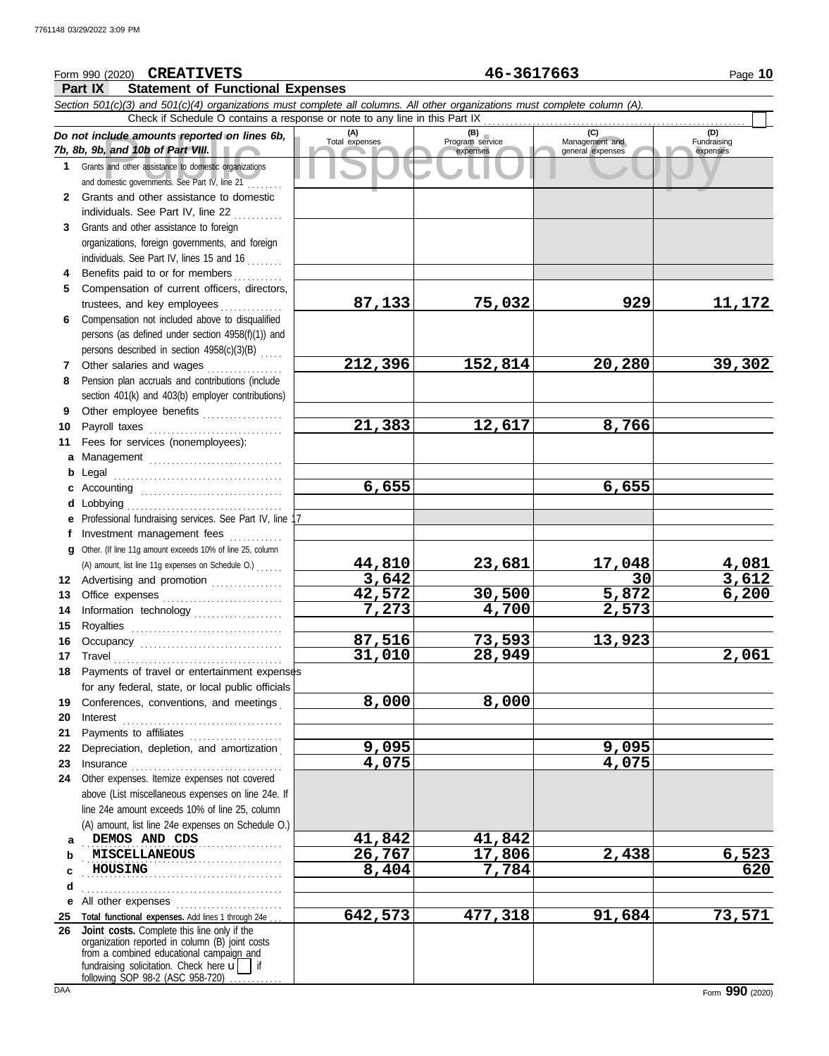#### Course amounts reported on lines 6b, Total expenses<br>
Program service Management and Copyright Service Expenses<br>
and other assistance to domestic organizations<br>
Sand other assistance to domestic organizations<br>
Sand other as **Part IX Statement of Functional Expenses** Form 990 (2020) Page **10** *Section 501(c)(3) and 501(c)(4) organizations must complete all columns. All other organizations must complete column (A). Do not include amounts reported on lines 6b, 7b, 8b, 9b, and 10b of Part VIII.* **1 2 3 4** Benefits paid to or for members **........**.. **5 6** Compensation not included above to disqualified **7** Other salaries and wages **. . . . . . . . . . . .** . . **8 9 10** Payroll taxes ............................... **11 a** Management .............................. **b** Legal **c** Accounting . . . . . . . . . . . . . . . . . . . . . . . . . . . . . . . . **d e** Professional fundraising services. See Part IV, line 17 **f g 12** Advertising and promotion ............... **13** Office expenses **.......................**... **14 15 16 17** Travel . . . . . . . . . . . . . . . . . . . . . . . . . . . . . . . . . . . . . . **18** Payments of travel or entertainment expenses **19 20** Interest . . . . . . . . . . . . . . . . . . . . . . . . . . . . . . . . . . . . **21 22** Depreciation, depletion, and amortization . **23** Insurance . . . . . . . . . . . . . . . . . . . . . . . . . . . . . . . . . . **24** Other expenses. Itemize expenses not covered **a** DEMOS AND CDS **41,842 41,842 b c d** . . . . . . . . . . . . . . . . . . . . . . . . . . . . . . . . . . . . . . . . . . . . . **e** All other expenses . . . . . . . . . . . . . . . . . . . . . . . . **25 Total functional expenses.** Add lines 1 through 24e . . . **26** Grants and other assistance to domestic organizations and domestic governments. See Part IV, line 21 . . . . . . . . Grants and other assistance to domestic individuals. See Part IV, line 22 Grants and other assistance to foreign organizations, foreign governments, and foreign individuals. See Part IV, lines 15 and 16 Compensation of current officers, directors, trustees, and key employees ............... persons (as defined under section 4958(f)(1)) and persons described in section 4958(c)(3)(B) . . . . . Pension plan accruals and contributions (include section 401(k) and 403(b) employer contributions) Other employee benefits .................. Fees for services (nonemployees): . . . . . . . . . . . . . . . . . . . . . . . . . . . . . . . . . . . . . . Lobbying . . . . . . . . . . . . . . . . . . . . . . . . . . . . . . . . . . . Investment management fees Other. (If line 11g amount exceeds 10% of line 25, column Information technology ..................... Royalties . . . . . . . . . . . . . . . . . . . . . . . . . . . . . . . . . . Occupancy . . . . . . . . . . . . . . . . . . . . . . . . . . . . . . . . for any federal, state, or local public officials Conferences, conventions, and meetings Payments to affiliates ....................... above (List miscellaneous expenses on line 24e. If line 24e amount exceeds 10% of line 25, column (A) amount, list line 24e expenses on Schedule O.) organization reported in column (B) joint costs from a combined educational campaign and **(A) (B) (C) (D)** Total expenses Program service Management and expenses (B)<br>
Program service Management and<br>
expenses general expenses Fundraising expenses . . . . . . . . . . . . . . . . . . . . . . . . . . . . . . . . . . . . . . . . . . . . . **MISCELLANEOUS 26,767 17,806 2,438 6,523** . . . . . . . . . . . . . . . . . . . . . . . . . . . . . . . . . . . . . . . . . . . . . **HOUSING 8,404 7,784 620** Check if Schedule O contains a response or note to any line in this Part IX **Joint costs.** Complete this line only if the (A) amount, list line 11g expenses on Schedule O.) . . . . . . **CREATIVETS 46-3617663 87,133 75,032 929 11,172 212,396 152,814 20,280 39,302 21,383 12,617 8,766 6,655 6,655 44,810 23,681 17,048 4,081 3,642 30 3,612 42,572 30,500 5,872 6,200 7,273 4,700 2,573 87,516 73,593 13,923 31,010 28,949 2,061 8,000 8,000 9,095 9,095 4,075 4,075 642,573 477,318 91,684 73,571**

fundraising solicitation. Check here  $\mathbf{u}$  | if

following SOP 98-2 (ASC 958-720)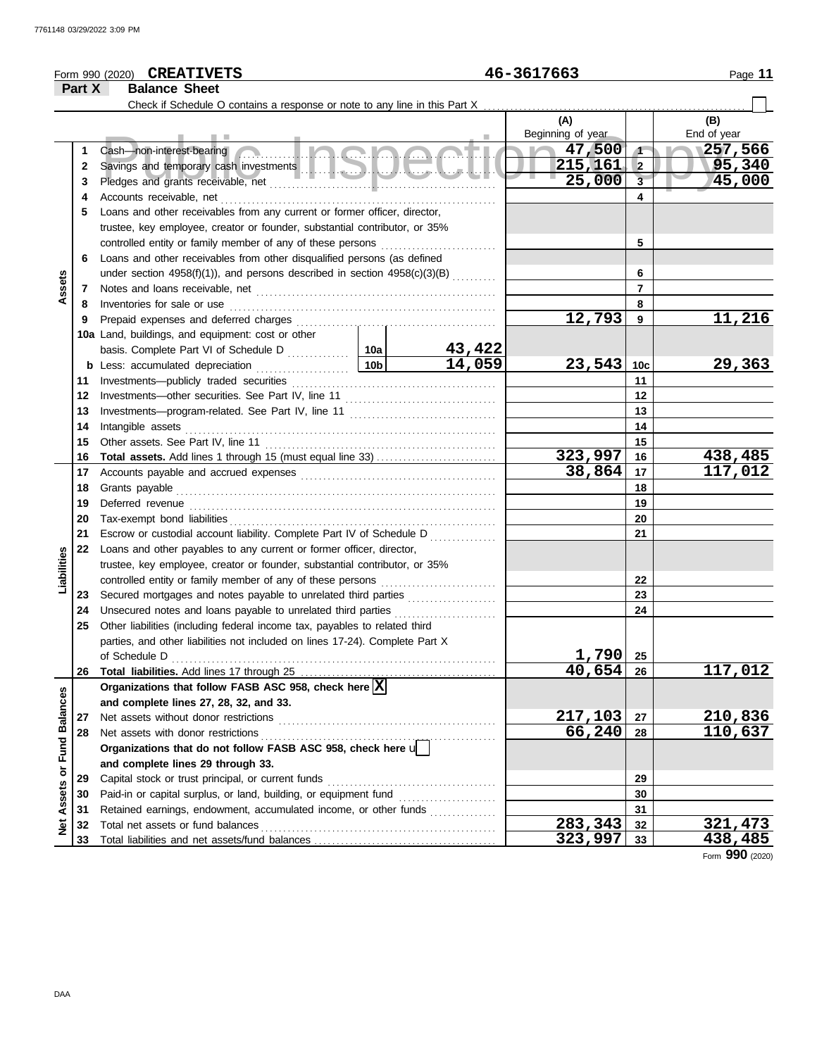#### **CREATIVETS 46-3617663** Form 990 (2020) Page **11 Part X Balance Sheet** Check if Schedule O contains a response or note to any line in this Part X **(A) (B)** Beginning of year Fund of year Example of the comming of year<br>Savings and temporary cash investments<br>Pledges and grants receivable, net that the comming of the copy of the copy of the copy of the copy of the copy<br>Alternative Copy of the Copy of the Copy Cash—non-interest-bearing **47,500 257,566 1 1 2 215,161 95,340 2** Savings and temporary cash investments . . . . . . . . . . . . . . . . . . . . . . . . . . . . . . . . . . . . . . . . . . . . **25,000 45,000 3 3** Pledges and grants receivable, net . . . . . . . . . . . . . . . . . . . . . . . . . . . . . . . . . . . . . . . . . . . . . . . . . . . **4 4** Accounts receivable, net **5** Loans and other receivables from any current or former officer, director, trustee, key employee, creator or founder, substantial contributor, or 35% controlled entity or family member of any of these persons **5 6** Loans and other receivables from other disqualified persons (as defined **6** under section 4958(f)(1)), and persons described in section 4958(c)(3)(B) .......... **Assets 7 7** Notes and loans receivable, net . . . . . . . . . . . . . . . . . . . . . . . . . . . . . . . . . . . . . . . . . . . . . . . . . . . . . . Inventories for sale or use . . . . . . . . . . . . . . . . . . . . . . . . . . . . . . . . . . . . . . . . . . . . . . . . . . . . . . . . . . . . **8 8 12,793 11,216 9 9** Prepaid expenses and deferred charges . . . . . . . . . . . . . . . . . . . . . . . . . . . . . . . . . . . . . . . . . . . . . **10a** Land, buildings, and equipment: cost or other basis. Complete Part VI of Schedule D .............. **10a 43,422**  $|10b|$ **14,059 23,543 29,363 10c b** Less: accumulated depreciation ..................... **11** Investments—publicly traded securities . . . . . . . . . . . . . . . . . . . . . . . . . . . . . . . . . . . . . . . . . . . . . . **11 12 12** Investments—other securities. See Part IV, line 11 . . . . . . . . . . . . . . . . . . . . . . . . . . . . . . . . . . Investments—program-related. See Part IV, line 11 . . . . . . . . . . . . . . . . . . . . . . . . . . . . . . . . . **13 13 14 14** Intangible assets . . . . . . . . . . . . . . . . . . . . . . . . . . . . . . . . . . . . . . . . . . . . . . . . . . . . . . . . . . . . . . . . . . . . . . Other assets. See Part IV, line 11 . . . . . . . . . . . . . . . . . . . . . . . . . . . . . . . . . . . . . . . . . . . . . . . . . . . . **15 15 323,997 438,485 16 Total assets.** Add lines 1 through 15 (must equal line 33) . . . . . . . . . . . . . . . . . . . . . . . . . . . **16** Accounts payable and accrued expenses . . . . . . . . . . . . . . . . . . . . . . . . . . . . . . . . . . . . . . . . . . . . **17 17 38,864 117,012** Grants payable . . . . . . . . . . . . . . . . . . . . . . . . . . . . . . . . . . . . . . . . . . . . . . . . . . . . . . . . . . . . . . . . . . . . . . . . **18 18** Deferred revenue . . . . . . . . . . . . . . . . . . . . . . . . . . . . . . . . . . . . . . . . . . . . . . . . . . . . . . . . . . . . . . . . . . . . . **19 19** Tax-exempt bond liabilities . . . . . . . . . . . . . . . . . . . . . . . . . . . . . . . . . . . . . . . . . . . . . . . . . . . . . . . . . . . . **20 20** Escrow or custodial account liability. Complete Part IV of Schedule D . . . . . . . . . . . . . . . **21 21 22** Loans and other payables to any current or former officer, director, **Liabilities** trustee, key employee, creator or founder, substantial contributor, or 35% controlled entity or family member of any of these persons . . . . . . . . . . . . . . . . . . . . . . . . . . **22** Secured mortgages and notes payable to unrelated third parties . . . . . . . . . . . . . . . . . . . . **23 23** Unsecured notes and loans payable to unrelated third parties . . . . . . . . . . . . . . . . . . . . . . . **24 24 25** Other liabilities (including federal income tax, payables to related third parties, and other liabilities not included on lines 17-24). Complete Part X **1,790** of Schedule D . . . . . . . . . . . . . . . . . . . . . . . . . . . . . . . . . . . . . . . . . . . . . . . . . . . . . . . . . . . . . . . . . . . . . . . . . **25 40,654 117,012 26 26** Total liabilities. Add lines 17 through 25 .............. Organizations that follow FASB ASC 958, check here  $\boxed{\text{X}}$ Net Assets or Fund Balances **Net Assets or Fund Balances and complete lines 27, 28, 32, and 33.** Net assets without donor restrictions **217,103 210,836 27 27** Net assets with donor restrictions . . . . . . . . . . . . . . . . . . . . . . . . . . . . . . . . . . . . . . . . . . . . . . . . . . . . . **66,240 110,637 28 28 Organizations that do not follow FASB ASC 958, check here** u **and complete lines 29 through 33.** Capital stock or trust principal, or current funds . . . . . . . . . . . . . . . . . . . . . . . . . . . . . . . . . . . . . . **29 29** Paid-in or capital surplus, or land, building, or equipment fund . . . . . . . . . . . . . . . . . . . . . . **30 30** Retained earnings, endowment, accumulated income, or other funds . . . . . . . . . . . . . . . . . . **31 31 283,343 321,473** Total net assets or fund balances . . . . . . . . . . . . . . . . . . . . . . . . . . . . . . . . . . . . . . . . . . . . . . . . . . . . . **32 32 323,997 438,485 33** Total liabilities and net assets/fund balances ................................ **33**

Form **990** (2020)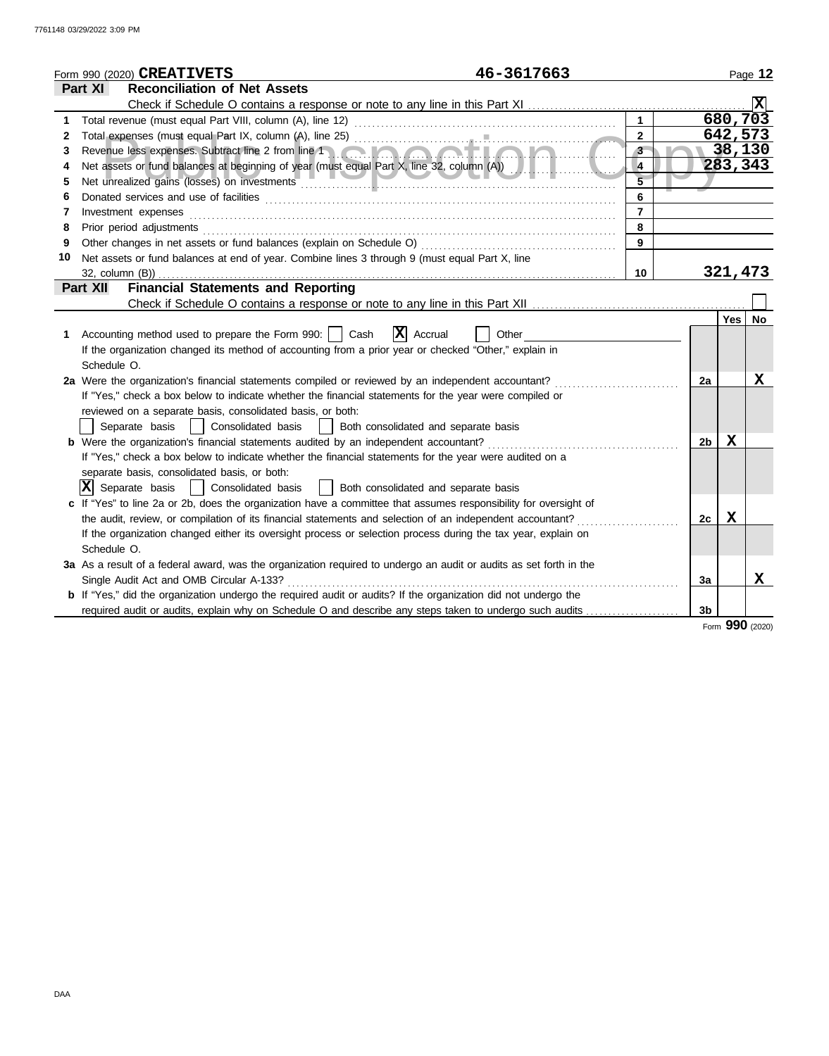|    | 46-3617663<br>Form 990 (2020) CREATIVETS                                                                                                                                                                                       |                |               |                |         | Page 12   |
|----|--------------------------------------------------------------------------------------------------------------------------------------------------------------------------------------------------------------------------------|----------------|---------------|----------------|---------|-----------|
|    | Part XI<br><b>Reconciliation of Net Assets</b>                                                                                                                                                                                 |                |               |                |         |           |
|    |                                                                                                                                                                                                                                |                |               |                |         |           |
| 1  |                                                                                                                                                                                                                                |                |               |                |         | 680,703   |
| 2  |                                                                                                                                                                                                                                | $\overline{2}$ |               |                | 642,573 |           |
| 3  | Revenue less expenses. Subtract line 2 from line 1                                                                                                                                                                             | $3 -$          | $\mathcal{R}$ |                |         | 38,130    |
| 4  | Net assets or fund balances at beginning of year (must equal Part X, line 32, column (A))                                                                                                                                      | 4              |               |                |         | 283,343   |
| 5  | Net unrealized gains (losses) on investments [1999] with a series and the series of the series of the series of the series of the series of the series of the series of the series of the series of the series of the series o | $\overline{5}$ |               |                |         |           |
| 6  |                                                                                                                                                                                                                                | 6              |               |                |         |           |
| 7  | Investment expenses                                                                                                                                                                                                            | $\overline{7}$ |               |                |         |           |
| 8  | Prior period adjustments                                                                                                                                                                                                       | 8              |               |                |         |           |
| 9  | Other changes in net assets or fund balances (explain on Schedule O)                                                                                                                                                           | 9              |               |                |         |           |
| 10 | Net assets or fund balances at end of year. Combine lines 3 through 9 (must equal Part X, line                                                                                                                                 |                |               |                |         |           |
|    | $32$ , column $(B)$ )                                                                                                                                                                                                          | 10             |               |                | 321,473 |           |
|    | <b>Financial Statements and Reporting</b><br><b>Part XII</b>                                                                                                                                                                   |                |               |                |         |           |
|    |                                                                                                                                                                                                                                |                |               |                |         |           |
|    |                                                                                                                                                                                                                                |                |               |                | Yes     | <b>No</b> |
| 1  | $ \mathbf{X} $ Accrual<br>Accounting method used to prepare the Form 990:     Cash<br>Other                                                                                                                                    |                |               |                |         |           |
|    | If the organization changed its method of accounting from a prior year or checked "Other," explain in                                                                                                                          |                |               |                |         |           |
|    | Schedule O.                                                                                                                                                                                                                    |                |               |                |         |           |
|    | 2a Were the organization's financial statements compiled or reviewed by an independent accountant?                                                                                                                             |                |               | 2a             |         | X         |
|    | If "Yes," check a box below to indicate whether the financial statements for the year were compiled or                                                                                                                         |                |               |                |         |           |
|    | reviewed on a separate basis, consolidated basis, or both:                                                                                                                                                                     |                |               |                |         |           |
|    | Separate basis<br>Consolidated basis<br>Both consolidated and separate basis<br>$\mathbf{1}$                                                                                                                                   |                |               |                |         |           |
|    | <b>b</b> Were the organization's financial statements audited by an independent accountant?                                                                                                                                    |                |               | 2 <sub>b</sub> | x       |           |
|    | If "Yes," check a box below to indicate whether the financial statements for the year were audited on a<br>separate basis, consolidated basis, or both:                                                                        |                |               |                |         |           |
|    | $ \mathbf{X} $ Separate basis<br>Consolidated basis<br>Both consolidated and separate basis                                                                                                                                    |                |               |                |         |           |
|    | c If "Yes" to line 2a or 2b, does the organization have a committee that assumes responsibility for oversight of                                                                                                               |                |               |                |         |           |
|    | the audit, review, or compilation of its financial statements and selection of an independent accountant?                                                                                                                      |                |               | 2с             | X       |           |
|    | If the organization changed either its oversight process or selection process during the tax year, explain on                                                                                                                  |                |               |                |         |           |
|    | Schedule O.                                                                                                                                                                                                                    |                |               |                |         |           |
|    | 3a As a result of a federal award, was the organization required to undergo an audit or audits as set forth in the                                                                                                             |                |               |                |         |           |
|    | Single Audit Act and OMB Circular A-133?                                                                                                                                                                                       |                |               | 3a             |         | х         |
|    | b If "Yes," did the organization undergo the required audit or audits? If the organization did not undergo the                                                                                                                 |                |               |                |         |           |
|    | required audit or audits, explain why on Schedule O and describe any steps taken to undergo such audits                                                                                                                        |                |               | 3 <sub>b</sub> |         |           |
|    |                                                                                                                                                                                                                                |                |               |                | nnn.    |           |

Form **990** (2020)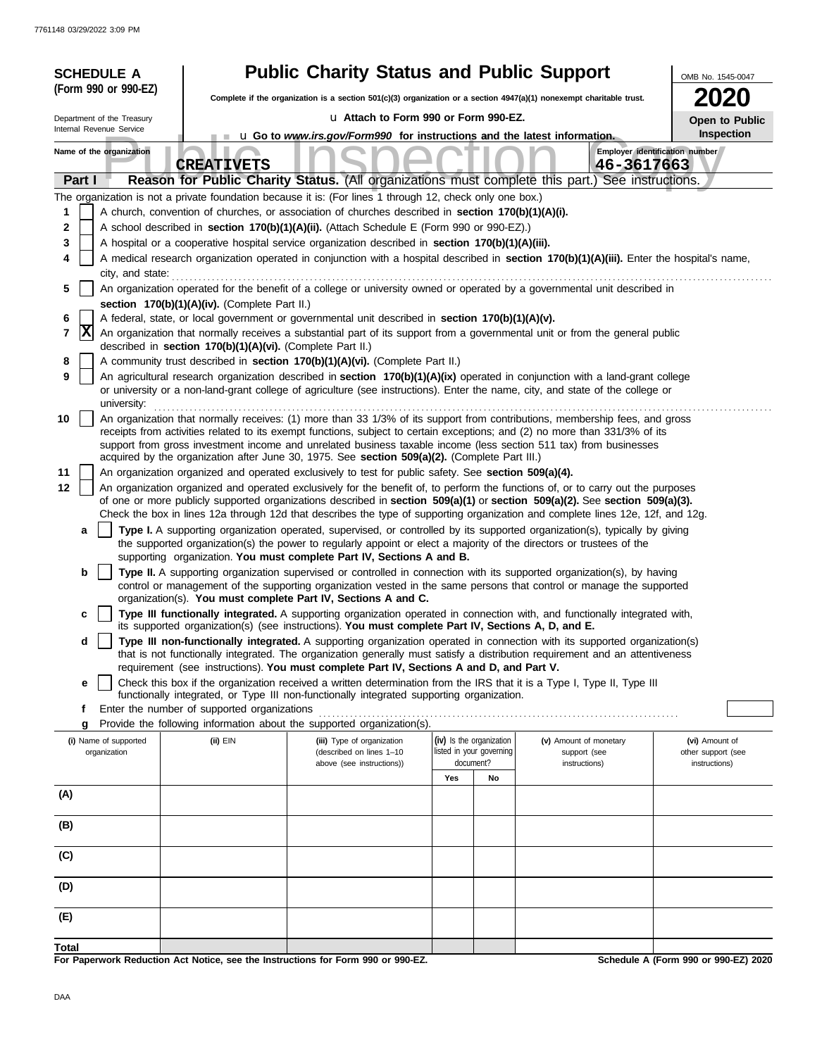|        |        | <b>SCHEDULE A</b>          |                                                                                                   | <b>Public Charity Status and Public Support</b>                                                                                                                                                                                                                 |                                                                                                                                            |                                       |                               | OMB No. 1545-0047                    |  |  |  |  |  |  |  |
|--------|--------|----------------------------|---------------------------------------------------------------------------------------------------|-----------------------------------------------------------------------------------------------------------------------------------------------------------------------------------------------------------------------------------------------------------------|--------------------------------------------------------------------------------------------------------------------------------------------|---------------------------------------|-------------------------------|--------------------------------------|--|--|--|--|--|--|--|
|        |        | (Form 990 or 990-EZ)       |                                                                                                   | Complete if the organization is a section 501(c)(3) organization or a section $4947(a)(1)$ nonexempt charitable trust.                                                                                                                                          |                                                                                                                                            |                                       |                               | <b>2020</b>                          |  |  |  |  |  |  |  |
|        |        | Department of the Treasury |                                                                                                   | La Attach to Form 990 or Form 990-EZ.                                                                                                                                                                                                                           |                                                                                                                                            |                                       |                               | Open to Public                       |  |  |  |  |  |  |  |
|        |        | Internal Revenue Service   |                                                                                                   | <b>u</b> Go to <i>www.irs.gov/Form990</i> for instructions and the latest information.                                                                                                                                                                          |                                                                                                                                            |                                       |                               | Inspection                           |  |  |  |  |  |  |  |
|        |        | Name of the organization   | <b>CREATIVETS</b>                                                                                 |                                                                                                                                                                                                                                                                 |                                                                                                                                            |                                       | 46-3617663                    | Employer identification number       |  |  |  |  |  |  |  |
|        | Part I |                            |                                                                                                   | Reason for Public Charity Status. (All organizations must complete this part.) See instructions.                                                                                                                                                                |                                                                                                                                            |                                       |                               |                                      |  |  |  |  |  |  |  |
|        |        |                            |                                                                                                   | The organization is not a private foundation because it is: (For lines 1 through 12, check only one box.)                                                                                                                                                       |                                                                                                                                            |                                       |                               |                                      |  |  |  |  |  |  |  |
| 1      |        |                            |                                                                                                   | A church, convention of churches, or association of churches described in section 170(b)(1)(A)(i).<br>A school described in section 170(b)(1)(A)(ii). (Attach Schedule E (Form 990 or 990-EZ).)                                                                 |                                                                                                                                            |                                       |                               |                                      |  |  |  |  |  |  |  |
| 2      |        |                            |                                                                                                   |                                                                                                                                                                                                                                                                 |                                                                                                                                            |                                       |                               |                                      |  |  |  |  |  |  |  |
| 3<br>4 |        |                            | A hospital or a cooperative hospital service organization described in section 170(b)(1)(A)(iii). |                                                                                                                                                                                                                                                                 | A medical research organization operated in conjunction with a hospital described in section 170(b)(1)(A)(iii). Enter the hospital's name, |                                       |                               |                                      |  |  |  |  |  |  |  |
|        |        | city, and state:           |                                                                                                   |                                                                                                                                                                                                                                                                 |                                                                                                                                            |                                       |                               |                                      |  |  |  |  |  |  |  |
| 5      |        |                            |                                                                                                   | An organization operated for the benefit of a college or university owned or operated by a governmental unit described in                                                                                                                                       |                                                                                                                                            |                                       |                               |                                      |  |  |  |  |  |  |  |
|        |        |                            | section 170(b)(1)(A)(iv). (Complete Part II.)                                                     |                                                                                                                                                                                                                                                                 |                                                                                                                                            |                                       |                               |                                      |  |  |  |  |  |  |  |
| 6<br>7 | X      |                            |                                                                                                   | A federal, state, or local government or governmental unit described in section 170(b)(1)(A)(v).<br>An organization that normally receives a substantial part of its support from a governmental unit or from the general public                                |                                                                                                                                            |                                       |                               |                                      |  |  |  |  |  |  |  |
|        |        |                            | described in section 170(b)(1)(A)(vi). (Complete Part II.)                                        |                                                                                                                                                                                                                                                                 |                                                                                                                                            |                                       |                               |                                      |  |  |  |  |  |  |  |
| 8      |        |                            |                                                                                                   | A community trust described in section 170(b)(1)(A)(vi). (Complete Part II.)                                                                                                                                                                                    |                                                                                                                                            |                                       |                               |                                      |  |  |  |  |  |  |  |
| 9      |        | university:                |                                                                                                   | An agricultural research organization described in section 170(b)(1)(A)(ix) operated in conjunction with a land-grant college<br>or university or a non-land-grant college of agriculture (see instructions). Enter the name, city, and state of the college or |                                                                                                                                            |                                       |                               |                                      |  |  |  |  |  |  |  |
| 10     |        |                            |                                                                                                   | An organization that normally receives: (1) more than 33 1/3% of its support from contributions, membership fees, and gross                                                                                                                                     |                                                                                                                                            |                                       |                               |                                      |  |  |  |  |  |  |  |
|        |        |                            |                                                                                                   | receipts from activities related to its exempt functions, subject to certain exceptions; and (2) no more than 331/3% of its<br>support from gross investment income and unrelated business taxable income (less section 511 tax) from businesses                |                                                                                                                                            |                                       |                               |                                      |  |  |  |  |  |  |  |
|        |        |                            |                                                                                                   | acquired by the organization after June 30, 1975. See section 509(a)(2). (Complete Part III.)                                                                                                                                                                   |                                                                                                                                            |                                       |                               |                                      |  |  |  |  |  |  |  |
| 11     |        |                            |                                                                                                   | An organization organized and operated exclusively to test for public safety. See section 509(a)(4).                                                                                                                                                            |                                                                                                                                            |                                       |                               |                                      |  |  |  |  |  |  |  |
| 12     |        |                            |                                                                                                   | An organization organized and operated exclusively for the benefit of, to perform the functions of, or to carry out the purposes<br>of one or more publicly supported organizations described in section 509(a)(1) or section 509(a)(2). See section 509(a)(3). |                                                                                                                                            |                                       |                               |                                      |  |  |  |  |  |  |  |
|        |        |                            |                                                                                                   | Check the box in lines 12a through 12d that describes the type of supporting organization and complete lines 12e, 12f, and 12g.                                                                                                                                 |                                                                                                                                            |                                       |                               |                                      |  |  |  |  |  |  |  |
|        | а      |                            |                                                                                                   | Type I. A supporting organization operated, supervised, or controlled by its supported organization(s), typically by giving                                                                                                                                     |                                                                                                                                            |                                       |                               |                                      |  |  |  |  |  |  |  |
|        |        |                            |                                                                                                   | the supported organization(s) the power to regularly appoint or elect a majority of the directors or trustees of the<br>supporting organization. You must complete Part IV, Sections A and B.                                                                   |                                                                                                                                            |                                       |                               |                                      |  |  |  |  |  |  |  |
|        | b      |                            |                                                                                                   | Type II. A supporting organization supervised or controlled in connection with its supported organization(s), by having                                                                                                                                         |                                                                                                                                            |                                       |                               |                                      |  |  |  |  |  |  |  |
|        |        |                            |                                                                                                   | control or management of the supporting organization vested in the same persons that control or manage the supported                                                                                                                                            |                                                                                                                                            |                                       |                               |                                      |  |  |  |  |  |  |  |
|        | c      |                            |                                                                                                   | organization(s). You must complete Part IV, Sections A and C.<br>Type III functionally integrated. A supporting organization operated in connection with, and functionally integrated with,                                                                     |                                                                                                                                            |                                       |                               |                                      |  |  |  |  |  |  |  |
|        |        |                            |                                                                                                   | its supported organization(s) (see instructions). You must complete Part IV, Sections A, D, and E.                                                                                                                                                              |                                                                                                                                            |                                       |                               |                                      |  |  |  |  |  |  |  |
|        | d      |                            |                                                                                                   | Type III non-functionally integrated. A supporting organization operated in connection with its supported organization(s)                                                                                                                                       |                                                                                                                                            |                                       |                               |                                      |  |  |  |  |  |  |  |
|        |        |                            |                                                                                                   | that is not functionally integrated. The organization generally must satisfy a distribution requirement and an attentiveness<br>requirement (see instructions). You must complete Part IV, Sections A and D, and Part V.                                        |                                                                                                                                            |                                       |                               |                                      |  |  |  |  |  |  |  |
|        | е      |                            |                                                                                                   | Check this box if the organization received a written determination from the IRS that it is a Type I, Type II, Type III                                                                                                                                         |                                                                                                                                            |                                       |                               |                                      |  |  |  |  |  |  |  |
|        | f      |                            | Enter the number of supported organizations                                                       | functionally integrated, or Type III non-functionally integrated supporting organization.                                                                                                                                                                       |                                                                                                                                            |                                       |                               |                                      |  |  |  |  |  |  |  |
|        | g      |                            |                                                                                                   | Provide the following information about the supported organization(s).                                                                                                                                                                                          |                                                                                                                                            |                                       |                               |                                      |  |  |  |  |  |  |  |
|        |        | (i) Name of supported      | $(ii)$ EIN                                                                                        | (iii) Type of organization                                                                                                                                                                                                                                      |                                                                                                                                            | (iv) Is the organization              | (v) Amount of monetary        | (vi) Amount of                       |  |  |  |  |  |  |  |
|        |        | organization               |                                                                                                   | (described on lines 1-10<br>above (see instructions))                                                                                                                                                                                                           |                                                                                                                                            | listed in your governing<br>document? | support (see<br>instructions) | other support (see<br>instructions)  |  |  |  |  |  |  |  |
|        |        |                            |                                                                                                   |                                                                                                                                                                                                                                                                 | Yes                                                                                                                                        | No                                    |                               |                                      |  |  |  |  |  |  |  |
| (A)    |        |                            |                                                                                                   |                                                                                                                                                                                                                                                                 |                                                                                                                                            |                                       |                               |                                      |  |  |  |  |  |  |  |
|        |        |                            |                                                                                                   |                                                                                                                                                                                                                                                                 |                                                                                                                                            |                                       |                               |                                      |  |  |  |  |  |  |  |
| (B)    |        |                            |                                                                                                   |                                                                                                                                                                                                                                                                 |                                                                                                                                            |                                       |                               |                                      |  |  |  |  |  |  |  |
| (C)    |        |                            |                                                                                                   |                                                                                                                                                                                                                                                                 |                                                                                                                                            |                                       |                               |                                      |  |  |  |  |  |  |  |
|        |        |                            |                                                                                                   |                                                                                                                                                                                                                                                                 |                                                                                                                                            |                                       |                               |                                      |  |  |  |  |  |  |  |
| (D)    |        |                            |                                                                                                   |                                                                                                                                                                                                                                                                 |                                                                                                                                            |                                       |                               |                                      |  |  |  |  |  |  |  |
| (E)    |        |                            |                                                                                                   |                                                                                                                                                                                                                                                                 |                                                                                                                                            |                                       |                               |                                      |  |  |  |  |  |  |  |
|        |        |                            |                                                                                                   |                                                                                                                                                                                                                                                                 |                                                                                                                                            |                                       |                               |                                      |  |  |  |  |  |  |  |
| Total  |        |                            |                                                                                                   | For Paperwork Reduction Act Notice, see the Instructions for Form 990 or 990-F7                                                                                                                                                                                 |                                                                                                                                            |                                       |                               | Schodule A (Form 990 or 990-F7) 2020 |  |  |  |  |  |  |  |

**For Paperwork Reduction Act Notice, see the Instructions for Form 990 or 990-EZ.**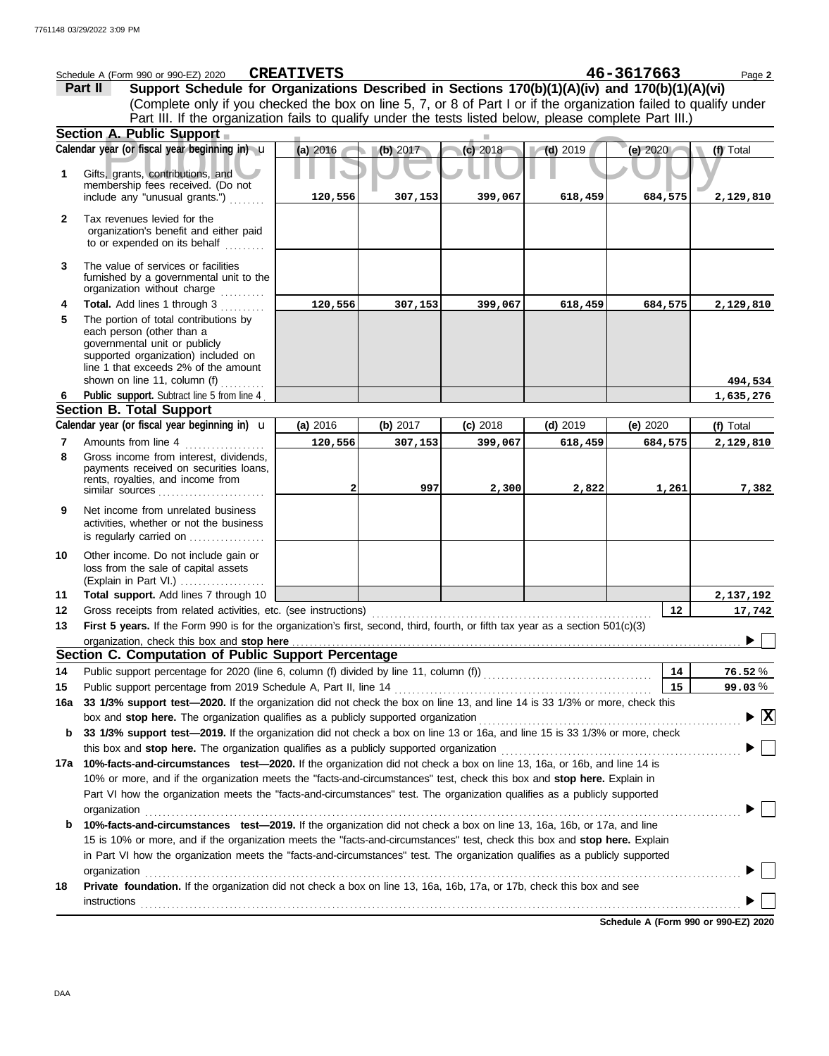|              | Schedule A (Form 990 or 990-EZ) 2020                                                                                              | <b>CREATIVETS</b>   |          |                       |            | 46-3617663                           | Page 2       |
|--------------|-----------------------------------------------------------------------------------------------------------------------------------|---------------------|----------|-----------------------|------------|--------------------------------------|--------------|
|              | Support Schedule for Organizations Described in Sections 170(b)(1)(A)(iv) and 170(b)(1)(A)(vi)<br>Part II                         |                     |          |                       |            |                                      |              |
|              | (Complete only if you checked the box on line 5, 7, or 8 of Part I or if the organization failed to qualify under                 |                     |          |                       |            |                                      |              |
|              | Part III. If the organization fails to qualify under the tests listed below, please complete Part III.)                           |                     |          |                       |            |                                      |              |
|              | Section A. Public Support                                                                                                         |                     |          |                       |            |                                      |              |
|              | Calendar year (or fiscal year beginning in) u                                                                                     | (a) 2016            | (b) 2017 | (c) 2018              | $(d)$ 2019 | (e) 2020                             | (f) Total    |
| 1            | Gifts, grants, contributions, and                                                                                                 |                     |          |                       |            |                                      |              |
|              | membership fees received. (Do not                                                                                                 |                     |          |                       |            |                                      |              |
|              | include any "unusual grants.")                                                                                                    | 120,556             | 307,153  | 399,067               | 618,459    | 684,575                              | 2,129,810    |
| $\mathbf{2}$ | Tax revenues levied for the                                                                                                       |                     |          |                       |            |                                      |              |
|              | organization's benefit and either paid<br>to or expended on its behalf                                                            |                     |          |                       |            |                                      |              |
|              |                                                                                                                                   |                     |          |                       |            |                                      |              |
| 3            | The value of services or facilities                                                                                               |                     |          |                       |            |                                      |              |
|              | furnished by a governmental unit to the<br>organization without charge                                                            |                     |          |                       |            |                                      |              |
| 4            | Total. Add lines 1 through 3                                                                                                      | 120,556             | 307,153  | 399,067               | 618,459    | 684,575                              | 2,129,810    |
| 5            | The portion of total contributions by                                                                                             |                     |          |                       |            |                                      |              |
|              | each person (other than a                                                                                                         |                     |          |                       |            |                                      |              |
|              | governmental unit or publicly<br>supported organization) included on                                                              |                     |          |                       |            |                                      |              |
|              | line 1 that exceeds 2% of the amount                                                                                              |                     |          |                       |            |                                      |              |
|              | shown on line 11, column (f)                                                                                                      |                     |          |                       |            |                                      | 494,534      |
| 6            | Public support. Subtract line 5 from line 4                                                                                       |                     |          |                       |            |                                      | 1,635,276    |
|              | <b>Section B. Total Support</b><br>Calendar year (or fiscal year beginning in) <b>u</b>                                           |                     | (b) 2017 |                       |            |                                      |              |
| 7            | Amounts from line 4                                                                                                               | (a) 2016<br>120,556 |          | $(c)$ 2018<br>399,067 | $(d)$ 2019 | (e) $2020$                           | (f) Total    |
| 8            | Gross income from interest, dividends,                                                                                            |                     | 307,153  |                       | 618,459    | 684,575                              | 2,129,810    |
|              | payments received on securities loans,                                                                                            |                     |          |                       |            |                                      |              |
|              | rents, royalties, and income from                                                                                                 |                     | 997      | 2,300                 | 2,822      | 1,261                                | 7,382        |
|              | similar sources $\ldots$ , $\ldots$ , $\ldots$ , $\ldots$ , $\ldots$                                                              |                     |          |                       |            |                                      |              |
| 9            | Net income from unrelated business<br>activities, whether or not the business                                                     |                     |          |                       |            |                                      |              |
|              | is regularly carried on                                                                                                           |                     |          |                       |            |                                      |              |
| 10           | Other income. Do not include gain or                                                                                              |                     |          |                       |            |                                      |              |
|              | loss from the sale of capital assets                                                                                              |                     |          |                       |            |                                      |              |
|              | (Explain in Part VI.)                                                                                                             |                     |          |                       |            |                                      |              |
| 11           | Total support. Add lines 7 through 10                                                                                             |                     |          |                       |            |                                      | 2,137,192    |
| 12           | Gross receipts from related activities, etc. (see instructions)                                                                   |                     |          |                       |            | 12                                   | 17,742       |
| 13           | First 5 years. If the Form 990 is for the organization's first, second, third, fourth, or fifth tax year as a section $501(c)(3)$ |                     |          |                       |            |                                      |              |
|              | organization, check this box and stop here<br>Section C. Computation of Public Support Percentage                                 |                     |          |                       |            |                                      |              |
| 14           | Public support percentage for 2020 (line 6, column (f) divided by line 11, column (f)) [[[[[[[[[[[[[[[[[[[[[[                     |                     |          |                       |            | 14                                   | 76.52%       |
| 15           | Public support percentage from 2019 Schedule A, Part II, line 14                                                                  |                     |          |                       |            | 15                                   | 99.03%       |
| 16a          | 33 1/3% support test-2020. If the organization did not check the box on line 13, and line 14 is 33 1/3% or more, check this       |                     |          |                       |            |                                      |              |
|              | box and stop here. The organization qualifies as a publicly supported organization                                                |                     |          |                       |            |                                      | $\mathbf{x}$ |
| b            | 33 1/3% support test-2019. If the organization did not check a box on line 13 or 16a, and line 15 is 33 1/3% or more, check       |                     |          |                       |            |                                      |              |
|              | this box and stop here. The organization qualifies as a publicly supported organization                                           |                     |          |                       |            |                                      |              |
|              | 17a 10%-facts-and-circumstances test-2020. If the organization did not check a box on line 13, 16a, or 16b, and line 14 is        |                     |          |                       |            |                                      |              |
|              | 10% or more, and if the organization meets the "facts-and-circumstances" test, check this box and stop here. Explain in           |                     |          |                       |            |                                      |              |
|              | Part VI how the organization meets the "facts-and-circumstances" test. The organization qualifies as a publicly supported         |                     |          |                       |            |                                      |              |
|              | organization                                                                                                                      |                     |          |                       |            |                                      |              |
| b            | 10%-facts-and-circumstances test-2019. If the organization did not check a box on line 13, 16a, 16b, or 17a, and line             |                     |          |                       |            |                                      |              |
|              | 15 is 10% or more, and if the organization meets the "facts-and-circumstances" test, check this box and stop here. Explain        |                     |          |                       |            |                                      |              |
|              | in Part VI how the organization meets the "facts-and-circumstances" test. The organization qualifies as a publicly supported      |                     |          |                       |            |                                      |              |
|              | organization                                                                                                                      |                     |          |                       |            |                                      |              |
| 18           | Private foundation. If the organization did not check a box on line 13, 16a, 16b, 17a, or 17b, check this box and see             |                     |          |                       |            |                                      |              |
|              | instructions                                                                                                                      |                     |          |                       |            |                                      |              |
|              |                                                                                                                                   |                     |          |                       |            | Schedule A (Form 990 or 990-EZ) 2020 |              |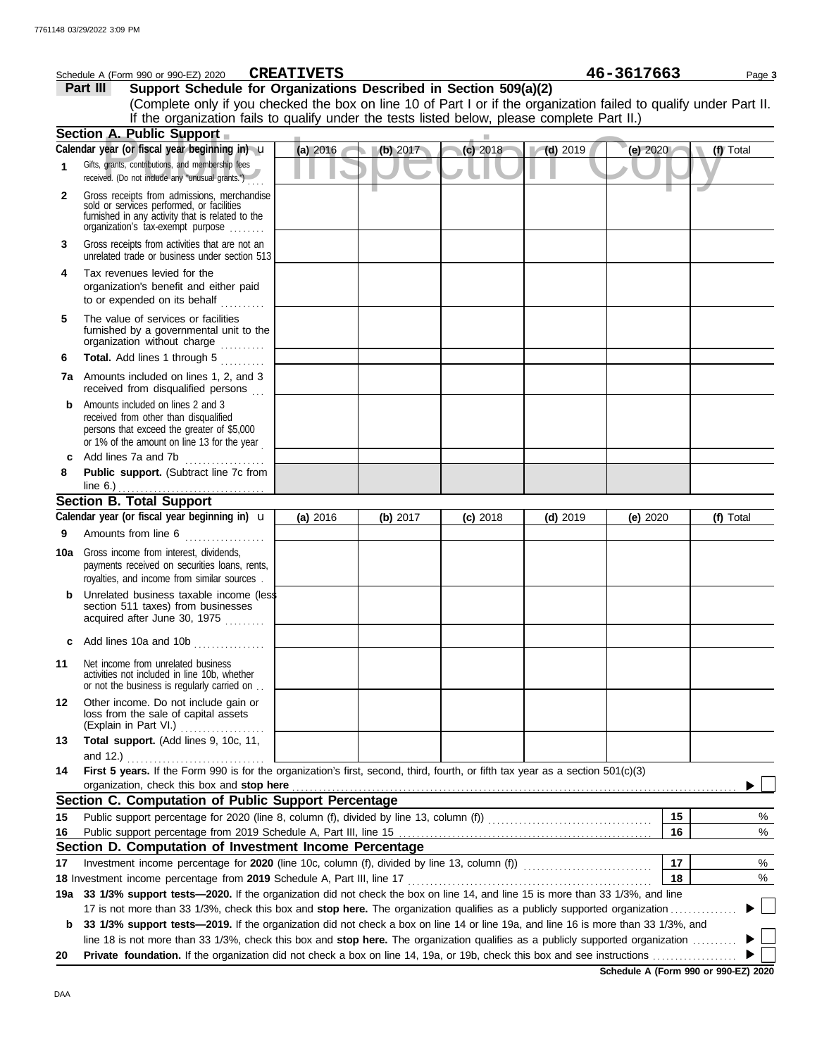| 46-3617663<br><b>CREATIVETS</b><br>Schedule A (Form 990 or 990-EZ) 2020<br>Page 3                                  |                                                                                                                                                                                   |          |          |            |            |            |           |
|--------------------------------------------------------------------------------------------------------------------|-----------------------------------------------------------------------------------------------------------------------------------------------------------------------------------|----------|----------|------------|------------|------------|-----------|
|                                                                                                                    | Support Schedule for Organizations Described in Section 509(a)(2)<br>Part III                                                                                                     |          |          |            |            |            |           |
| (Complete only if you checked the box on line 10 of Part I or if the organization failed to qualify under Part II. |                                                                                                                                                                                   |          |          |            |            |            |           |
|                                                                                                                    | If the organization fails to qualify under the tests listed below, please complete Part II.)                                                                                      |          |          |            |            |            |           |
|                                                                                                                    | Section A. Public Support                                                                                                                                                         |          |          |            |            |            |           |
|                                                                                                                    | Calendar year (or fiscal year beginning in) u                                                                                                                                     | (a) 2016 | (b) 2017 | $(c)$ 2018 | $(d)$ 2019 | (e) 2020   | (f) Total |
| 1                                                                                                                  | Gifts, grants, contributions, and membership fees<br>received. (Do not include any "unusual grants.")                                                                             |          |          |            |            |            |           |
| $\mathbf{2}$                                                                                                       | Gross receipts from admissions, merchandise<br>sold or services performed, or facilities<br>furnished in any activity that is related to the<br>organization's tax-exempt purpose |          |          |            |            |            |           |
| 3                                                                                                                  | Gross receipts from activities that are not an<br>unrelated trade or business under section 513                                                                                   |          |          |            |            |            |           |
| 4                                                                                                                  | Tax revenues levied for the<br>organization's benefit and either paid<br>to or expended on its behalf                                                                             |          |          |            |            |            |           |
| 5                                                                                                                  | The value of services or facilities<br>furnished by a governmental unit to the<br>organization without charge                                                                     |          |          |            |            |            |           |
| 6                                                                                                                  | Total. Add lines 1 through 5<br>.                                                                                                                                                 |          |          |            |            |            |           |
|                                                                                                                    | 7a Amounts included on lines 1, 2, and 3<br>received from disqualified persons                                                                                                    |          |          |            |            |            |           |
| b                                                                                                                  | Amounts included on lines 2 and 3<br>received from other than disqualified<br>persons that exceed the greater of \$5,000<br>or 1% of the amount on line 13 for the year           |          |          |            |            |            |           |
| c                                                                                                                  | Add lines 7a and 7b<br>.                                                                                                                                                          |          |          |            |            |            |           |
| 8                                                                                                                  | Public support. (Subtract line 7c from                                                                                                                                            |          |          |            |            |            |           |
|                                                                                                                    | <b>Section B. Total Support</b>                                                                                                                                                   |          |          |            |            |            |           |
|                                                                                                                    | Calendar year (or fiscal year beginning in) <b>u</b>                                                                                                                              | (a) 2016 | (b) 2017 | $(c)$ 2018 | $(d)$ 2019 | (e) $2020$ | (f) Total |
| 9                                                                                                                  | Amounts from line 6                                                                                                                                                               |          |          |            |            |            |           |
| 10a l                                                                                                              | Gross income from interest, dividends,<br>payments received on securities loans, rents,<br>royalties, and income from similar sources.                                            |          |          |            |            |            |           |
|                                                                                                                    | Unrelated business taxable income (less<br>section 511 taxes) from businesses<br>acquired after June 30, 1975                                                                     |          |          |            |            |            |           |
|                                                                                                                    | c Add lines 10a and 10b $\ldots$                                                                                                                                                  |          |          |            |            |            |           |
| 11                                                                                                                 | Net income from unrelated business<br>activities not included in line 10b, whether<br>or not the business is regularly carried on                                                 |          |          |            |            |            |           |
| 12                                                                                                                 | Other income. Do not include gain or<br>loss from the sale of capital assets<br>(Explain in Part VI.)                                                                             |          |          |            |            |            |           |
| 13                                                                                                                 | Total support. (Add lines 9, 10c, 11,<br>and 12.)                                                                                                                                 |          |          |            |            |            |           |
| 14                                                                                                                 | First 5 years. If the Form 990 is for the organization's first, second, third, fourth, or fifth tax year as a section 501(c)(3)<br>organization, check this box and stop here     |          |          |            |            |            |           |
|                                                                                                                    | Section C. Computation of Public Support Percentage                                                                                                                               |          |          |            |            |            |           |
| 15                                                                                                                 |                                                                                                                                                                                   |          |          |            |            | 15         | %         |
| 16                                                                                                                 |                                                                                                                                                                                   |          |          |            |            | 16         | %         |
|                                                                                                                    | Section D. Computation of Investment Income Percentage                                                                                                                            |          |          |            |            |            |           |
| 17                                                                                                                 |                                                                                                                                                                                   |          |          |            |            | 17         | %         |
|                                                                                                                    | 18 Investment income percentage from 2019 Schedule A, Part III, line 17                                                                                                           |          |          |            |            | 18         | %         |
|                                                                                                                    | 19a 33 1/3% support tests—2020. If the organization did not check the box on line 14, and line 15 is more than 33 1/3%, and line                                                  |          |          |            |            |            |           |
|                                                                                                                    | 17 is not more than 33 1/3%, check this box and stop here. The organization qualifies as a publicly supported organization                                                        |          |          |            |            |            |           |
| b                                                                                                                  | 33 1/3% support tests-2019. If the organization did not check a box on line 14 or line 19a, and line 16 is more than 33 1/3%, and                                                 |          |          |            |            |            |           |
|                                                                                                                    | line 18 is not more than 33 1/3%, check this box and stop here. The organization qualifies as a publicly supported organization                                                   |          |          |            |            |            |           |
| 20                                                                                                                 |                                                                                                                                                                                   |          |          |            |            |            |           |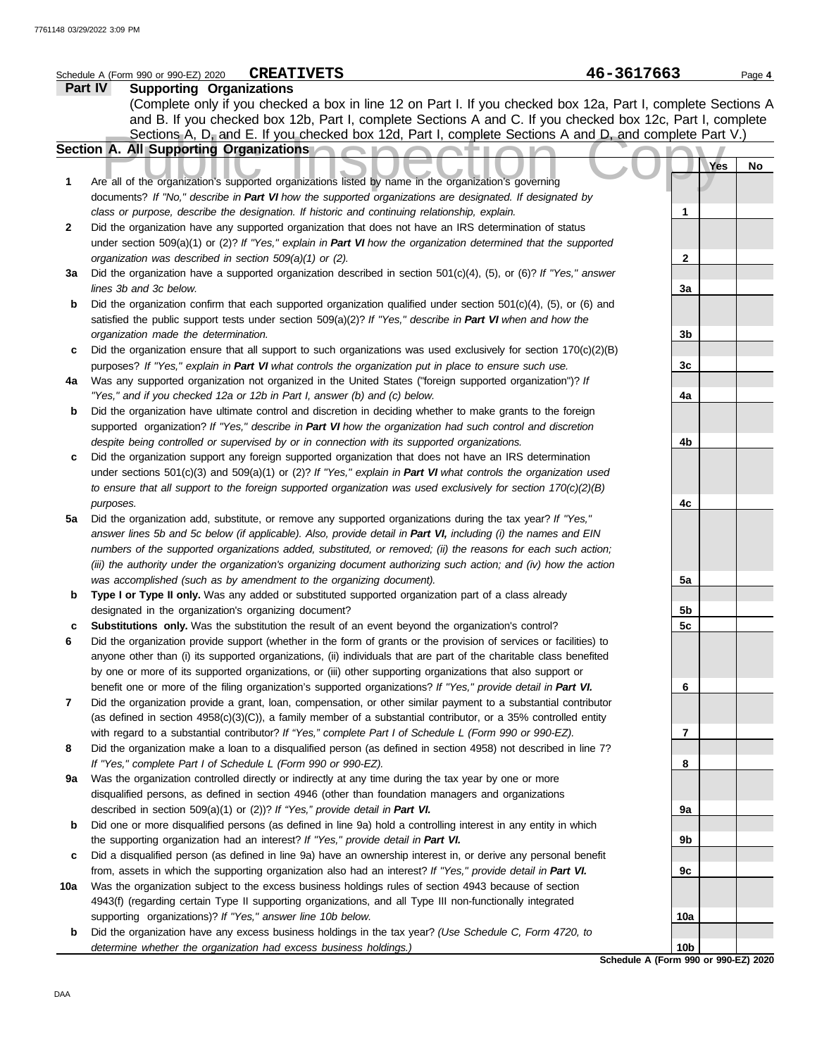|              | <b>CREATIVETS</b><br>Schedule A (Form 990 or 990-EZ) 2020                                                                                                                                                   | 46-3617663                           | Page 4 |
|--------------|-------------------------------------------------------------------------------------------------------------------------------------------------------------------------------------------------------------|--------------------------------------|--------|
|              | Part IV<br><b>Supporting Organizations</b>                                                                                                                                                                  |                                      |        |
|              | (Complete only if you checked a box in line 12 on Part I. If you checked box 12a, Part I, complete Sections A                                                                                               |                                      |        |
|              | and B. If you checked box 12b, Part I, complete Sections A and C. If you checked box 12c, Part I, complete                                                                                                  |                                      |        |
|              | Sections A, D, and E. If you checked box 12d, Part I, complete Sections A and D, and complete Part V.)                                                                                                      |                                      |        |
|              | Section A. All Supporting Organizations                                                                                                                                                                     |                                      |        |
|              |                                                                                                                                                                                                             | Yes                                  | No     |
| 1            | Are all of the organization's supported organizations listed by name in the organization's governing                                                                                                        |                                      |        |
|              | documents? If "No," describe in Part VI how the supported organizations are designated. If designated by                                                                                                    |                                      |        |
|              | class or purpose, describe the designation. If historic and continuing relationship, explain.                                                                                                               | 1                                    |        |
| $\mathbf{2}$ | Did the organization have any supported organization that does not have an IRS determination of status                                                                                                      |                                      |        |
|              | under section 509(a)(1) or (2)? If "Yes," explain in Part VI how the organization determined that the supported                                                                                             |                                      |        |
|              | organization was described in section 509(a)(1) or (2).                                                                                                                                                     | $\mathbf{2}$                         |        |
| За           | Did the organization have a supported organization described in section 501(c)(4), (5), or (6)? If "Yes," answer                                                                                            |                                      |        |
|              | lines 3b and 3c below.                                                                                                                                                                                      | За                                   |        |
| b            | Did the organization confirm that each supported organization qualified under section $501(c)(4)$ , (5), or (6) and                                                                                         |                                      |        |
|              | satisfied the public support tests under section 509(a)(2)? If "Yes," describe in Part VI when and how the                                                                                                  |                                      |        |
|              | organization made the determination.                                                                                                                                                                        | 3b                                   |        |
| c            | Did the organization ensure that all support to such organizations was used exclusively for section $170(c)(2)(B)$                                                                                          |                                      |        |
|              | purposes? If "Yes," explain in Part VI what controls the organization put in place to ensure such use.                                                                                                      | 3c                                   |        |
| 4a           | Was any supported organization not organized in the United States ("foreign supported organization")? If                                                                                                    |                                      |        |
|              | "Yes," and if you checked 12a or 12b in Part I, answer (b) and (c) below.                                                                                                                                   | 4a                                   |        |
| b            | Did the organization have ultimate control and discretion in deciding whether to make grants to the foreign                                                                                                 |                                      |        |
|              | supported organization? If "Yes," describe in Part VI how the organization had such control and discretion                                                                                                  |                                      |        |
|              | despite being controlled or supervised by or in connection with its supported organizations.                                                                                                                | 4b                                   |        |
| c            | Did the organization support any foreign supported organization that does not have an IRS determination                                                                                                     |                                      |        |
|              | under sections $501(c)(3)$ and $509(a)(1)$ or (2)? If "Yes," explain in Part VI what controls the organization used                                                                                         |                                      |        |
|              | to ensure that all support to the foreign supported organization was used exclusively for section $170(c)(2)(B)$                                                                                            |                                      |        |
|              | purposes.                                                                                                                                                                                                   | 4с                                   |        |
| 5a           | Did the organization add, substitute, or remove any supported organizations during the tax year? If "Yes,"                                                                                                  |                                      |        |
|              | answer lines 5b and 5c below (if applicable). Also, provide detail in Part VI, including (i) the names and EIN                                                                                              |                                      |        |
|              | numbers of the supported organizations added, substituted, or removed; (ii) the reasons for each such action;                                                                                               |                                      |        |
|              | (iii) the authority under the organization's organizing document authorizing such action; and (iv) how the action                                                                                           |                                      |        |
|              | was accomplished (such as by amendment to the organizing document).                                                                                                                                         | 5a                                   |        |
| b            | Type I or Type II only. Was any added or substituted supported organization part of a class already                                                                                                         |                                      |        |
|              | designated in the organization's organizing document?                                                                                                                                                       | 5b                                   |        |
| c            | Substitutions only. Was the substitution the result of an event beyond the organization's control?                                                                                                          | 5c                                   |        |
| 6            | Did the organization provide support (whether in the form of grants or the provision of services or facilities) to                                                                                          |                                      |        |
|              | anyone other than (i) its supported organizations, (ii) individuals that are part of the charitable class benefited                                                                                         |                                      |        |
|              | by one or more of its supported organizations, or (iii) other supporting organizations that also support or                                                                                                 |                                      |        |
|              | benefit one or more of the filing organization's supported organizations? If "Yes," provide detail in Part VI.                                                                                              | 6                                    |        |
| 7            | Did the organization provide a grant, loan, compensation, or other similar payment to a substantial contributor                                                                                             |                                      |        |
|              | (as defined in section $4958(c)(3)(C)$ ), a family member of a substantial contributor, or a 35% controlled entity                                                                                          |                                      |        |
|              | with regard to a substantial contributor? If "Yes," complete Part I of Schedule L (Form 990 or 990-EZ).                                                                                                     | 7                                    |        |
| 8            | Did the organization make a loan to a disqualified person (as defined in section 4958) not described in line 7?                                                                                             | 8                                    |        |
| 9a           | If "Yes," complete Part I of Schedule L (Form 990 or 990-EZ).                                                                                                                                               |                                      |        |
|              | Was the organization controlled directly or indirectly at any time during the tax year by one or more<br>disqualified persons, as defined in section 4946 (other than foundation managers and organizations |                                      |        |
|              | described in section 509(a)(1) or (2))? If "Yes," provide detail in Part VI.                                                                                                                                | 9а                                   |        |
| b            | Did one or more disqualified persons (as defined in line 9a) hold a controlling interest in any entity in which                                                                                             |                                      |        |
|              | the supporting organization had an interest? If "Yes," provide detail in Part VI.                                                                                                                           | 9b                                   |        |
| c            | Did a disqualified person (as defined in line 9a) have an ownership interest in, or derive any personal benefit                                                                                             |                                      |        |
|              | from, assets in which the supporting organization also had an interest? If "Yes," provide detail in Part VI.                                                                                                | 9c                                   |        |
| 10a          | Was the organization subject to the excess business holdings rules of section 4943 because of section                                                                                                       |                                      |        |
|              | 4943(f) (regarding certain Type II supporting organizations, and all Type III non-functionally integrated                                                                                                   |                                      |        |
|              | supporting organizations)? If "Yes," answer line 10b below.                                                                                                                                                 | 10a                                  |        |
| b            | Did the organization have any excess business holdings in the tax year? (Use Schedule C, Form 4720, to                                                                                                      |                                      |        |
|              | determine whether the organization had excess business holdings.)                                                                                                                                           | 10 <sub>b</sub>                      |        |
|              |                                                                                                                                                                                                             | Schedule A (Form 990 or 990-EZ) 2020 |        |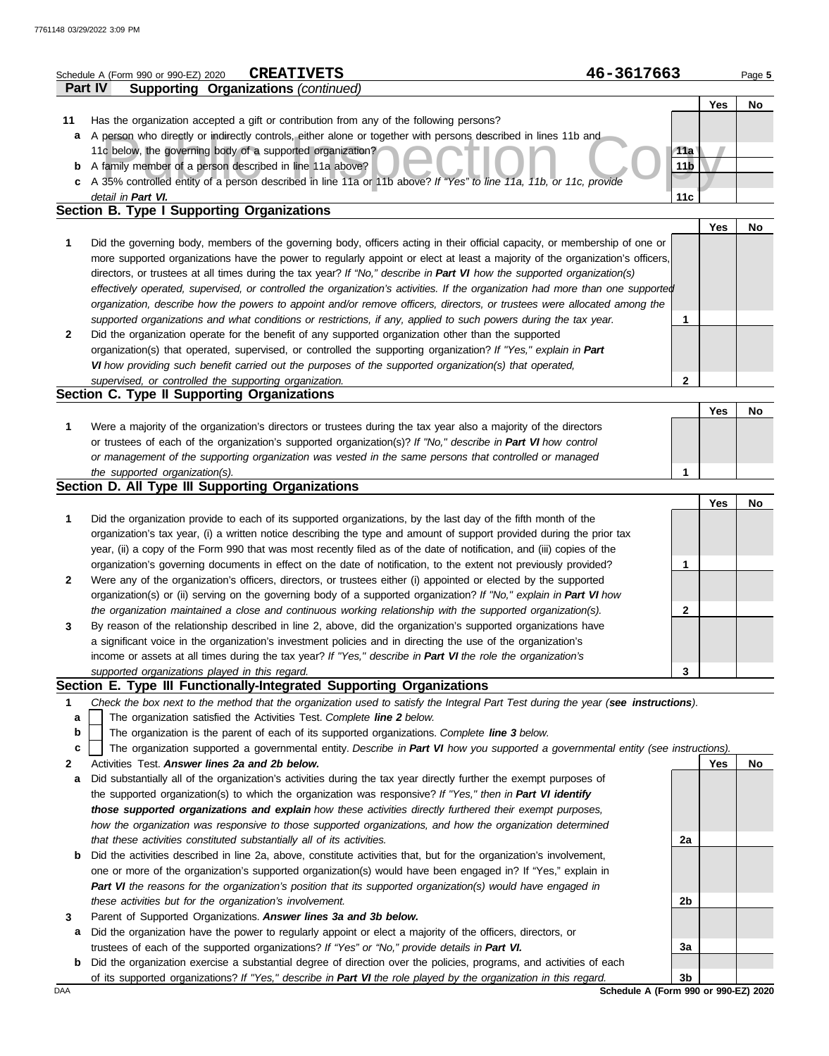|                | <b>CREATIVETS</b><br>Schedule A (Form 990 or 990-EZ) 2020                                                                                                                           | 46-3617663                           |            | Page 5 |
|----------------|-------------------------------------------------------------------------------------------------------------------------------------------------------------------------------------|--------------------------------------|------------|--------|
| <b>Part IV</b> | <b>Supporting Organizations (continued)</b>                                                                                                                                         |                                      |            |        |
|                |                                                                                                                                                                                     |                                      | <b>Yes</b> | No     |
| 11             | Has the organization accepted a gift or contribution from any of the following persons?                                                                                             |                                      |            |        |
| a              | A person who directly or indirectly controls, either alone or together with persons described in lines 11b and                                                                      |                                      |            |        |
|                | 11c below, the governing body of a supported organization?                                                                                                                          | 11a                                  |            |        |
| b              | A family member of a person described in line 11a above?                                                                                                                            | 11 <sub>b</sub>                      |            |        |
| c              | A 35% controlled entity of a person described in line 11a or 11b above? If "Yes" to line 11a, 11b, or 11c, provide                                                                  |                                      |            |        |
|                | detail in Part VI.                                                                                                                                                                  | 11с                                  |            |        |
|                | Section B. Type I Supporting Organizations                                                                                                                                          |                                      |            |        |
|                |                                                                                                                                                                                     |                                      | <b>Yes</b> | No     |
| 1              | Did the governing body, members of the governing body, officers acting in their official capacity, or membership of one or                                                          |                                      |            |        |
|                | more supported organizations have the power to regularly appoint or elect at least a majority of the organization's officers,                                                       |                                      |            |        |
|                | directors, or trustees at all times during the tax year? If "No," describe in Part VI how the supported organization(s)                                                             |                                      |            |        |
|                | effectively operated, supervised, or controlled the organization's activities. If the organization had more than one supported                                                      |                                      |            |        |
|                | organization, describe how the powers to appoint and/or remove officers, directors, or trustees were allocated among the                                                            |                                      |            |        |
|                | supported organizations and what conditions or restrictions, if any, applied to such powers during the tax year.                                                                    | 1                                    |            |        |
| $\mathbf{z}$   | Did the organization operate for the benefit of any supported organization other than the supported                                                                                 |                                      |            |        |
|                | organization(s) that operated, supervised, or controlled the supporting organization? If "Yes," explain in Part                                                                     |                                      |            |        |
|                | VI how providing such benefit carried out the purposes of the supported organization(s) that operated,                                                                              |                                      |            |        |
|                | supervised, or controlled the supporting organization.                                                                                                                              | 2                                    |            |        |
|                | Section C. Type II Supporting Organizations                                                                                                                                         |                                      |            |        |
|                |                                                                                                                                                                                     |                                      | <b>Yes</b> | No     |
| 1              | Were a majority of the organization's directors or trustees during the tax year also a majority of the directors                                                                    |                                      |            |        |
|                | or trustees of each of the organization's supported organization(s)? If "No," describe in Part VI how control                                                                       |                                      |            |        |
|                | or management of the supporting organization was vested in the same persons that controlled or managed                                                                              |                                      |            |        |
|                | the supported organization(s).                                                                                                                                                      | 1                                    |            |        |
|                | Section D. All Type III Supporting Organizations                                                                                                                                    |                                      |            |        |
|                |                                                                                                                                                                                     |                                      | <b>Yes</b> | No     |
| 1              | Did the organization provide to each of its supported organizations, by the last day of the fifth month of the                                                                      |                                      |            |        |
|                | organization's tax year, (i) a written notice describing the type and amount of support provided during the prior tax                                                               |                                      |            |        |
|                | year, (ii) a copy of the Form 990 that was most recently filed as of the date of notification, and (iii) copies of the                                                              |                                      |            |        |
|                | organization's governing documents in effect on the date of notification, to the extent not previously provided?                                                                    | 1                                    |            |        |
| 2              | Were any of the organization's officers, directors, or trustees either (i) appointed or elected by the supported                                                                    |                                      |            |        |
|                | organization(s) or (ii) serving on the governing body of a supported organization? If "No," explain in Part VI how                                                                  |                                      |            |        |
|                | the organization maintained a close and continuous working relationship with the supported organization(s).                                                                         | 2                                    |            |        |
| 3              | By reason of the relationship described in line 2, above, did the organization's supported organizations have                                                                       |                                      |            |        |
|                | a significant voice in the organization's investment policies and in directing the use of the organization's                                                                        |                                      |            |        |
|                | income or assets at all times during the tax year? If "Yes," describe in Part VI the role the organization's                                                                        |                                      |            |        |
|                | supported organizations played in this regard.<br>Section E. Type III Functionally-Integrated Supporting Organizations                                                              | 3                                    |            |        |
|                |                                                                                                                                                                                     |                                      |            |        |
| 1<br>a         | Check the box next to the method that the organization used to satisfy the Integral Part Test during the year (see instructions).                                                   |                                      |            |        |
| b              | The organization satisfied the Activities Test. Complete line 2 below.<br>The organization is the parent of each of its supported organizations. Complete line 3 below.             |                                      |            |        |
| c              |                                                                                                                                                                                     |                                      |            |        |
| 2              | The organization supported a governmental entity. Describe in Part VI how you supported a governmental entity (see instructions).<br>Activities Test. Answer lines 2a and 2b below. |                                      | Yes        | No     |
| а              | Did substantially all of the organization's activities during the tax year directly further the exempt purposes of                                                                  |                                      |            |        |
|                | the supported organization(s) to which the organization was responsive? If "Yes," then in Part VI identify                                                                          |                                      |            |        |
|                | those supported organizations and explain how these activities directly furthered their exempt purposes,                                                                            |                                      |            |        |
|                | how the organization was responsive to those supported organizations, and how the organization determined                                                                           |                                      |            |        |
|                | that these activities constituted substantially all of its activities.                                                                                                              | 2a                                   |            |        |
| b              | Did the activities described in line 2a, above, constitute activities that, but for the organization's involvement,                                                                 |                                      |            |        |
|                | one or more of the organization's supported organization(s) would have been engaged in? If "Yes," explain in                                                                        |                                      |            |        |
|                | Part VI the reasons for the organization's position that its supported organization(s) would have engaged in                                                                        |                                      |            |        |
|                |                                                                                                                                                                                     | 2b                                   |            |        |
|                | these activities but for the organization's involvement.<br>Parent of Supported Organizations. Answer lines 3a and 3b below.                                                        |                                      |            |        |
| 3              | Did the organization have the power to regularly appoint or elect a majority of the officers, directors, or                                                                         |                                      |            |        |
| а              | trustees of each of the supported organizations? If "Yes" or "No," provide details in Part VI.                                                                                      |                                      |            |        |
|                |                                                                                                                                                                                     | 3a                                   |            |        |
| b              | Did the organization exercise a substantial degree of direction over the policies, programs, and activities of each                                                                 | 3 <sub>b</sub>                       |            |        |
| DAA            | of its supported organizations? If "Yes," describe in Part VI the role played by the organization in this regard.                                                                   | Schedule A (Form 990 or 990-EZ) 2020 |            |        |
|                |                                                                                                                                                                                     |                                      |            |        |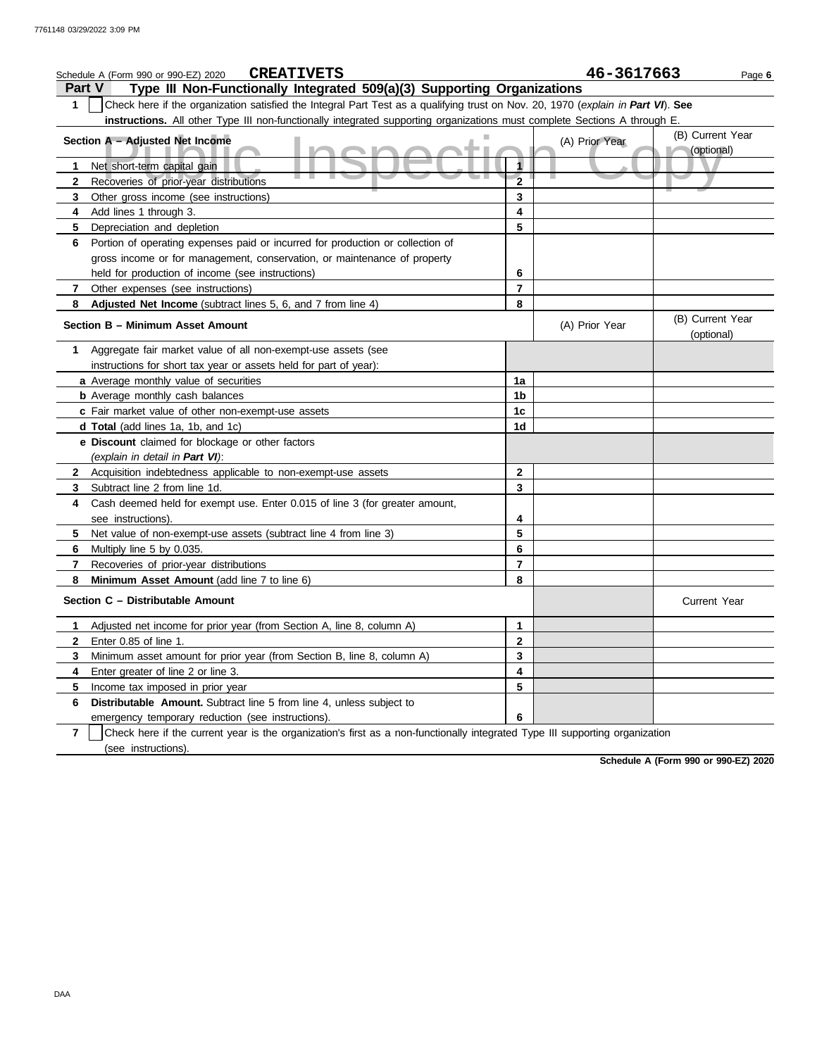|                                                                       | <b>CREATIVETS</b><br>Schedule A (Form 990 or 990-EZ) 2020                                                                        |                         | 46-3617663     |                                | Page 6 |  |  |  |
|-----------------------------------------------------------------------|----------------------------------------------------------------------------------------------------------------------------------|-------------------------|----------------|--------------------------------|--------|--|--|--|
| Part V                                                                | Type III Non-Functionally Integrated 509(a)(3) Supporting Organizations                                                          |                         |                |                                |        |  |  |  |
| 1                                                                     | Check here if the organization satisfied the Integral Part Test as a qualifying trust on Nov. 20, 1970 (explain in Part VI). See |                         |                |                                |        |  |  |  |
|                                                                       | instructions. All other Type III non-functionally integrated supporting organizations must complete Sections A through E.        |                         |                |                                |        |  |  |  |
| (B) Current Year<br>Section A - Adjusted Net Income<br>(A) Prior Year |                                                                                                                                  |                         |                |                                |        |  |  |  |
|                                                                       |                                                                                                                                  |                         |                | (optional)                     |        |  |  |  |
| 1                                                                     | Net short-term capital gain                                                                                                      |                         |                |                                |        |  |  |  |
| 2                                                                     | Recoveries of prior-year distributions                                                                                           | $\overline{\mathbf{2}}$ |                |                                |        |  |  |  |
| 3                                                                     | Other gross income (see instructions)                                                                                            | 3                       |                |                                |        |  |  |  |
| 4                                                                     | Add lines 1 through 3.                                                                                                           | 4                       |                |                                |        |  |  |  |
| 5.                                                                    | Depreciation and depletion                                                                                                       | 5                       |                |                                |        |  |  |  |
| 6                                                                     | Portion of operating expenses paid or incurred for production or collection of                                                   |                         |                |                                |        |  |  |  |
|                                                                       | gross income or for management, conservation, or maintenance of property                                                         |                         |                |                                |        |  |  |  |
|                                                                       | held for production of income (see instructions)                                                                                 | 6                       |                |                                |        |  |  |  |
| 7                                                                     | Other expenses (see instructions)                                                                                                | $\overline{7}$          |                |                                |        |  |  |  |
| 8                                                                     | Adjusted Net Income (subtract lines 5, 6, and 7 from line 4)                                                                     | 8                       |                |                                |        |  |  |  |
|                                                                       | Section B - Minimum Asset Amount                                                                                                 |                         | (A) Prior Year | (B) Current Year<br>(optional) |        |  |  |  |
| 1.                                                                    | Aggregate fair market value of all non-exempt-use assets (see                                                                    |                         |                |                                |        |  |  |  |
|                                                                       | instructions for short tax year or assets held for part of year):                                                                |                         |                |                                |        |  |  |  |
|                                                                       | a Average monthly value of securities                                                                                            | 1a                      |                |                                |        |  |  |  |
|                                                                       | <b>b</b> Average monthly cash balances                                                                                           | 1b                      |                |                                |        |  |  |  |
|                                                                       | c Fair market value of other non-exempt-use assets                                                                               | 1c                      |                |                                |        |  |  |  |
|                                                                       | d Total (add lines 1a, 1b, and 1c)                                                                                               | 1 <sub>d</sub>          |                |                                |        |  |  |  |
|                                                                       | e Discount claimed for blockage or other factors                                                                                 |                         |                |                                |        |  |  |  |
|                                                                       | (explain in detail in Part VI):                                                                                                  |                         |                |                                |        |  |  |  |
| 2                                                                     | Acquisition indebtedness applicable to non-exempt-use assets                                                                     | $\mathbf{2}$            |                |                                |        |  |  |  |
| 3.                                                                    | Subtract line 2 from line 1d.                                                                                                    | 3                       |                |                                |        |  |  |  |
| 4                                                                     | Cash deemed held for exempt use. Enter 0.015 of line 3 (for greater amount,                                                      |                         |                |                                |        |  |  |  |
|                                                                       | see instructions).                                                                                                               | 4                       |                |                                |        |  |  |  |
| 5.                                                                    | Net value of non-exempt-use assets (subtract line 4 from line 3)                                                                 | 5                       |                |                                |        |  |  |  |
| 6.                                                                    | Multiply line 5 by 0.035.                                                                                                        | 6                       |                |                                |        |  |  |  |
| 7                                                                     | Recoveries of prior-year distributions                                                                                           | $\overline{7}$          |                |                                |        |  |  |  |
| 8                                                                     | Minimum Asset Amount (add line 7 to line 6)                                                                                      | 8                       |                |                                |        |  |  |  |
|                                                                       | Section C - Distributable Amount                                                                                                 |                         |                | <b>Current Year</b>            |        |  |  |  |
| 1                                                                     | Adjusted net income for prior year (from Section A, line 8, column A)                                                            | 1                       |                |                                |        |  |  |  |
| $\mathbf{2}$                                                          | Enter 0.85 of line 1.                                                                                                            | $\mathbf 2$             |                |                                |        |  |  |  |
| 3                                                                     | Minimum asset amount for prior year (from Section B, line 8, column A)                                                           | 3                       |                |                                |        |  |  |  |
| 4                                                                     | Enter greater of line 2 or line 3.                                                                                               | 4                       |                |                                |        |  |  |  |
| 5                                                                     | Income tax imposed in prior year                                                                                                 | 5                       |                |                                |        |  |  |  |
| 6                                                                     | Distributable Amount. Subtract line 5 from line 4, unless subject to                                                             |                         |                |                                |        |  |  |  |
|                                                                       | emergency temporary reduction (see instructions).                                                                                | 6                       |                |                                |        |  |  |  |
| $\overline{7}$                                                        | Check here if the current year is the organization's first as a non-functionally integrated Type III supporting organization     |                         |                |                                |        |  |  |  |
|                                                                       | (see instructions).                                                                                                              |                         |                |                                |        |  |  |  |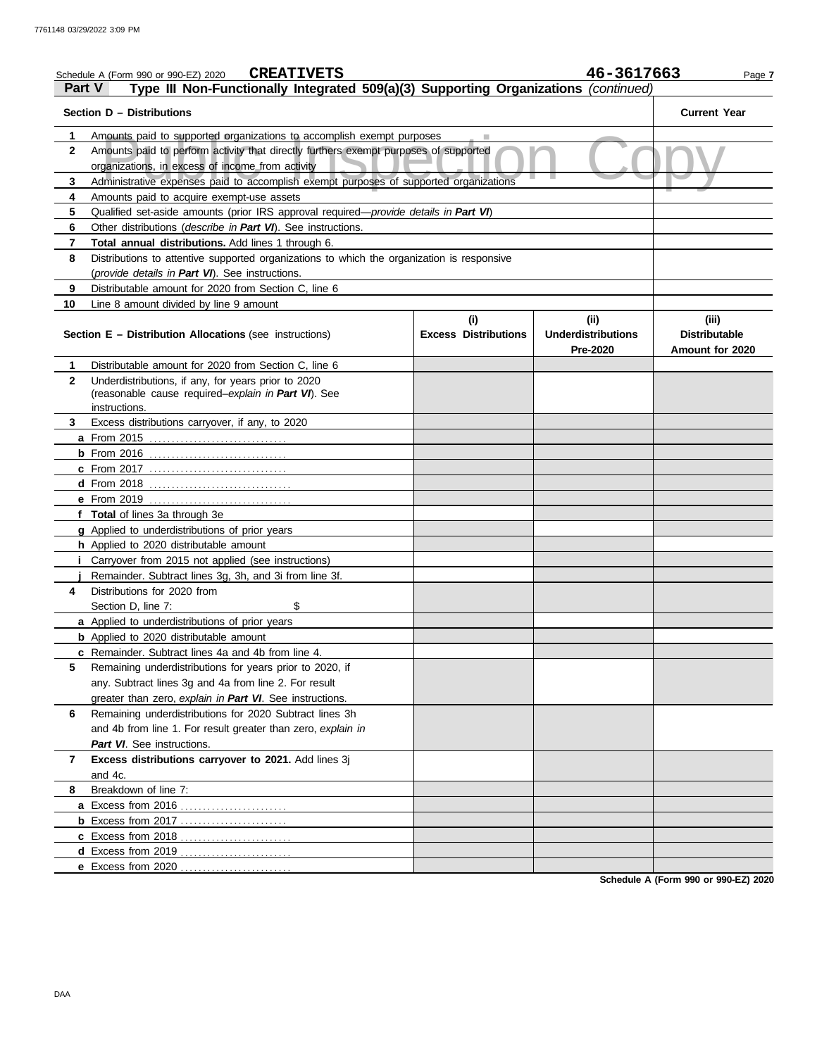|               | <b>CREATIVETS</b><br>Schedule A (Form 990 or 990-EZ) 2020                                                                                |                                    | 46-3617663                                           | Page 7                                           |
|---------------|------------------------------------------------------------------------------------------------------------------------------------------|------------------------------------|------------------------------------------------------|--------------------------------------------------|
| <b>Part V</b> | Type III Non-Functionally Integrated 509(a)(3) Supporting Organizations (continued)                                                      |                                    |                                                      |                                                  |
|               | Section D - Distributions                                                                                                                |                                    |                                                      | <b>Current Year</b>                              |
| 1             | Amounts paid to supported organizations to accomplish exempt purposes                                                                    |                                    |                                                      |                                                  |
| $\mathbf{2}$  | Amounts paid to perform activity that directly furthers exempt purposes of supported<br>organizations, in excess of income from activity |                                    |                                                      |                                                  |
| 3             | Administrative expenses paid to accomplish exempt purposes of supported organizations                                                    |                                    |                                                      |                                                  |
| 4             | Amounts paid to acquire exempt-use assets                                                                                                |                                    |                                                      |                                                  |
| 5             | Qualified set-aside amounts (prior IRS approval required— <i>provide details in Part VI</i> )                                            |                                    |                                                      |                                                  |
| 6             | Other distributions ( <i>describe in Part VI</i> ). See instructions.                                                                    |                                    |                                                      |                                                  |
| 7             | Total annual distributions. Add lines 1 through 6.                                                                                       |                                    |                                                      |                                                  |
| 8             | Distributions to attentive supported organizations to which the organization is responsive                                               |                                    |                                                      |                                                  |
|               | (provide details in Part VI). See instructions.                                                                                          |                                    |                                                      |                                                  |
| 9             | Distributable amount for 2020 from Section C, line 6                                                                                     |                                    |                                                      |                                                  |
| 10            | Line 8 amount divided by line 9 amount                                                                                                   |                                    |                                                      |                                                  |
|               | <b>Section E – Distribution Allocations (see instructions)</b>                                                                           | (i)<br><b>Excess Distributions</b> | (ii)<br><b>Underdistributions</b><br><b>Pre-2020</b> | (iii)<br><b>Distributable</b><br>Amount for 2020 |
| 1             | Distributable amount for 2020 from Section C, line 6                                                                                     |                                    |                                                      |                                                  |
| $\mathbf{2}$  | Underdistributions, if any, for years prior to 2020<br>(reasonable cause required-explain in Part VI). See                               |                                    |                                                      |                                                  |
|               | instructions.                                                                                                                            |                                    |                                                      |                                                  |
| 3             | Excess distributions carryover, if any, to 2020                                                                                          |                                    |                                                      |                                                  |
|               |                                                                                                                                          |                                    |                                                      |                                                  |
|               |                                                                                                                                          |                                    |                                                      |                                                  |
|               | <b>c</b> From 2017                                                                                                                       |                                    |                                                      |                                                  |
|               |                                                                                                                                          |                                    |                                                      |                                                  |
|               |                                                                                                                                          |                                    |                                                      |                                                  |
|               | f Total of lines 3a through 3e                                                                                                           |                                    |                                                      |                                                  |
|               | g Applied to underdistributions of prior years                                                                                           |                                    |                                                      |                                                  |
|               | h Applied to 2020 distributable amount                                                                                                   |                                    |                                                      |                                                  |
|               | Carryover from 2015 not applied (see instructions)                                                                                       |                                    |                                                      |                                                  |
|               | Remainder. Subtract lines 3g, 3h, and 3i from line 3f.                                                                                   |                                    |                                                      |                                                  |
| 4             | Distributions for 2020 from                                                                                                              |                                    |                                                      |                                                  |
|               | \$<br>Section D, line 7:                                                                                                                 |                                    |                                                      |                                                  |
|               | a Applied to underdistributions of prior years                                                                                           |                                    |                                                      |                                                  |
|               | <b>b</b> Applied to 2020 distributable amount                                                                                            |                                    |                                                      |                                                  |
|               | c Remainder. Subtract lines 4a and 4b from line 4.                                                                                       |                                    |                                                      |                                                  |
| 5             | Remaining underdistributions for years prior to 2020, if                                                                                 |                                    |                                                      |                                                  |
|               | any. Subtract lines 3g and 4a from line 2. For result                                                                                    |                                    |                                                      |                                                  |
|               | greater than zero, explain in Part VI. See instructions.                                                                                 |                                    |                                                      |                                                  |
| 6             | Remaining underdistributions for 2020 Subtract lines 3h                                                                                  |                                    |                                                      |                                                  |
|               | and 4b from line 1. For result greater than zero, explain in                                                                             |                                    |                                                      |                                                  |
|               | Part VI. See instructions.                                                                                                               |                                    |                                                      |                                                  |
| 7             | Excess distributions carryover to 2021. Add lines 3j                                                                                     |                                    |                                                      |                                                  |
|               | and 4c.                                                                                                                                  |                                    |                                                      |                                                  |
| 8             | Breakdown of line 7:                                                                                                                     |                                    |                                                      |                                                  |
|               |                                                                                                                                          |                                    |                                                      |                                                  |
|               | <b>b</b> Excess from 2017                                                                                                                |                                    |                                                      |                                                  |
|               |                                                                                                                                          |                                    |                                                      |                                                  |
|               |                                                                                                                                          |                                    |                                                      |                                                  |
|               |                                                                                                                                          |                                    |                                                      |                                                  |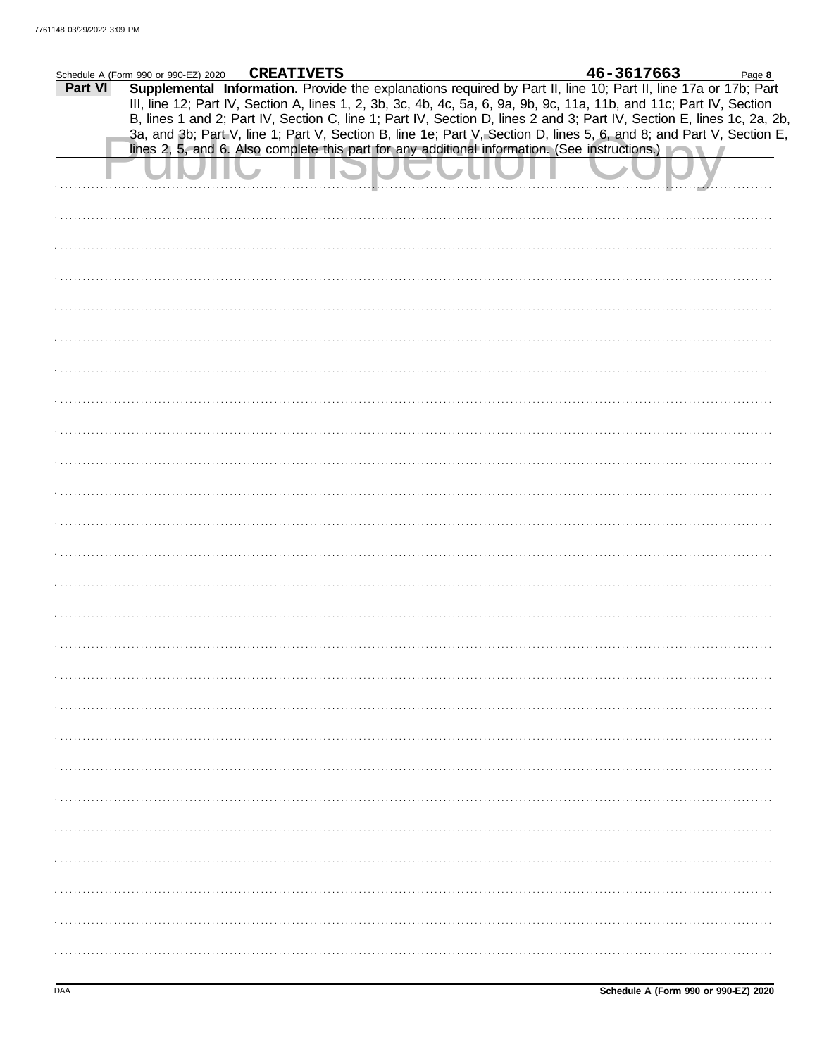| Schedule A (Form 990 or 990-EZ) 2020 |  | <b>CREATIVETS</b> |  |  | 46-3617663                                                                                                                                                                                                                              |  | Page 8 |
|--------------------------------------|--|-------------------|--|--|-----------------------------------------------------------------------------------------------------------------------------------------------------------------------------------------------------------------------------------------|--|--------|
| Part VI                              |  |                   |  |  | Supplemental Information. Provide the explanations required by Part II, line 10; Part II, line 17a or 17b; Part<br>III, line 12; Part IV, Section A, lines 1, 2, 3b, 3c, 4b, 4c, 5a, 6, 9a, 9b, 9c, 11a, 11b, and 11c; Part IV, Section |  |        |
|                                      |  |                   |  |  | B, lines 1 and 2; Part IV, Section C, line 1; Part IV, Section D, lines 2 and 3; Part IV, Section E, lines 1c, 2a, 2b,                                                                                                                  |  |        |
|                                      |  |                   |  |  | 3a, and 3b; Part V, line 1; Part V, Section B, line 1e; Part V, Section D, lines 5, 6, and 8; and Part V, Section E,<br>lines 2, 5, and 6. Also complete this part for any additional information. (See instructions.)                  |  |        |
|                                      |  |                   |  |  |                                                                                                                                                                                                                                         |  |        |
|                                      |  |                   |  |  |                                                                                                                                                                                                                                         |  |        |
|                                      |  |                   |  |  |                                                                                                                                                                                                                                         |  |        |
|                                      |  |                   |  |  |                                                                                                                                                                                                                                         |  |        |
|                                      |  |                   |  |  |                                                                                                                                                                                                                                         |  |        |
|                                      |  |                   |  |  |                                                                                                                                                                                                                                         |  |        |
|                                      |  |                   |  |  |                                                                                                                                                                                                                                         |  |        |
|                                      |  |                   |  |  |                                                                                                                                                                                                                                         |  |        |
|                                      |  |                   |  |  |                                                                                                                                                                                                                                         |  |        |
|                                      |  |                   |  |  |                                                                                                                                                                                                                                         |  |        |
|                                      |  |                   |  |  |                                                                                                                                                                                                                                         |  |        |
|                                      |  |                   |  |  |                                                                                                                                                                                                                                         |  |        |
|                                      |  |                   |  |  |                                                                                                                                                                                                                                         |  |        |
|                                      |  |                   |  |  |                                                                                                                                                                                                                                         |  |        |
|                                      |  |                   |  |  |                                                                                                                                                                                                                                         |  |        |
|                                      |  |                   |  |  |                                                                                                                                                                                                                                         |  |        |
|                                      |  |                   |  |  |                                                                                                                                                                                                                                         |  |        |
|                                      |  |                   |  |  |                                                                                                                                                                                                                                         |  |        |
|                                      |  |                   |  |  |                                                                                                                                                                                                                                         |  |        |
|                                      |  |                   |  |  |                                                                                                                                                                                                                                         |  |        |
|                                      |  |                   |  |  |                                                                                                                                                                                                                                         |  |        |
|                                      |  |                   |  |  |                                                                                                                                                                                                                                         |  |        |
|                                      |  |                   |  |  |                                                                                                                                                                                                                                         |  |        |
|                                      |  |                   |  |  |                                                                                                                                                                                                                                         |  |        |
|                                      |  |                   |  |  |                                                                                                                                                                                                                                         |  |        |
|                                      |  |                   |  |  |                                                                                                                                                                                                                                         |  |        |
|                                      |  |                   |  |  |                                                                                                                                                                                                                                         |  |        |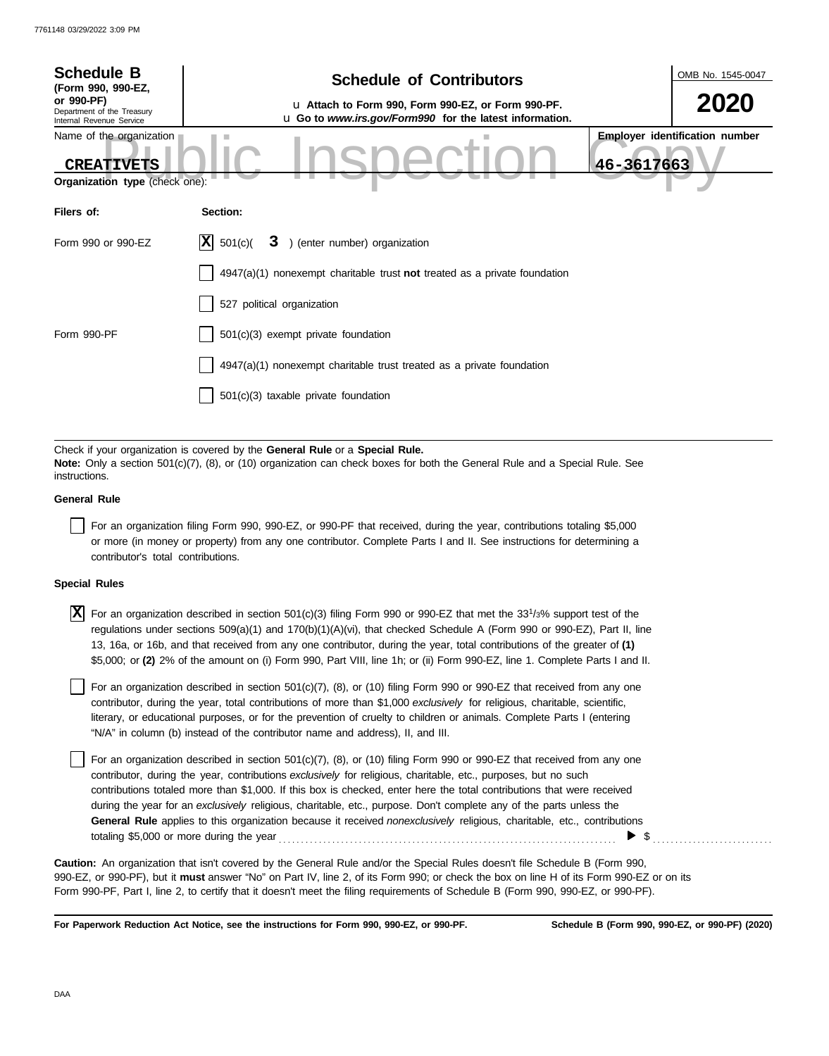| <b>Schedule B</b><br>(Form 990, 990-EZ,                                         | <b>Schedule of Contributors</b>                                                                                                                                                                             |            | OMB No. 1545-0047                     |
|---------------------------------------------------------------------------------|-------------------------------------------------------------------------------------------------------------------------------------------------------------------------------------------------------------|------------|---------------------------------------|
| or 990-PF)<br>Department of the Treasury<br>Internal Revenue Service            | u Attach to Form 990, Form 990-EZ, or Form 990-PF.<br>u Go to www.irs.gov/Form990 for the latest information.                                                                                               |            | <b>2020</b>                           |
| Name of the organization<br><b>CREATIVETS</b><br>Organization type (check one): |                                                                                                                                                                                                             | 46-3617663 | <b>Employer identification number</b> |
| Filers of:                                                                      | Section:                                                                                                                                                                                                    |            |                                       |
| Form 990 or 990-EZ                                                              | X <br>) (enter number) organization<br>501(c)<br>3                                                                                                                                                          |            |                                       |
|                                                                                 | $4947(a)(1)$ nonexempt charitable trust <b>not</b> treated as a private foundation                                                                                                                          |            |                                       |
|                                                                                 | 527 political organization                                                                                                                                                                                  |            |                                       |
| Form 990-PF                                                                     | $501(c)(3)$ exempt private foundation                                                                                                                                                                       |            |                                       |
|                                                                                 | 4947(a)(1) nonexempt charitable trust treated as a private foundation                                                                                                                                       |            |                                       |
|                                                                                 | $501(c)(3)$ taxable private foundation                                                                                                                                                                      |            |                                       |
|                                                                                 |                                                                                                                                                                                                             |            |                                       |
| instructions.                                                                   | Check if your organization is covered by the General Rule or a Special Rule.<br>Note: Only a section 501(c)(7), (8), or (10) organization can check boxes for both the General Rule and a Special Rule. See |            |                                       |
| <b>General Rule</b>                                                             |                                                                                                                                                                                                             |            |                                       |
|                                                                                 | Ear an erganization filing Form 000, 000 FZ, or 000 BE that resolved during the vear, contributions totaling \$5,000                                                                                        |            |                                       |

For an organization filing Form 990, 990-EZ, or 990-PF that received, during the year, contributions totaling \$5,000 or more (in money or property) from any one contributor. Complete Parts I and II. See instructions for determining a contributor's total contributions.

### **Special Rules**

 $\overline{X}$  For an organization described in section 501(c)(3) filing Form 990 or 990-EZ that met the 33<sup>1</sup>/3% support test of the regulations under sections 509(a)(1) and 170(b)(1)(A)(vi), that checked Schedule A (Form 990 or 990-EZ), Part II, line 13, 16a, or 16b, and that received from any one contributor, during the year, total contributions of the greater of **(1)** \$5,000; or **(2)** 2% of the amount on (i) Form 990, Part VIII, line 1h; or (ii) Form 990-EZ, line 1. Complete Parts I and II.

literary, or educational purposes, or for the prevention of cruelty to children or animals. Complete Parts I (entering For an organization described in section  $501(c)(7)$ ,  $(8)$ , or  $(10)$  filing Form 990 or 990-EZ that received from any one contributor, during the year, total contributions of more than \$1,000 *exclusively* for religious, charitable, scientific, "N/A" in column (b) instead of the contributor name and address), II, and III.

For an organization described in section 501(c)(7), (8), or (10) filing Form 990 or 990-EZ that received from any one contributor, during the year, contributions *exclusively* for religious, charitable, etc., purposes, but no such contributions totaled more than \$1,000. If this box is checked, enter here the total contributions that were received during the year for an *exclusively* religious, charitable, etc., purpose. Don't complete any of the parts unless the **General Rule** applies to this organization because it received *nonexclusively* religious, charitable, etc., contributions totaling \$5,000 or more during the year . . . . . . . . . . . . . . . . . . . . . . . . . . . . . . . . . . . . . . . . . . . . . . . . . . . . . . . . . . . . . . . . . . . . . . . . . . . .  $\blacktriangleright$  \$

990-EZ, or 990-PF), but it **must** answer "No" on Part IV, line 2, of its Form 990; or check the box on line H of its Form 990-EZ or on its Form 990-PF, Part I, line 2, to certify that it doesn't meet the filing requirements of Schedule B (Form 990, 990-EZ, or 990-PF). **Caution:** An organization that isn't covered by the General Rule and/or the Special Rules doesn't file Schedule B (Form 990,

**For Paperwork Reduction Act Notice, see the instructions for Form 990, 990-EZ, or 990-PF.**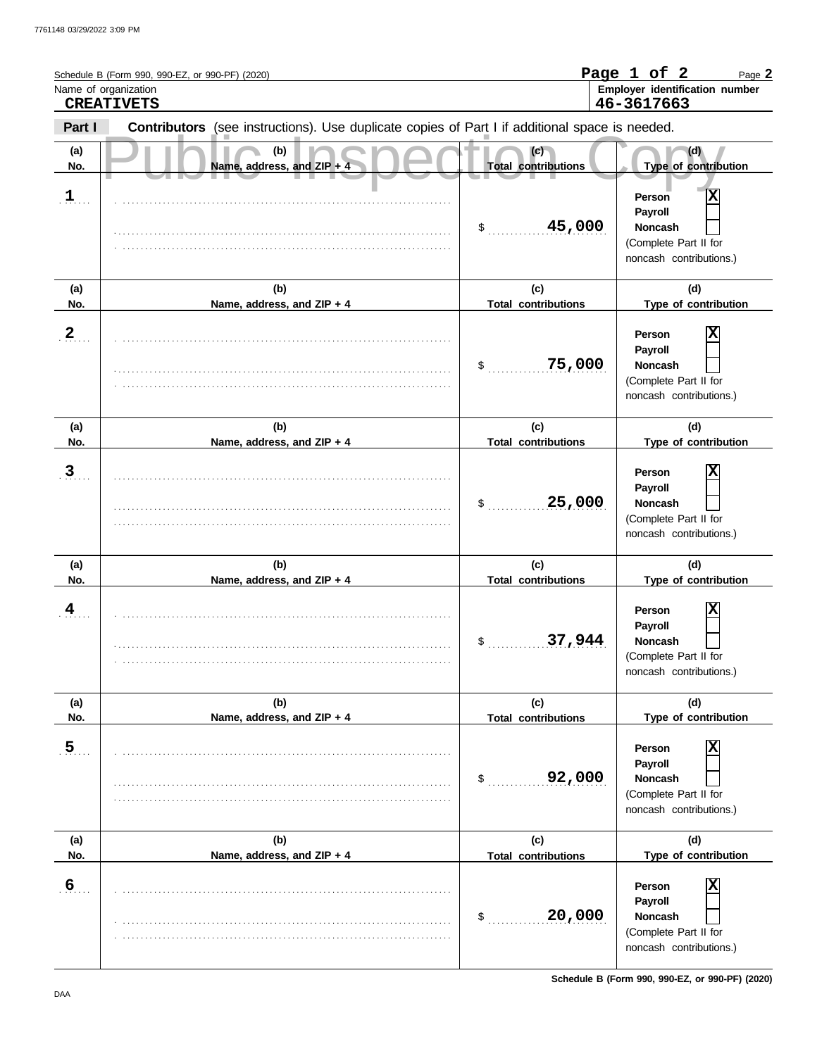|                       | Schedule B (Form 990, 990-EZ, or 990-PF) (2020)<br>Name of organization<br><b>CREATIVETS</b>   |                                                      | Page 1 of 2<br>Page 2<br>Employer identification number<br>46-3617663                                         |
|-----------------------|------------------------------------------------------------------------------------------------|------------------------------------------------------|---------------------------------------------------------------------------------------------------------------|
| Part I                | Contributors (see instructions). Use duplicate copies of Part I if additional space is needed. |                                                      |                                                                                                               |
| (a)<br>No.            | (b)<br>Name, address, and ZIP + 4                                                              | (c)<br><b>Total contributions</b>                    | (d)<br>Type of contribution                                                                                   |
| $\mathbf{1}$          |                                                                                                | 45,000<br>\$                                         | X<br>Person<br>Payroll<br><b>Noncash</b><br>(Complete Part II for<br>noncash contributions.)                  |
| (a)<br>No.            | (b)<br>Name, address, and ZIP + 4                                                              | (c)<br><b>Total contributions</b>                    | (d)<br>Type of contribution                                                                                   |
| 2                     |                                                                                                | 75,000<br>\$                                         | х<br>Person<br>Payroll<br><b>Noncash</b><br>(Complete Part II for<br>noncash contributions.)                  |
| (a)<br>No.            | (b)<br>Name, address, and ZIP + 4                                                              | (c)<br><b>Total contributions</b>                    | (d)<br>Type of contribution                                                                                   |
| $\mathbf{3}$          |                                                                                                | 25,000<br>\$                                         | Х<br>Person<br>Payroll<br><b>Noncash</b><br>(Complete Part II for<br>noncash contributions.)                  |
| (a)<br>No.            | (b)<br>Name, address, and ZIP + 4                                                              | (c)<br><b>Total contributions</b>                    | (d)<br>Type of contribution                                                                                   |
| 4                     |                                                                                                | \$<br>37,944                                         | X<br>Person<br>Payroll<br>Noncash<br>(Complete Part II for<br>noncash contributions.)                         |
| (a)                   | (b)                                                                                            | (c)                                                  | (d)                                                                                                           |
| No.<br>$\overline{5}$ | Name, address, and ZIP + 4                                                                     | <b>Total contributions</b><br>92,000<br>$\mathsf{S}$ | Type of contribution<br>Χ<br>Person<br>Payroll<br>Noncash<br>(Complete Part II for<br>noncash contributions.) |
| (a)<br>No.            | (b)<br>Name, address, and ZIP + 4                                                              | (c)<br><b>Total contributions</b>                    | (d)<br>Type of contribution                                                                                   |
| 6 <sub>1</sub>        |                                                                                                | 20,000<br>\$                                         | X<br>Person<br>Payroll<br>Noncash<br>(Complete Part II for<br>noncash contributions.)                         |

**Schedule B (Form 990, 990-EZ, or 990-PF) (2020)**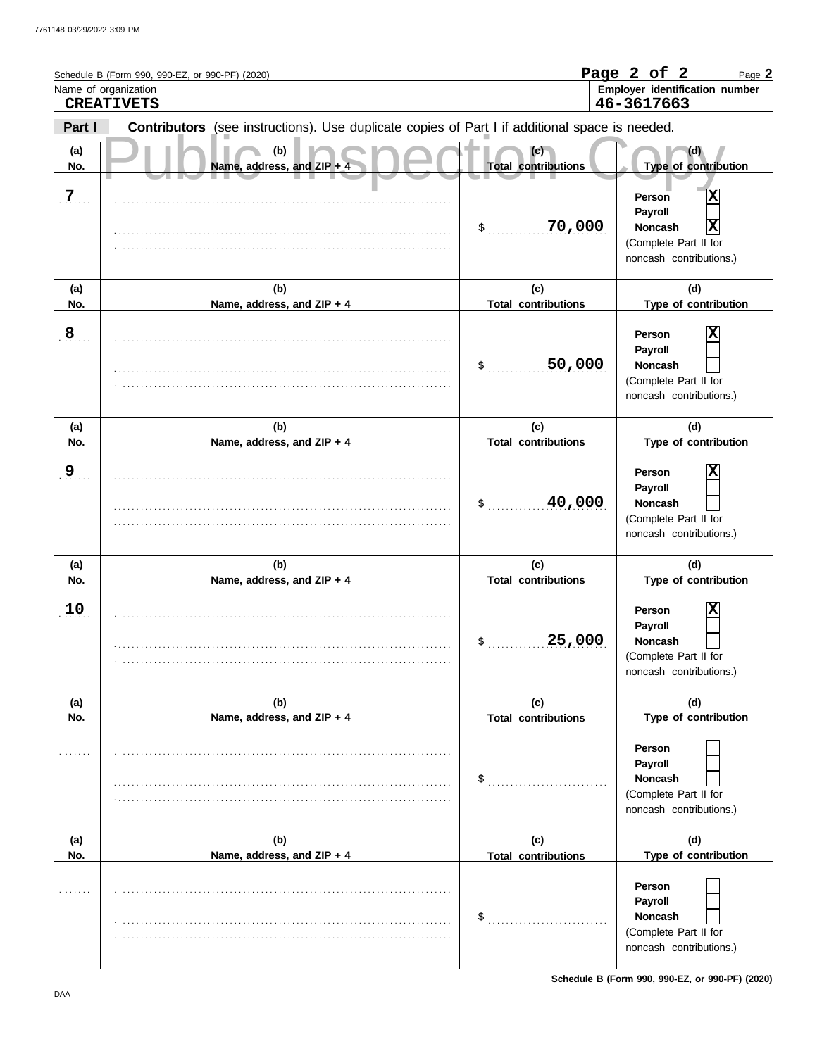| Name of organization | Schedule B (Form 990, 990-EZ, or 990-PF) (2020)<br><b>CREATIVETS</b>                           |                                   | Page 2 of 2<br>Page 2<br>Employer identification number<br>46-3617663                                                   |
|----------------------|------------------------------------------------------------------------------------------------|-----------------------------------|-------------------------------------------------------------------------------------------------------------------------|
| Part I               | Contributors (see instructions). Use duplicate copies of Part I if additional space is needed. |                                   |                                                                                                                         |
| (a)<br>No.           | (b)<br>Name, address, and ZIP + 4                                                              | (c)<br><b>Total contributions</b> | (d)<br>Type of contribution                                                                                             |
| $\overline{7}$       |                                                                                                | 70,000<br>\$                      | $\overline{\mathbf{x}}$<br>Person<br>Payroll<br>X<br><b>Noncash</b><br>(Complete Part II for<br>noncash contributions.) |
| (a)<br>No.           | (b)<br>Name, address, and ZIP + 4                                                              | (c)<br><b>Total contributions</b> | (d)<br>Type of contribution                                                                                             |
| ${\bf 8}$            |                                                                                                | 50,000<br>\$                      | Person<br>Payroll<br><b>Noncash</b><br>(Complete Part II for<br>noncash contributions.)                                 |
| (a)<br>No.           | (b)<br>Name, address, and ZIP + 4                                                              | (c)<br><b>Total contributions</b> | (d)<br>Type of contribution                                                                                             |
| 9                    |                                                                                                | 40,000<br>\$                      | Person<br>Payroll<br><b>Noncash</b><br>(Complete Part II for<br>noncash contributions.)                                 |
| (a)<br>No.           | (b)<br>Name, address, and ZIP + 4                                                              | (c)<br><b>Total contributions</b> | (d)<br>Type of contribution                                                                                             |
| 10                   |                                                                                                | 25,000<br>\$                      | Person<br>Payroll<br><b>Noncash</b><br>(Complete Part II for<br>noncash contributions.)                                 |
| (a)<br>No.           | (b)<br>Name, address, and ZIP + 4                                                              | (c)<br><b>Total contributions</b> | (d)<br>Type of contribution                                                                                             |
|                      |                                                                                                | \$                                | Person<br>Payroll<br>Noncash<br>(Complete Part II for<br>noncash contributions.)                                        |
| (a)<br>No.           | (b)<br>Name, address, and ZIP + 4                                                              | (c)<br><b>Total contributions</b> | (d)<br>Type of contribution                                                                                             |
|                      |                                                                                                | \$                                | Person<br>Payroll<br><b>Noncash</b><br>(Complete Part II for<br>noncash contributions.)                                 |

**Schedule B (Form 990, 990-EZ, or 990-PF) (2020)**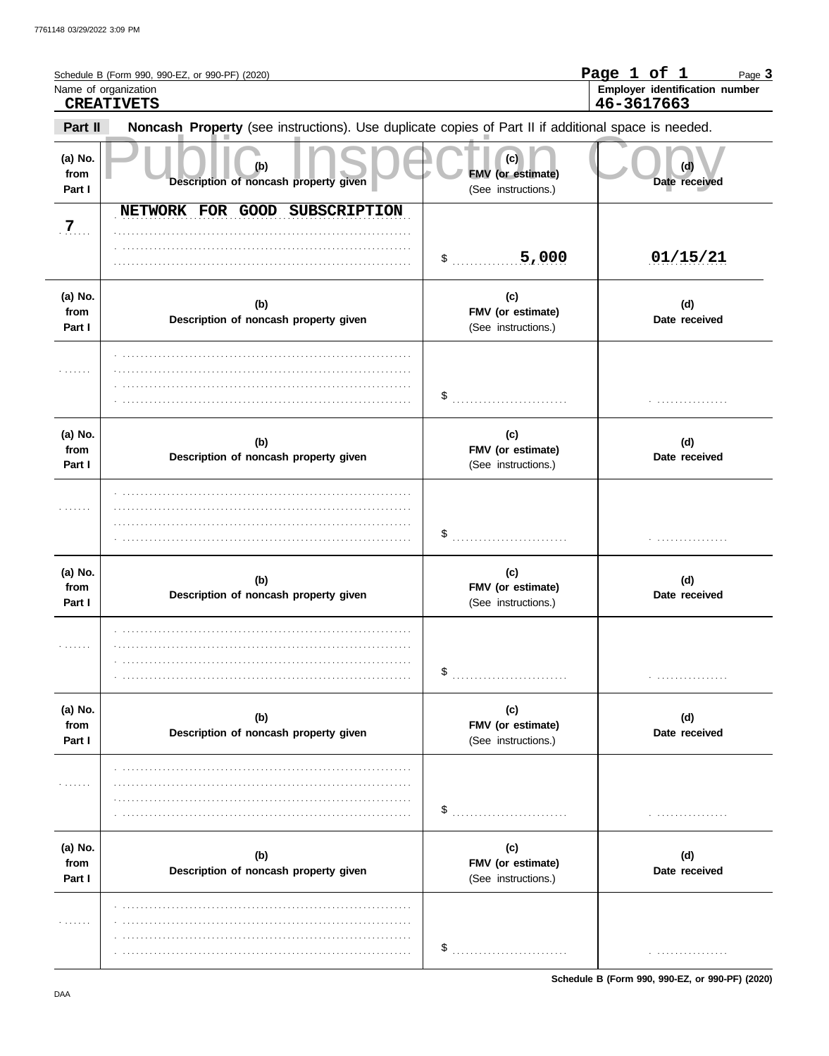|                           | Schedule B (Form 990, 990-EZ, or 990-PF) (2020)<br>Name of organization<br><b>CREATIVETS</b>        |                                                 | Page 1 of 1<br>Page 3<br>Employer identification number<br>46-3617663 |
|---------------------------|-----------------------------------------------------------------------------------------------------|-------------------------------------------------|-----------------------------------------------------------------------|
| Part II                   | Noncash Property (see instructions). Use duplicate copies of Part II if additional space is needed. |                                                 |                                                                       |
| (a) No.<br>from<br>Part I | (b)<br>Description of noncash property given                                                        | (c)<br>FMV (or estimate)<br>(See instructions.) | (d)<br>Date received                                                  |
| $\overline{7}$            | NETWORK FOR GOOD SUBSCRIPTION                                                                       | \$ 5,000                                        | 01/15/21                                                              |
| (a) No.<br>from<br>Part I | (b)<br>Description of noncash property given                                                        | (c)<br>FMV (or estimate)<br>(See instructions.) | (d)<br>Date received                                                  |
| 1.1.1.1.1                 |                                                                                                     | \$                                              |                                                                       |
| (a) No.<br>from<br>Part I | (b)<br>Description of noncash property given                                                        | (c)<br>FMV (or estimate)<br>(See instructions.) | (d)<br>Date received                                                  |
| .                         |                                                                                                     |                                                 |                                                                       |
| (a) No.<br>from<br>Part I | (b)<br>Description of noncash property given                                                        | (c)<br>FMV (or estimate)<br>(See instructions.) | (d)<br>Date received                                                  |
| .                         |                                                                                                     | \$                                              |                                                                       |
| (a) No.<br>from<br>Part I | (b)<br>Description of noncash property given                                                        | (c)<br>FMV (or estimate)<br>(See instructions.) | (d)<br>Date received                                                  |
| .                         |                                                                                                     | \$                                              |                                                                       |
| (a) No.<br>from<br>Part I | (b)<br>Description of noncash property given                                                        | (c)<br>FMV (or estimate)<br>(See instructions.) | (d)<br>Date received                                                  |
| .                         |                                                                                                     | \$                                              | .                                                                     |

Schedule B (Form 990, 990-EZ, or 990-PF) (2020)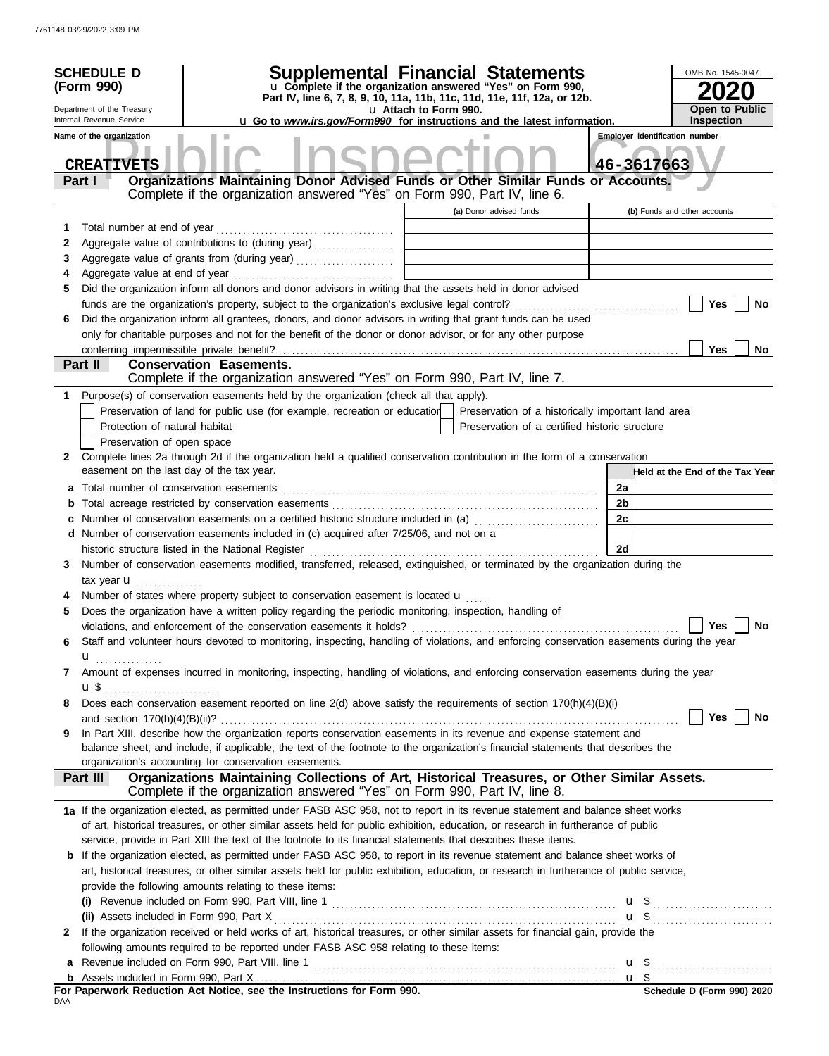|              | <b>SCHEDULE D</b><br>(Form 990)<br>Department of the Treasury<br>Internal Revenue Service<br>Name of the organization | <b>Supplemental Financial Statements</b><br>OMB No. 1545-0047<br>u Complete if the organization answered "Yes" on Form 990,<br>Part IV, line 6, 7, 8, 9, 10, 11a, 11b, 11c, 11d, 11e, 11f, 12a, or 12b.<br><b>Open to Public</b><br>u Attach to Form 990.<br><b>Inspection</b><br><b>u</b> Go to <i>www.irs.gov/Form990</i> for instructions and the latest information.<br><b>Employer identification number</b> |    |                                 |  |  |  |
|--------------|-----------------------------------------------------------------------------------------------------------------------|-------------------------------------------------------------------------------------------------------------------------------------------------------------------------------------------------------------------------------------------------------------------------------------------------------------------------------------------------------------------------------------------------------------------|----|---------------------------------|--|--|--|
|              | <b>CREATIVETS</b>                                                                                                     |                                                                                                                                                                                                                                                                                                                                                                                                                   |    | 46-3617663                      |  |  |  |
|              | Part I                                                                                                                | Organizations Maintaining Donor Advised Funds or Other Similar Funds or Accounts.<br>Complete if the organization answered "Yes" on Form 990, Part IV, line 6.                                                                                                                                                                                                                                                    |    |                                 |  |  |  |
|              |                                                                                                                       | (a) Donor advised funds                                                                                                                                                                                                                                                                                                                                                                                           |    | (b) Funds and other accounts    |  |  |  |
| 1            |                                                                                                                       |                                                                                                                                                                                                                                                                                                                                                                                                                   |    |                                 |  |  |  |
| 2            |                                                                                                                       | Aggregate value of contributions to (during year)<br><u> 1989 - Johann Stein, fransk politik (d. 1989)</u>                                                                                                                                                                                                                                                                                                        |    |                                 |  |  |  |
| 3            |                                                                                                                       | Aggregate value of grants from (during year)                                                                                                                                                                                                                                                                                                                                                                      |    |                                 |  |  |  |
| 4            |                                                                                                                       |                                                                                                                                                                                                                                                                                                                                                                                                                   |    |                                 |  |  |  |
| 5            |                                                                                                                       | Did the organization inform all donors and donor advisors in writing that the assets held in donor advised                                                                                                                                                                                                                                                                                                        |    |                                 |  |  |  |
|              |                                                                                                                       |                                                                                                                                                                                                                                                                                                                                                                                                                   |    | Yes<br>No                       |  |  |  |
| 6            |                                                                                                                       | Did the organization inform all grantees, donors, and donor advisors in writing that grant funds can be used                                                                                                                                                                                                                                                                                                      |    |                                 |  |  |  |
|              |                                                                                                                       | only for charitable purposes and not for the benefit of the donor or donor advisor, or for any other purpose                                                                                                                                                                                                                                                                                                      |    |                                 |  |  |  |
|              |                                                                                                                       |                                                                                                                                                                                                                                                                                                                                                                                                                   |    | <b>Yes</b><br>No                |  |  |  |
|              | Part II                                                                                                               | <b>Conservation Easements.</b>                                                                                                                                                                                                                                                                                                                                                                                    |    |                                 |  |  |  |
|              |                                                                                                                       | Complete if the organization answered "Yes" on Form 990, Part IV, line 7.                                                                                                                                                                                                                                                                                                                                         |    |                                 |  |  |  |
| 1            |                                                                                                                       | Purpose(s) of conservation easements held by the organization (check all that apply).                                                                                                                                                                                                                                                                                                                             |    |                                 |  |  |  |
|              |                                                                                                                       | Preservation of land for public use (for example, recreation or education   Preservation of a historically important land area                                                                                                                                                                                                                                                                                    |    |                                 |  |  |  |
|              | Protection of natural habitat                                                                                         | Preservation of a certified historic structure                                                                                                                                                                                                                                                                                                                                                                    |    |                                 |  |  |  |
|              | Preservation of open space                                                                                            |                                                                                                                                                                                                                                                                                                                                                                                                                   |    |                                 |  |  |  |
| $\mathbf{2}$ |                                                                                                                       | Complete lines 2a through 2d if the organization held a qualified conservation contribution in the form of a conservation                                                                                                                                                                                                                                                                                         |    |                                 |  |  |  |
|              |                                                                                                                       | easement on the last day of the tax year.                                                                                                                                                                                                                                                                                                                                                                         |    | Held at the End of the Tax Year |  |  |  |
|              |                                                                                                                       | a Total number of conservation easements [11] matter contracts and a set of conservation of conservation easements [11] matter contracts and a set of conservation of a set of conservation of a set of conservation of a set                                                                                                                                                                                     | 2a |                                 |  |  |  |
|              |                                                                                                                       | b Total acreage restricted by conservation easements [11] [12] Total accreage restriction of the set of the set of the set of the set of the set of the set of the set of the set of the set of the set of the set of the set                                                                                                                                                                                     | 2b |                                 |  |  |  |
| c            |                                                                                                                       | Number of conservation easements on a certified historic structure included in (a)                                                                                                                                                                                                                                                                                                                                | 2c |                                 |  |  |  |
|              |                                                                                                                       | d Number of conservation easements included in (c) acquired after 7/25/06, and not on a                                                                                                                                                                                                                                                                                                                           |    |                                 |  |  |  |
|              |                                                                                                                       |                                                                                                                                                                                                                                                                                                                                                                                                                   | 2d |                                 |  |  |  |
| 3            |                                                                                                                       | Number of conservation easements modified, transferred, released, extinguished, or terminated by the organization during the                                                                                                                                                                                                                                                                                      |    |                                 |  |  |  |
|              | tax year $\mathbf{u}$ ,                                                                                               |                                                                                                                                                                                                                                                                                                                                                                                                                   |    |                                 |  |  |  |
|              |                                                                                                                       | Number of states where property subject to conservation easement is located $\mathbf{u}$                                                                                                                                                                                                                                                                                                                          |    |                                 |  |  |  |
| 5            |                                                                                                                       | Does the organization have a written policy regarding the periodic monitoring, inspection, handling of                                                                                                                                                                                                                                                                                                            |    |                                 |  |  |  |
|              |                                                                                                                       | violations, and enforcement of the conservation easements it holds?                                                                                                                                                                                                                                                                                                                                               |    | Yes<br>No                       |  |  |  |
| 6            |                                                                                                                       | Staff and volunteer hours devoted to monitoring, inspecting, handling of violations, and enforcing conservation easements during the year                                                                                                                                                                                                                                                                         |    |                                 |  |  |  |
|              | u <i></i>                                                                                                             |                                                                                                                                                                                                                                                                                                                                                                                                                   |    |                                 |  |  |  |
| 7            |                                                                                                                       | Amount of expenses incurred in monitoring, inspecting, handling of violations, and enforcing conservation easements during the year                                                                                                                                                                                                                                                                               |    |                                 |  |  |  |
|              | $\mathbf{u}$ \$ $\ldots$ $\ldots$ $\ldots$ $\ldots$ $\ldots$ $\ldots$                                                 |                                                                                                                                                                                                                                                                                                                                                                                                                   |    |                                 |  |  |  |
| 8            |                                                                                                                       | Does each conservation easement reported on line 2(d) above satisfy the requirements of section 170(h)(4)(B)(i)                                                                                                                                                                                                                                                                                                   |    |                                 |  |  |  |
|              |                                                                                                                       |                                                                                                                                                                                                                                                                                                                                                                                                                   |    | Yes $ $<br>No                   |  |  |  |
| 9            |                                                                                                                       | In Part XIII, describe how the organization reports conservation easements in its revenue and expense statement and                                                                                                                                                                                                                                                                                               |    |                                 |  |  |  |
|              |                                                                                                                       | balance sheet, and include, if applicable, the text of the footnote to the organization's financial statements that describes the<br>organization's accounting for conservation easements.                                                                                                                                                                                                                        |    |                                 |  |  |  |
|              | Part III                                                                                                              | Organizations Maintaining Collections of Art, Historical Treasures, or Other Similar Assets.                                                                                                                                                                                                                                                                                                                      |    |                                 |  |  |  |
|              |                                                                                                                       | Complete if the organization answered "Yes" on Form 990, Part IV, line 8.                                                                                                                                                                                                                                                                                                                                         |    |                                 |  |  |  |
|              |                                                                                                                       | 1a If the organization elected, as permitted under FASB ASC 958, not to report in its revenue statement and balance sheet works                                                                                                                                                                                                                                                                                   |    |                                 |  |  |  |
|              |                                                                                                                       | of art, historical treasures, or other similar assets held for public exhibition, education, or research in furtherance of public                                                                                                                                                                                                                                                                                 |    |                                 |  |  |  |
|              |                                                                                                                       | service, provide in Part XIII the text of the footnote to its financial statements that describes these items.                                                                                                                                                                                                                                                                                                    |    |                                 |  |  |  |
|              |                                                                                                                       | <b>b</b> If the organization elected, as permitted under FASB ASC 958, to report in its revenue statement and balance sheet works of                                                                                                                                                                                                                                                                              |    |                                 |  |  |  |
|              |                                                                                                                       | art, historical treasures, or other similar assets held for public exhibition, education, or research in furtherance of public service,                                                                                                                                                                                                                                                                           |    |                                 |  |  |  |
|              |                                                                                                                       | provide the following amounts relating to these items:                                                                                                                                                                                                                                                                                                                                                            |    |                                 |  |  |  |
|              |                                                                                                                       | (i) Revenue included on Form 990, Part VIII, line 1 $\ldots$ $\ldots$ $\ldots$ $\ldots$ $\ldots$ $\ldots$ $\ldots$ $\ldots$ $\ldots$ $\ldots$                                                                                                                                                                                                                                                                     |    |                                 |  |  |  |
|              |                                                                                                                       |                                                                                                                                                                                                                                                                                                                                                                                                                   |    |                                 |  |  |  |
| 2            |                                                                                                                       | If the organization received or held works of art, historical treasures, or other similar assets for financial gain, provide the                                                                                                                                                                                                                                                                                  |    |                                 |  |  |  |
|              |                                                                                                                       | following amounts required to be reported under FASB ASC 958 relating to these items:                                                                                                                                                                                                                                                                                                                             |    |                                 |  |  |  |
|              |                                                                                                                       | <b>a</b> Revenue included on Form 990, Part VIII, line 1 $\ldots$ $\ldots$ $\ldots$ $\ldots$ $\ldots$ $\ldots$ $\ldots$ $\ldots$ $\ldots$ $\ldots$ $\ldots$                                                                                                                                                                                                                                                       |    |                                 |  |  |  |
|              |                                                                                                                       |                                                                                                                                                                                                                                                                                                                                                                                                                   |    |                                 |  |  |  |
|              |                                                                                                                       | For Paperwork Reduction Act Notice, see the Instructions for Form 990.                                                                                                                                                                                                                                                                                                                                            |    | Schedule D (Form 990) 2020      |  |  |  |
| DAA          |                                                                                                                       |                                                                                                                                                                                                                                                                                                                                                                                                                   |    |                                 |  |  |  |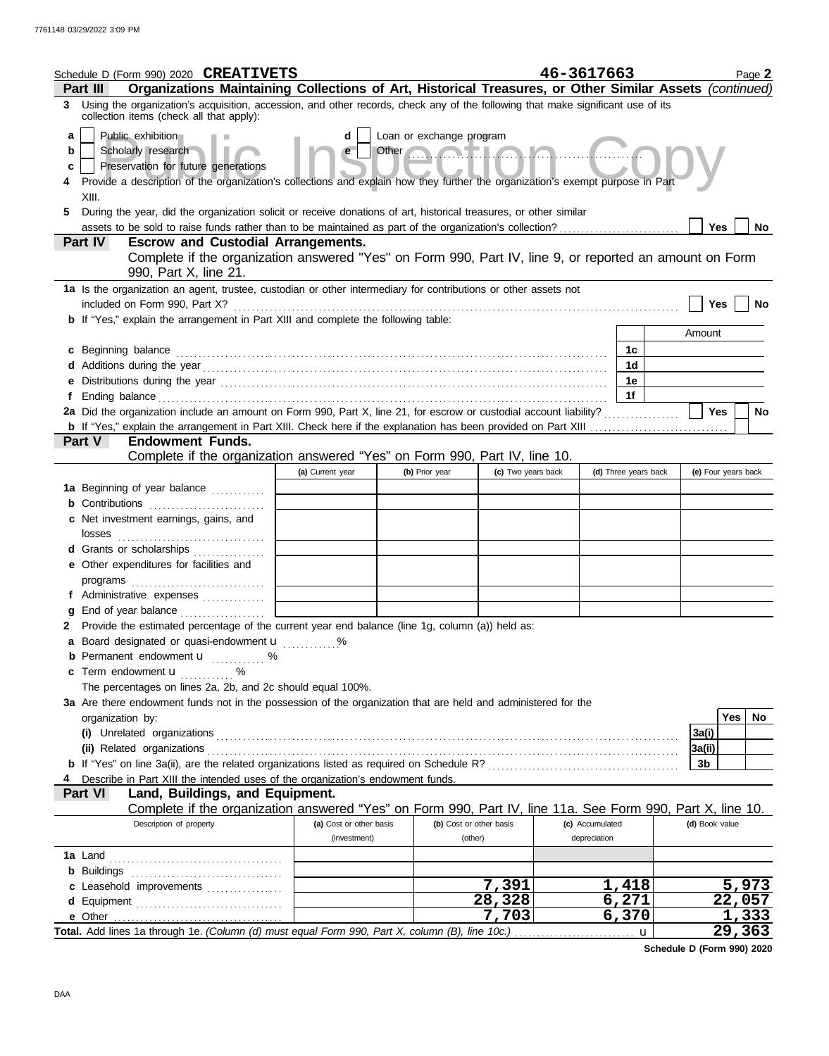| Schedule D (Form 990) 2020 CREATIVETS                                                                                                                                                                                                                                                                                                                                                                           |                         |                                                        |                         | 46-3617663      |                      |                     | Page 2          |  |  |
|-----------------------------------------------------------------------------------------------------------------------------------------------------------------------------------------------------------------------------------------------------------------------------------------------------------------------------------------------------------------------------------------------------------------|-------------------------|--------------------------------------------------------|-------------------------|-----------------|----------------------|---------------------|-----------------|--|--|
| Organizations Maintaining Collections of Art, Historical Treasures, or Other Similar Assets (continued)<br>Part III<br>Using the organization's acquisition, accession, and other records, check any of the following that make significant use of its<br>3                                                                                                                                                     |                         |                                                        |                         |                 |                      |                     |                 |  |  |
| collection items (check all that apply):<br>Public exhibition<br>a<br>Scholarly research<br>b<br>Preservation for future generations<br>c<br>Provide a description of the organization's collections and explain how they further the organization's exempt purpose in Part<br>XIII.<br>During the year, did the organization solicit or receive donations of art, historical treasures, or other similar<br>5. | d<br>e                  | Loan or exchange program<br>Other <b>Communication</b> |                         |                 |                      | Yes                 | <b>No</b>       |  |  |
| Part IV<br><b>Escrow and Custodial Arrangements.</b><br>Complete if the organization answered "Yes" on Form 990, Part IV, line 9, or reported an amount on Form                                                                                                                                                                                                                                                 |                         |                                                        |                         |                 |                      |                     |                 |  |  |
| 990, Part X, line 21.                                                                                                                                                                                                                                                                                                                                                                                           |                         |                                                        |                         |                 |                      |                     |                 |  |  |
| 1a Is the organization an agent, trustee, custodian or other intermediary for contributions or other assets not                                                                                                                                                                                                                                                                                                 |                         |                                                        |                         |                 |                      |                     |                 |  |  |
| included on Form 990, Part X?<br>b If "Yes," explain the arrangement in Part XIII and complete the following table:                                                                                                                                                                                                                                                                                             |                         |                                                        |                         |                 |                      | Yes                 | No              |  |  |
|                                                                                                                                                                                                                                                                                                                                                                                                                 |                         |                                                        |                         |                 |                      | Amount              |                 |  |  |
| c Beginning balance                                                                                                                                                                                                                                                                                                                                                                                             |                         |                                                        |                         |                 | 1c                   |                     |                 |  |  |
|                                                                                                                                                                                                                                                                                                                                                                                                                 |                         |                                                        |                         |                 | 1 <sub>d</sub>       |                     |                 |  |  |
| e Distributions during the year <i>manufacture contract contract to the search</i> with the search of the search of the search of the search of the search of the search of the search of the search of the search of the search of                                                                                                                                                                             |                         |                                                        |                         |                 | 1e<br>1f             |                     |                 |  |  |
| 2a Did the organization include an amount on Form 990, Part X, line 21, for escrow or custodial account liability?                                                                                                                                                                                                                                                                                              |                         |                                                        |                         |                 |                      | Yes                 | <b>No</b>       |  |  |
|                                                                                                                                                                                                                                                                                                                                                                                                                 |                         |                                                        |                         |                 |                      |                     |                 |  |  |
| <b>Endowment Funds.</b><br><b>Part V</b>                                                                                                                                                                                                                                                                                                                                                                        |                         |                                                        |                         |                 |                      |                     |                 |  |  |
| Complete if the organization answered "Yes" on Form 990, Part IV, line 10.                                                                                                                                                                                                                                                                                                                                      |                         |                                                        |                         |                 |                      |                     |                 |  |  |
| 1a Beginning of year balance                                                                                                                                                                                                                                                                                                                                                                                    | (a) Current year        | (b) Prior year                                         | (c) Two years back      |                 | (d) Three years back | (e) Four years back |                 |  |  |
| <b>b</b> Contributions                                                                                                                                                                                                                                                                                                                                                                                          |                         |                                                        |                         |                 |                      |                     |                 |  |  |
| c Net investment earnings, gains, and                                                                                                                                                                                                                                                                                                                                                                           |                         |                                                        |                         |                 |                      |                     |                 |  |  |
| losses                                                                                                                                                                                                                                                                                                                                                                                                          |                         |                                                        |                         |                 |                      |                     |                 |  |  |
| d Grants or scholarships                                                                                                                                                                                                                                                                                                                                                                                        |                         |                                                        |                         |                 |                      |                     |                 |  |  |
| e Other expenditures for facilities and                                                                                                                                                                                                                                                                                                                                                                         |                         |                                                        |                         |                 |                      |                     |                 |  |  |
|                                                                                                                                                                                                                                                                                                                                                                                                                 |                         |                                                        |                         |                 |                      |                     |                 |  |  |
| f Administrative expenses<br>End of year balance <i>[[[[[[[[[[[[[[[[[[[[[[[[[[[]]]</i> ]]]<br>g                                                                                                                                                                                                                                                                                                                 |                         |                                                        |                         |                 |                      |                     |                 |  |  |
| Provide the estimated percentage of the current year end balance (line 1g, column (a)) held as:<br>2                                                                                                                                                                                                                                                                                                            |                         |                                                        |                         |                 |                      |                     |                 |  |  |
| a Board designated or quasi-endowment u                                                                                                                                                                                                                                                                                                                                                                         |                         |                                                        |                         |                 |                      |                     |                 |  |  |
| <b>b</b> Permanent endowment <b>u</b> %                                                                                                                                                                                                                                                                                                                                                                         |                         |                                                        |                         |                 |                      |                     |                 |  |  |
| c Term endowment <b>u</b>                                                                                                                                                                                                                                                                                                                                                                                       |                         |                                                        |                         |                 |                      |                     |                 |  |  |
| The percentages on lines 2a, 2b, and 2c should equal 100%.                                                                                                                                                                                                                                                                                                                                                      |                         |                                                        |                         |                 |                      |                     |                 |  |  |
| 3a Are there endowment funds not in the possession of the organization that are held and administered for the<br>organization by:                                                                                                                                                                                                                                                                               |                         |                                                        |                         |                 |                      |                     | Yes<br>No.      |  |  |
|                                                                                                                                                                                                                                                                                                                                                                                                                 |                         |                                                        |                         |                 |                      | 3a(i)               |                 |  |  |
|                                                                                                                                                                                                                                                                                                                                                                                                                 |                         |                                                        |                         |                 |                      | 3a(ii)              |                 |  |  |
|                                                                                                                                                                                                                                                                                                                                                                                                                 |                         |                                                        |                         |                 |                      | 3b                  |                 |  |  |
| Describe in Part XIII the intended uses of the organization's endowment funds.                                                                                                                                                                                                                                                                                                                                  |                         |                                                        |                         |                 |                      |                     |                 |  |  |
| Land, Buildings, and Equipment.<br><b>Part VI</b><br>Complete if the organization answered "Yes" on Form 990, Part IV, line 11a. See Form 990, Part X, line 10.                                                                                                                                                                                                                                                 |                         |                                                        |                         |                 |                      |                     |                 |  |  |
| Description of property                                                                                                                                                                                                                                                                                                                                                                                         | (a) Cost or other basis |                                                        | (b) Cost or other basis | (c) Accumulated |                      | (d) Book value      |                 |  |  |
|                                                                                                                                                                                                                                                                                                                                                                                                                 | (investment)            |                                                        | (other)                 | depreciation    |                      |                     |                 |  |  |
|                                                                                                                                                                                                                                                                                                                                                                                                                 |                         |                                                        |                         |                 |                      |                     |                 |  |  |
| <b>b</b> Buildings                                                                                                                                                                                                                                                                                                                                                                                              |                         |                                                        |                         |                 |                      |                     |                 |  |  |
| c Leasehold improvements                                                                                                                                                                                                                                                                                                                                                                                        |                         |                                                        | 7,391                   | 1,418           |                      |                     | 5,973           |  |  |
| d Equipment                                                                                                                                                                                                                                                                                                                                                                                                     |                         |                                                        | 28,328<br>7,703         | 6,271<br>6,370  |                      |                     | 22,057<br>1,333 |  |  |
|                                                                                                                                                                                                                                                                                                                                                                                                                 |                         |                                                        |                         |                 | $\mathbf{u}$         |                     | 29,363          |  |  |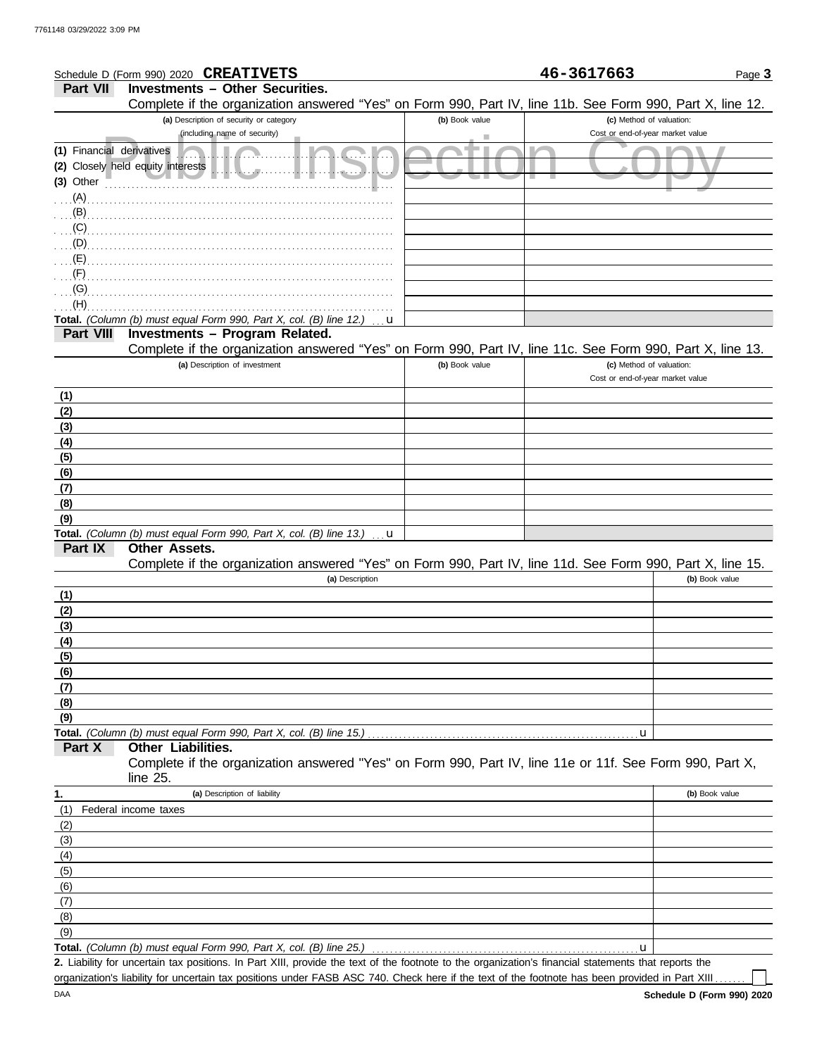|                           | Schedule D (Form 990) 2020 CREATIVETS                                                                                                                |                | 46-3617663                       | Page 3         |
|---------------------------|------------------------------------------------------------------------------------------------------------------------------------------------------|----------------|----------------------------------|----------------|
| <b>Part VII</b>           | <b>Investments - Other Securities.</b>                                                                                                               |                |                                  |                |
|                           | Complete if the organization answered "Yes" on Form 990, Part IV, line 11b. See Form 990, Part X, line 12.                                           |                |                                  |                |
|                           | (a) Description of security or category                                                                                                              | (b) Book value | (c) Method of valuation:         |                |
|                           | (including name of security)                                                                                                                         |                | Cost or end-of-year market value |                |
| (1) Financial derivatives |                                                                                                                                                      |                |                                  |                |
|                           | (2) Closely held equity interests                                                                                                                    |                |                                  |                |
| $(3)$ Other               |                                                                                                                                                      |                |                                  |                |
| $(A)$ .                   |                                                                                                                                                      |                |                                  |                |
| (B)                       |                                                                                                                                                      |                |                                  |                |
| (C)                       |                                                                                                                                                      |                |                                  |                |
| (D)                       |                                                                                                                                                      |                |                                  |                |
| (E)                       |                                                                                                                                                      |                |                                  |                |
| (F)                       |                                                                                                                                                      |                |                                  |                |
| (G)                       |                                                                                                                                                      |                |                                  |                |
| (H)                       |                                                                                                                                                      |                |                                  |                |
|                           | Total. (Column (b) must equal Form 990, Part X, col. (B) line 12.)<br>u                                                                              |                |                                  |                |
| <b>Part VIII</b>          | Investments - Program Related.                                                                                                                       |                |                                  |                |
|                           | Complete if the organization answered "Yes" on Form 990, Part IV, line 11c. See Form 990, Part X, line 13.                                           |                |                                  |                |
|                           | (a) Description of investment                                                                                                                        | (b) Book value | (c) Method of valuation:         |                |
|                           |                                                                                                                                                      |                | Cost or end-of-year market value |                |
| (1)                       |                                                                                                                                                      |                |                                  |                |
| (2)                       |                                                                                                                                                      |                |                                  |                |
| (3)                       |                                                                                                                                                      |                |                                  |                |
| (4)                       |                                                                                                                                                      |                |                                  |                |
| (5)                       |                                                                                                                                                      |                |                                  |                |
| (6)                       |                                                                                                                                                      |                |                                  |                |
| (7)                       |                                                                                                                                                      |                |                                  |                |
| (8)                       |                                                                                                                                                      |                |                                  |                |
| (9)                       | Total. (Column (b) must equal Form 990, Part X, col. (B) line 13.)                                                                                   |                |                                  |                |
| Part IX                   | u<br>Other Assets.                                                                                                                                   |                |                                  |                |
|                           | Complete if the organization answered "Yes" on Form 990, Part IV, line 11d. See Form 990, Part X, line 15.                                           |                |                                  |                |
|                           | (a) Description                                                                                                                                      |                |                                  | (b) Book value |
| (1)                       |                                                                                                                                                      |                |                                  |                |
| (2)                       |                                                                                                                                                      |                |                                  |                |
| (3)                       |                                                                                                                                                      |                |                                  |                |
| <u>(4)</u>                |                                                                                                                                                      |                |                                  |                |
| (5)                       |                                                                                                                                                      |                |                                  |                |
| (6)                       |                                                                                                                                                      |                |                                  |                |
| (7)                       |                                                                                                                                                      |                |                                  |                |
| (8)                       |                                                                                                                                                      |                |                                  |                |
| (9)                       |                                                                                                                                                      |                |                                  |                |
|                           | Total. (Column (b) must equal Form 990, Part X, col. (B) line 15.)                                                                                   |                | u                                |                |
| Part X                    | <b>Other Liabilities.</b>                                                                                                                            |                |                                  |                |
|                           | Complete if the organization answered "Yes" on Form 990, Part IV, line 11e or 11f. See Form 990, Part X,<br>line 25.                                 |                |                                  |                |
| 1.                        | (a) Description of liability                                                                                                                         |                |                                  | (b) Book value |
| (1)                       | Federal income taxes                                                                                                                                 |                |                                  |                |
| (2)                       |                                                                                                                                                      |                |                                  |                |
| (3)                       |                                                                                                                                                      |                |                                  |                |
| (4)                       |                                                                                                                                                      |                |                                  |                |
| (5)                       |                                                                                                                                                      |                |                                  |                |
| (6)                       |                                                                                                                                                      |                |                                  |                |
| (7)                       |                                                                                                                                                      |                |                                  |                |
| (8)                       |                                                                                                                                                      |                |                                  |                |
| (9)                       |                                                                                                                                                      |                |                                  |                |
|                           | Total. (Column (b) must equal Form 990, Part X, col. (B) line 25.)                                                                                   |                | u                                |                |
|                           | 2. Liability for uncertain tax positions. In Part XIII, provide the text of the footnote to the organization's financial statements that reports the |                |                                  |                |

organization's liability for uncertain tax positions under FASB ASC 740. Check here if the text of the footnote has been provided in Part XIII . . . . . .

 $\mathop{\Box}$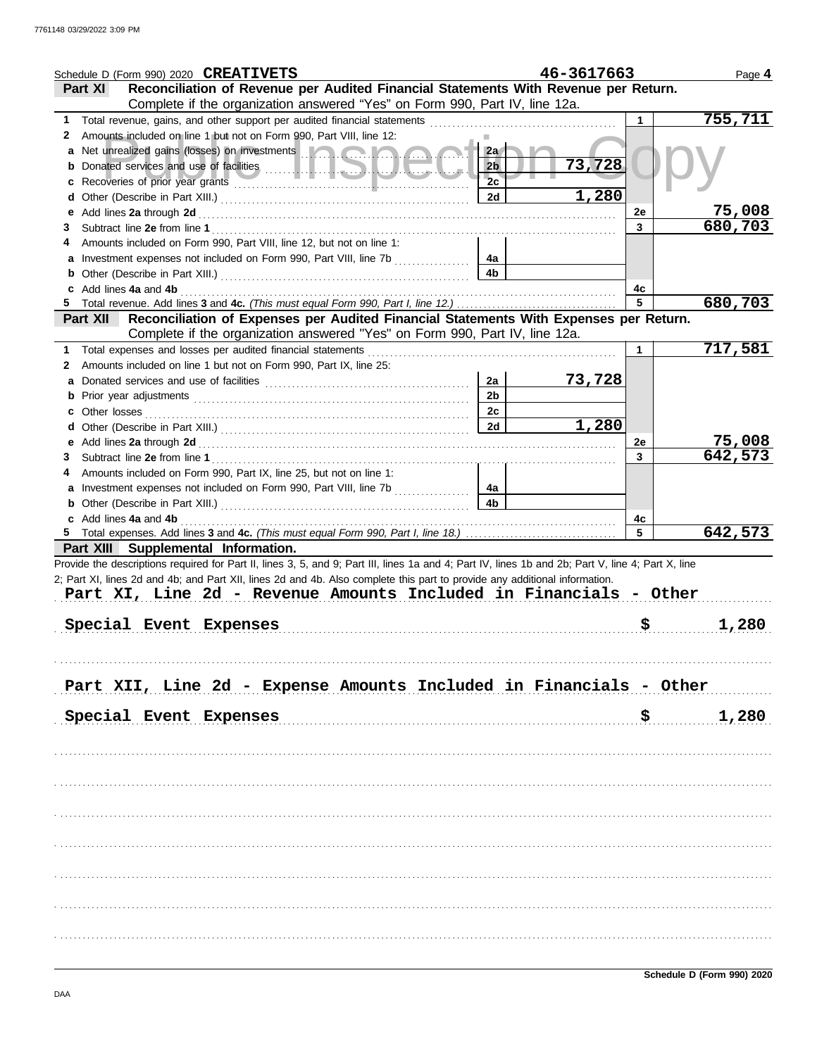|   | Schedule D (Form 990) 2020 CREATIVETS                                                                                                                                                                                                |                | 46-3617663 |           | Page 4  |
|---|--------------------------------------------------------------------------------------------------------------------------------------------------------------------------------------------------------------------------------------|----------------|------------|-----------|---------|
|   | Reconciliation of Revenue per Audited Financial Statements With Revenue per Return.<br>Part XI                                                                                                                                       |                |            |           |         |
|   | Complete if the organization answered "Yes" on Form 990, Part IV, line 12a.                                                                                                                                                          |                |            |           |         |
| 1 | Total revenue, gains, and other support per audited financial statements                                                                                                                                                             |                |            |           | 755,711 |
| 2 | Amounts included on line 1 but not on Form 990, Part VIII, line 12:                                                                                                                                                                  |                |            |           |         |
| a | Net unrealized gains (losses) on investments <b>and a strategie of the strategie of the strategie of the strategie of the strategie of the strategie of the strategie of the strategie of the strategie of the strategie of the </b> | 2a             |            |           |         |
| b |                                                                                                                                                                                                                                      | 2 <sub>b</sub> | 73,728     |           |         |
|   |                                                                                                                                                                                                                                      | 2c             |            |           |         |
| d |                                                                                                                                                                                                                                      | 2d             | 1,280      |           |         |
| е |                                                                                                                                                                                                                                      |                |            | 2e        | 75,008  |
| 3 |                                                                                                                                                                                                                                      |                |            | 3         | 680,703 |
| 4 | Amounts included on Form 990, Part VIII, line 12, but not on line 1:                                                                                                                                                                 |                |            |           |         |
| a |                                                                                                                                                                                                                                      | 4a             |            |           |         |
|   |                                                                                                                                                                                                                                      | 4b             |            |           |         |
| b |                                                                                                                                                                                                                                      |                |            |           |         |
| 5 | Add lines 4a and 4b                                                                                                                                                                                                                  |                |            | 4c<br>5   | 680,703 |
|   | Reconciliation of Expenses per Audited Financial Statements With Expenses per Return.                                                                                                                                                |                |            |           |         |
|   | <b>Part XII</b>                                                                                                                                                                                                                      |                |            |           |         |
|   | Complete if the organization answered "Yes" on Form 990, Part IV, line 12a.                                                                                                                                                          |                |            |           |         |
| 1 | Total expenses and losses per audited financial statements                                                                                                                                                                           |                |            | 1         | 717,581 |
| 2 | Amounts included on line 1 but not on Form 990, Part IX, line 25:                                                                                                                                                                    |                |            |           |         |
| a |                                                                                                                                                                                                                                      | 2a             | 73,728     |           |         |
|   |                                                                                                                                                                                                                                      | 2 <sub>b</sub> |            |           |         |
|   | Other losses                                                                                                                                                                                                                         | 2c             |            |           |         |
| d |                                                                                                                                                                                                                                      | 2d             | 1,280      |           |         |
| е |                                                                                                                                                                                                                                      |                |            | 2e        | 75,008  |
| 3 |                                                                                                                                                                                                                                      |                |            | 3         | 642,573 |
| 4 | Amounts included on Form 990, Part IX, line 25, but not on line 1:                                                                                                                                                                   |                |            |           |         |
|   |                                                                                                                                                                                                                                      | 4a             |            |           |         |
|   |                                                                                                                                                                                                                                      | 4b             |            |           |         |
|   | Add lines 4a and 4b                                                                                                                                                                                                                  |                |            | 4c        |         |
|   |                                                                                                                                                                                                                                      |                |            | 5         | 642,573 |
|   | Part XIII Supplemental Information.                                                                                                                                                                                                  |                |            |           |         |
|   | Provide the descriptions required for Part II, lines 3, 5, and 9; Part III, lines 1a and 4; Part IV, lines 1b and 2b; Part V, line 4; Part X, line                                                                                   |                |            |           |         |
|   | 2; Part XI, lines 2d and 4b; and Part XII, lines 2d and 4b. Also complete this part to provide any additional information.                                                                                                           |                |            |           |         |
|   | Part XI, Line 2d - Revenue Amounts Included in Financials - Other                                                                                                                                                                    |                |            |           |         |
|   |                                                                                                                                                                                                                                      |                |            |           |         |
|   | Special Event Expenses                                                                                                                                                                                                               |                |            | <u>\$</u> | 1,280   |
|   |                                                                                                                                                                                                                                      |                |            |           |         |
|   |                                                                                                                                                                                                                                      |                |            |           |         |
|   |                                                                                                                                                                                                                                      |                |            |           |         |
|   | Part XII, Line 2d - Expense Amounts Included in Financials - Other                                                                                                                                                                   |                |            |           |         |
|   |                                                                                                                                                                                                                                      |                |            |           |         |
|   | Special Event Expenses                                                                                                                                                                                                               |                |            | \$.       | 1,280   |
|   |                                                                                                                                                                                                                                      |                |            |           |         |
|   |                                                                                                                                                                                                                                      |                |            |           |         |
|   |                                                                                                                                                                                                                                      |                |            |           |         |
|   |                                                                                                                                                                                                                                      |                |            |           |         |
|   |                                                                                                                                                                                                                                      |                |            |           |         |
|   |                                                                                                                                                                                                                                      |                |            |           |         |
|   |                                                                                                                                                                                                                                      |                |            |           |         |
|   |                                                                                                                                                                                                                                      |                |            |           |         |
|   |                                                                                                                                                                                                                                      |                |            |           |         |
|   |                                                                                                                                                                                                                                      |                |            |           |         |
|   |                                                                                                                                                                                                                                      |                |            |           |         |
|   |                                                                                                                                                                                                                                      |                |            |           |         |
|   |                                                                                                                                                                                                                                      |                |            |           |         |
|   |                                                                                                                                                                                                                                      |                |            |           |         |
|   |                                                                                                                                                                                                                                      |                |            |           |         |
|   |                                                                                                                                                                                                                                      |                |            |           |         |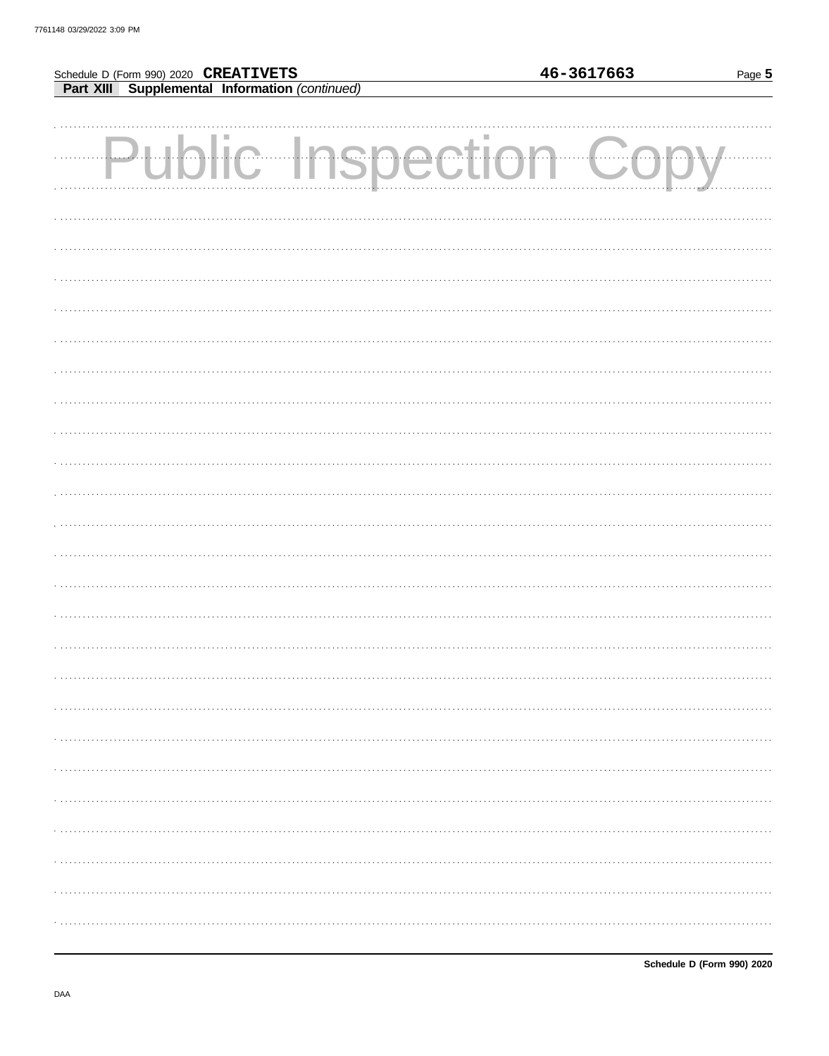## Schedule D (Form 990) 2020 CREATIVETS

**Part XIII** Supplemental Information (continued)

| <b>Public Inspection Copy</b> |  |
|-------------------------------|--|
|                               |  |
|                               |  |
|                               |  |
|                               |  |
|                               |  |
|                               |  |
|                               |  |
|                               |  |
|                               |  |
|                               |  |
|                               |  |
|                               |  |
|                               |  |
|                               |  |
|                               |  |
|                               |  |
|                               |  |
|                               |  |
|                               |  |
|                               |  |
|                               |  |
|                               |  |
|                               |  |

DAA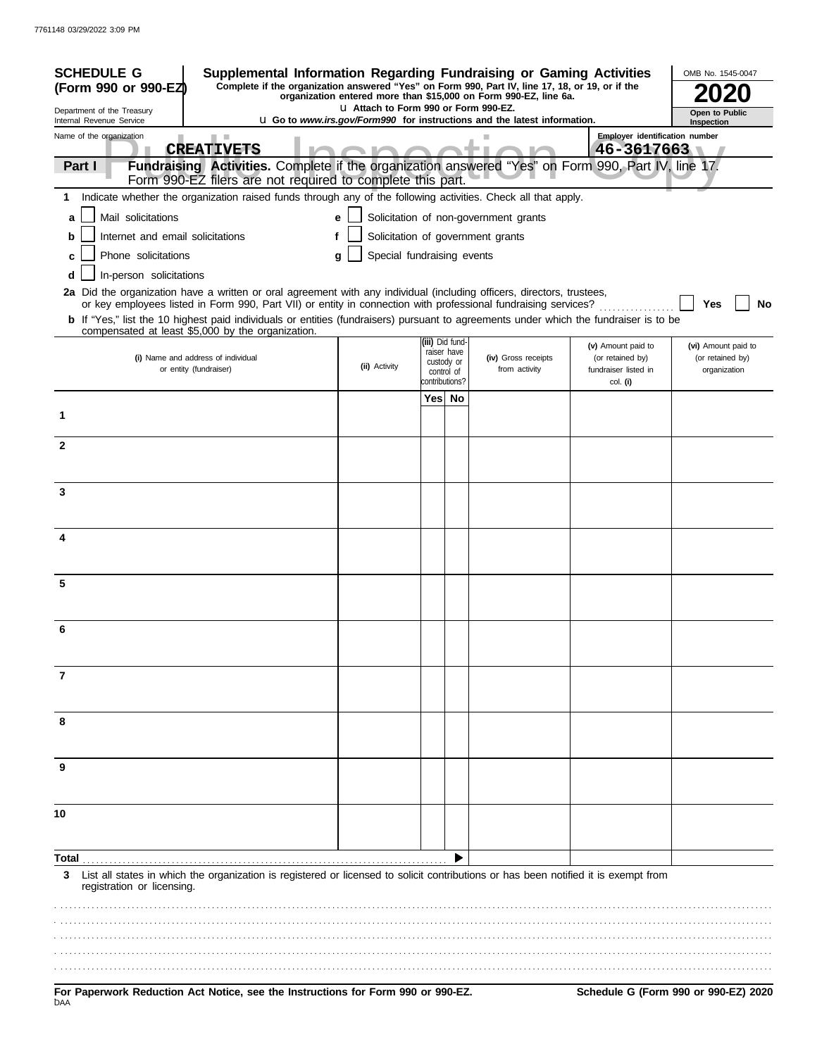| <b>SCHEDULE G</b>                                      | Supplemental Information Regarding Fundraising or Gaming Activities                                                                                                                                                                      |               |                            |  |                               |                                                                                 |                                        | OMB No. 1545-0047                       |
|--------------------------------------------------------|------------------------------------------------------------------------------------------------------------------------------------------------------------------------------------------------------------------------------------------|---------------|----------------------------|--|-------------------------------|---------------------------------------------------------------------------------|----------------------------------------|-----------------------------------------|
| (Form 990 or 990-EZ)                                   | Complete if the organization answered "Yes" on Form 990, Part IV, line 17, 18, or 19, or if the<br>organization entered more than \$15,000 on Form 990-EZ, line 6a.<br>L1 Attach to Form 990 or Form 990-EZ.                             |               |                            |  |                               |                                                                                 |                                        |                                         |
| Department of the Treasury<br>Internal Revenue Service |                                                                                                                                                                                                                                          |               |                            |  |                               | <b>u</b> Go to www.irs.gov/Form990 for instructions and the latest information. |                                        | Open to Public<br>Inspection            |
| Name of the organization                               |                                                                                                                                                                                                                                          |               |                            |  |                               |                                                                                 | Employer identification number         |                                         |
| Part I                                                 | <b>CREATIVETS</b><br>Fundraising Activities. Complete if the organization answered "Yes" on Form 990, Part IV, line 17.                                                                                                                  |               |                            |  |                               |                                                                                 | $46 - 3617663$                         |                                         |
|                                                        | Form 990-EZ filers are not required to complete this part.                                                                                                                                                                               |               |                            |  |                               |                                                                                 |                                        |                                         |
|                                                        | 1 Indicate whether the organization raised funds through any of the following activities. Check all that apply.                                                                                                                          |               |                            |  |                               |                                                                                 |                                        |                                         |
| Mail solicitations<br>a                                |                                                                                                                                                                                                                                          | e             |                            |  |                               | Solicitation of non-government grants                                           |                                        |                                         |
| Internet and email solicitations<br>b                  |                                                                                                                                                                                                                                          |               |                            |  |                               | Solicitation of government grants                                               |                                        |                                         |
| Phone solicitations                                    |                                                                                                                                                                                                                                          | q             | Special fundraising events |  |                               |                                                                                 |                                        |                                         |
| In-person solicitations<br>d                           |                                                                                                                                                                                                                                          |               |                            |  |                               |                                                                                 |                                        |                                         |
|                                                        | 2a Did the organization have a written or oral agreement with any individual (including officers, directors, trustees,<br>or key employees listed in Form 990, Part VII) or entity in connection with professional fundraising services? |               |                            |  |                               |                                                                                 |                                        | No<br>Yes                               |
|                                                        | <b>b</b> If "Yes," list the 10 highest paid individuals or entities (fundraisers) pursuant to agreements under which the fundraiser is to be<br>compensated at least \$5,000 by the organization.                                        |               |                            |  |                               |                                                                                 |                                        |                                         |
|                                                        | (i) Name and address of individual                                                                                                                                                                                                       |               |                            |  | iii) Did fund-<br>raiser have | (iv) Gross receipts                                                             | (v) Amount paid to<br>(or retained by) | (vi) Amount paid to<br>(or retained by) |
|                                                        | or entity (fundraiser)                                                                                                                                                                                                                   | (ii) Activity |                            |  | custody or<br>control of      | from activity                                                                   | fundraiser listed in                   | organization                            |
|                                                        |                                                                                                                                                                                                                                          |               |                            |  | contributions?                |                                                                                 | col. (i)                               |                                         |
| 1                                                      |                                                                                                                                                                                                                                          |               |                            |  | Yes No                        |                                                                                 |                                        |                                         |
| $\mathbf{2}$                                           |                                                                                                                                                                                                                                          |               |                            |  |                               |                                                                                 |                                        |                                         |
|                                                        |                                                                                                                                                                                                                                          |               |                            |  |                               |                                                                                 |                                        |                                         |
| 3                                                      |                                                                                                                                                                                                                                          |               |                            |  |                               |                                                                                 |                                        |                                         |
|                                                        |                                                                                                                                                                                                                                          |               |                            |  |                               |                                                                                 |                                        |                                         |
|                                                        |                                                                                                                                                                                                                                          |               |                            |  |                               |                                                                                 |                                        |                                         |
| 4                                                      |                                                                                                                                                                                                                                          |               |                            |  |                               |                                                                                 |                                        |                                         |
|                                                        |                                                                                                                                                                                                                                          |               |                            |  |                               |                                                                                 |                                        |                                         |
| 5                                                      |                                                                                                                                                                                                                                          |               |                            |  |                               |                                                                                 |                                        |                                         |
|                                                        |                                                                                                                                                                                                                                          |               |                            |  |                               |                                                                                 |                                        |                                         |
| 6                                                      |                                                                                                                                                                                                                                          |               |                            |  |                               |                                                                                 |                                        |                                         |
|                                                        |                                                                                                                                                                                                                                          |               |                            |  |                               |                                                                                 |                                        |                                         |
|                                                        |                                                                                                                                                                                                                                          |               |                            |  |                               |                                                                                 |                                        |                                         |
| 7                                                      |                                                                                                                                                                                                                                          |               |                            |  |                               |                                                                                 |                                        |                                         |
|                                                        |                                                                                                                                                                                                                                          |               |                            |  |                               |                                                                                 |                                        |                                         |
| 8                                                      |                                                                                                                                                                                                                                          |               |                            |  |                               |                                                                                 |                                        |                                         |
|                                                        |                                                                                                                                                                                                                                          |               |                            |  |                               |                                                                                 |                                        |                                         |
| 9                                                      |                                                                                                                                                                                                                                          |               |                            |  |                               |                                                                                 |                                        |                                         |
|                                                        |                                                                                                                                                                                                                                          |               |                            |  |                               |                                                                                 |                                        |                                         |
|                                                        |                                                                                                                                                                                                                                          |               |                            |  |                               |                                                                                 |                                        |                                         |
| 10                                                     |                                                                                                                                                                                                                                          |               |                            |  |                               |                                                                                 |                                        |                                         |
|                                                        |                                                                                                                                                                                                                                          |               |                            |  |                               |                                                                                 |                                        |                                         |
| Total                                                  |                                                                                                                                                                                                                                          |               |                            |  |                               |                                                                                 |                                        |                                         |
| 3<br>registration or licensing.                        | List all states in which the organization is registered or licensed to solicit contributions or has been notified it is exempt from                                                                                                      |               |                            |  |                               |                                                                                 |                                        |                                         |
|                                                        |                                                                                                                                                                                                                                          |               |                            |  |                               |                                                                                 |                                        |                                         |
|                                                        |                                                                                                                                                                                                                                          |               |                            |  |                               |                                                                                 |                                        |                                         |
|                                                        |                                                                                                                                                                                                                                          |               |                            |  |                               |                                                                                 |                                        |                                         |
|                                                        |                                                                                                                                                                                                                                          |               |                            |  |                               |                                                                                 |                                        |                                         |
| DAA                                                    | For Paperwork Reduction Act Notice, see the Instructions for Form 990 or 990-EZ.                                                                                                                                                         |               |                            |  |                               |                                                                                 |                                        | Schedule G (Form 990 or 990-EZ) 2020    |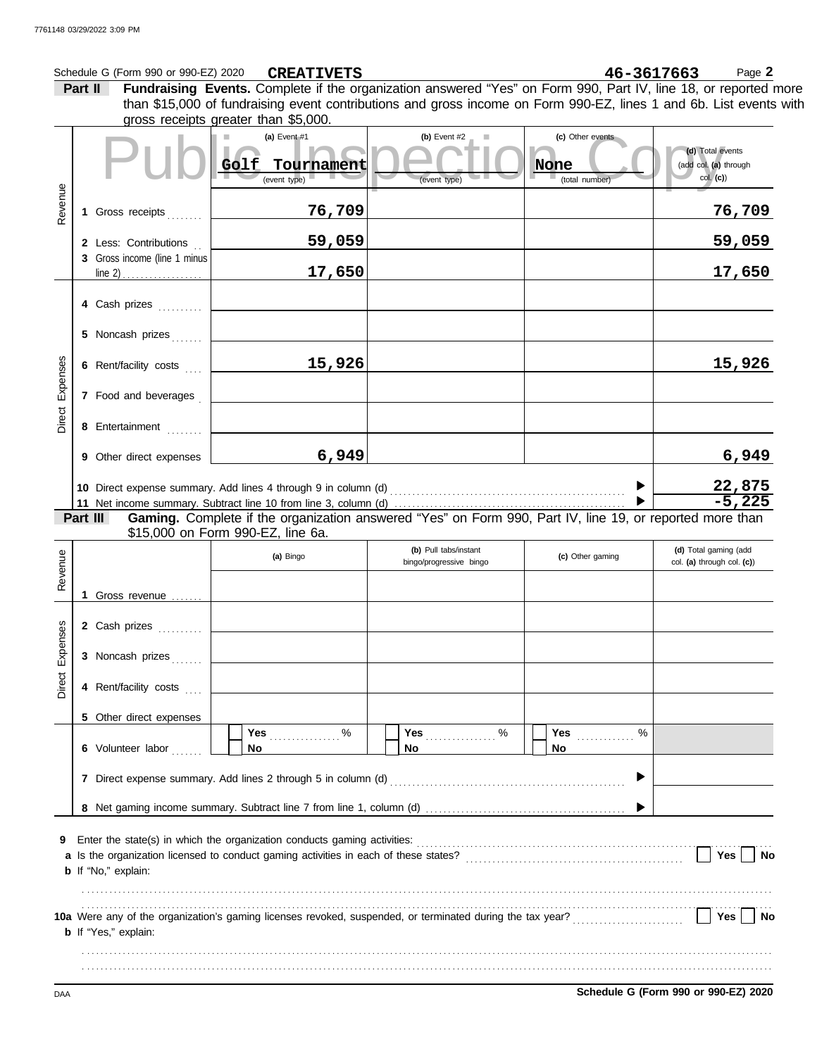|          |         | Schedule G (Form 990 or 990-EZ) 2020                  |           | <b>CREATIVETS</b>          |  |                                                                                                                    |                  |                                 |   | 46-3617663                                | Page 2                                              |
|----------|---------|-------------------------------------------------------|-----------|----------------------------|--|--------------------------------------------------------------------------------------------------------------------|------------------|---------------------------------|---|-------------------------------------------|-----------------------------------------------------|
|          | Part II |                                                       |           |                            |  | Fundraising Events. Complete if the organization answered "Yes" on Form 990, Part IV, line 18, or reported more    |                  |                                 |   |                                           |                                                     |
|          |         | gross receipts greater than \$5,000.                  |           |                            |  | than \$15,000 of fundraising event contributions and gross income on Form 990-EZ, lines 1 and 6b. List events with |                  |                                 |   |                                           |                                                     |
|          |         |                                                       | Golf      | (a) Event #1<br>Tournament |  | (b) Event #2                                                                                                       |                  | (c) Other events<br><b>None</b> |   | (d) Total events<br>(add col. (a) through |                                                     |
|          |         |                                                       |           | (event type)               |  | (event type)                                                                                                       |                  | (total number)                  |   | col. (c)                                  |                                                     |
| Revenue  |         | 1 Gross receipts                                      |           | 76,709                     |  |                                                                                                                    |                  |                                 |   |                                           | <u>76,709</u>                                       |
|          |         | 2 Less: Contributions<br>3 Gross income (line 1 minus |           | 59,059                     |  |                                                                                                                    |                  |                                 |   |                                           | 59,059                                              |
|          |         |                                                       |           | 17,650                     |  |                                                                                                                    |                  |                                 |   |                                           | 17,650                                              |
|          |         | 4 Cash prizes                                         |           |                            |  |                                                                                                                    |                  |                                 |   |                                           |                                                     |
|          |         | 5 Noncash prizes                                      |           |                            |  |                                                                                                                    |                  |                                 |   |                                           |                                                     |
| Expenses |         | 6 Rent/facility costs                                 |           | 15,926                     |  |                                                                                                                    |                  |                                 |   |                                           | 15,926                                              |
|          |         | 7 Food and beverages                                  |           |                            |  |                                                                                                                    |                  |                                 |   |                                           |                                                     |
| Direct   |         | 8 Entertainment                                       |           |                            |  |                                                                                                                    |                  |                                 |   |                                           |                                                     |
|          |         | 9 Other direct expenses                               |           | 6,949                      |  |                                                                                                                    |                  |                                 |   |                                           | 6,949                                               |
|          |         |                                                       |           |                            |  |                                                                                                                    |                  |                                 |   |                                           | $\frac{22,875}{-5,225}$                             |
|          |         |                                                       |           |                            |  |                                                                                                                    |                  |                                 |   |                                           |                                                     |
|          |         | Part III<br>\$15,000 on Form 990-EZ, line 6a.         |           |                            |  | Gaming. Complete if the organization answered "Yes" on Form 990, Part IV, line 19, or reported more than           |                  |                                 |   |                                           |                                                     |
|          |         |                                                       | (a) Bingo |                            |  | (b) Pull tabs/instant<br>bingo/progressive bingo                                                                   | (c) Other gaming |                                 |   |                                           | (d) Total gaming (add<br>col. (a) through col. (c)) |
| Revenue  |         |                                                       |           |                            |  |                                                                                                                    |                  |                                 |   |                                           |                                                     |
|          |         | 1 Gross revenue                                       |           |                            |  |                                                                                                                    |                  |                                 |   |                                           |                                                     |
| ises     |         | 2 Cash prizes                                         |           |                            |  |                                                                                                                    |                  |                                 |   |                                           |                                                     |
| Exper    |         | 3 Noncash prizes                                      |           |                            |  |                                                                                                                    |                  |                                 |   |                                           |                                                     |
| Direct   |         | 4 Rent/facility costs                                 |           |                            |  |                                                                                                                    |                  |                                 |   |                                           |                                                     |
|          |         | 5 Other direct expenses                               |           |                            |  |                                                                                                                    |                  |                                 |   |                                           |                                                     |
|          |         | 6 Volunteer labor                                     |           | <b>Yes</b><br>%<br>No      |  | %<br>No                                                                                                            |                  | Yes<br>No                       | % |                                           |                                                     |
|          |         |                                                       |           |                            |  |                                                                                                                    |                  |                                 |   |                                           |                                                     |
|          |         |                                                       |           |                            |  |                                                                                                                    |                  |                                 |   |                                           |                                                     |
| 9        |         |                                                       |           |                            |  |                                                                                                                    |                  |                                 |   |                                           |                                                     |
|          |         | <b>b</b> If "No," explain:                            |           |                            |  |                                                                                                                    |                  |                                 |   | Yes $ $                                   | <b>No</b>                                           |
|          |         |                                                       |           |                            |  | 10a Were any of the organization's gaming licenses revoked, suspended, or terminated during the tax year?          |                  |                                 |   | $Yes \mid$                                | No                                                  |
|          |         | <b>b</b> If "Yes," explain:                           |           |                            |  |                                                                                                                    |                  |                                 |   |                                           |                                                     |
|          |         |                                                       |           |                            |  |                                                                                                                    |                  |                                 |   |                                           |                                                     |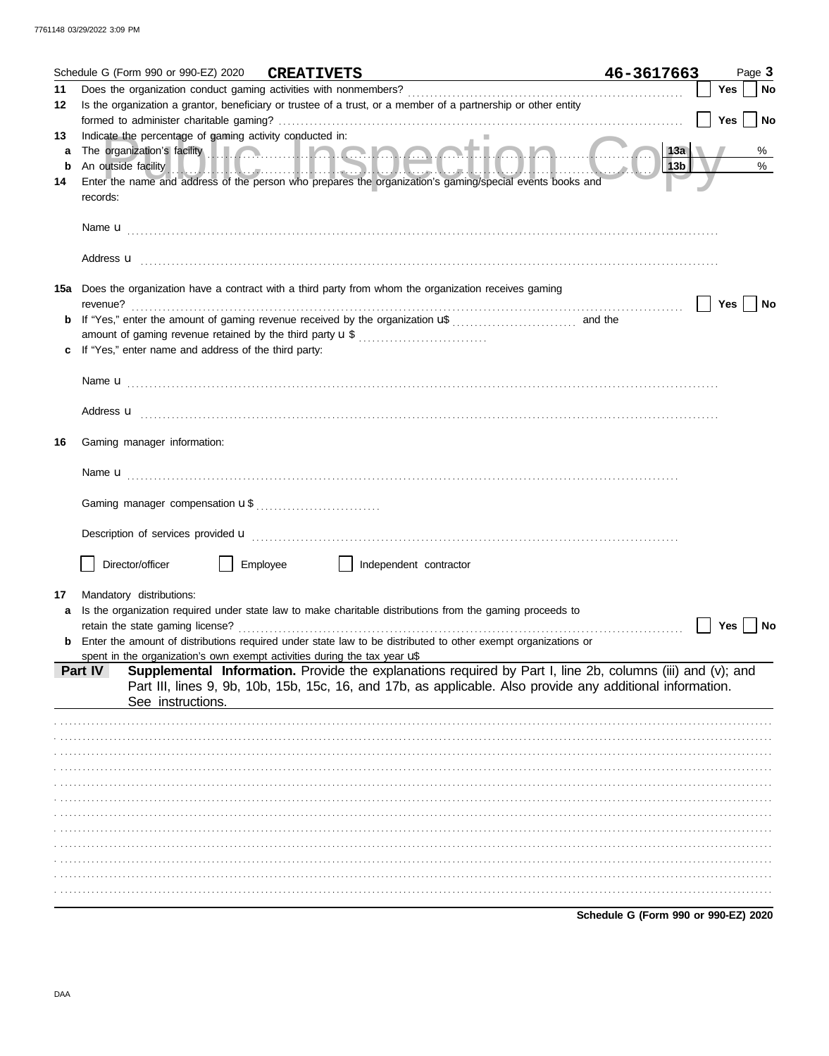|         | Schedule G (Form 990 or 990-EZ) 2020 CREATIVETS                                                 |          | <u> 1989 - Johann Harry Barn, mars a</u>                                                                                                                                                                                       | 46-3617663                           |     | Page 3 |
|---------|-------------------------------------------------------------------------------------------------|----------|--------------------------------------------------------------------------------------------------------------------------------------------------------------------------------------------------------------------------------|--------------------------------------|-----|--------|
| 11      |                                                                                                 |          |                                                                                                                                                                                                                                |                                      | Yes | No     |
| 12      |                                                                                                 |          | Is the organization a grantor, beneficiary or trustee of a trust, or a member of a partnership or other entity                                                                                                                 |                                      |     |        |
|         |                                                                                                 |          |                                                                                                                                                                                                                                |                                      | Yes | No     |
| 13<br>a | Indicate the percentage of gaming activity conducted in:                                        |          | The organization's facility <b>with the contract of the organization's facility</b>                                                                                                                                            | 13a                                  |     | %      |
| b       |                                                                                                 |          | An outside facility and the contract of the contract of the contract of the contract of the contract of the contract of the contract of the contract of the contract of the contract of the contract of the contract of the co | 13 <sub>b</sub>                      |     | %      |
| 14      |                                                                                                 |          | Enter the name and address of the person who prepares the organization's gaming/special events books and                                                                                                                       |                                      |     |        |
|         | records:                                                                                        |          |                                                                                                                                                                                                                                |                                      |     |        |
|         |                                                                                                 |          |                                                                                                                                                                                                                                |                                      |     |        |
|         |                                                                                                 |          |                                                                                                                                                                                                                                |                                      |     |        |
|         |                                                                                                 |          |                                                                                                                                                                                                                                |                                      |     |        |
|         |                                                                                                 |          | 15a Does the organization have a contract with a third party from whom the organization receives gaming                                                                                                                        |                                      |     |        |
|         | revenue?                                                                                        |          |                                                                                                                                                                                                                                |                                      | Yes | No     |
| b       |                                                                                                 |          |                                                                                                                                                                                                                                |                                      |     |        |
|         |                                                                                                 |          |                                                                                                                                                                                                                                |                                      |     |        |
|         | If "Yes," enter name and address of the third party:                                            |          |                                                                                                                                                                                                                                |                                      |     |        |
|         |                                                                                                 |          |                                                                                                                                                                                                                                |                                      |     |        |
|         |                                                                                                 |          |                                                                                                                                                                                                                                |                                      |     |        |
|         |                                                                                                 |          | Address <b>u</b>                                                                                                                                                                                                               |                                      |     |        |
|         |                                                                                                 |          |                                                                                                                                                                                                                                |                                      |     |        |
| 16      | Gaming manager information:                                                                     |          |                                                                                                                                                                                                                                |                                      |     |        |
|         |                                                                                                 |          |                                                                                                                                                                                                                                |                                      |     |        |
|         |                                                                                                 |          |                                                                                                                                                                                                                                |                                      |     |        |
|         |                                                                                                 |          |                                                                                                                                                                                                                                |                                      |     |        |
|         |                                                                                                 |          |                                                                                                                                                                                                                                |                                      |     |        |
|         |                                                                                                 |          |                                                                                                                                                                                                                                |                                      |     |        |
|         | Director/officer                                                                                | Employee | Independent contractor                                                                                                                                                                                                         |                                      |     |        |
|         |                                                                                                 |          |                                                                                                                                                                                                                                |                                      |     |        |
| 17      | Mandatory distributions:                                                                        |          |                                                                                                                                                                                                                                |                                      |     |        |
|         |                                                                                                 |          | Is the organization required under state law to make charitable distributions from the gaming proceeds to                                                                                                                      |                                      |     |        |
|         | retain the state gaming license?                                                                |          |                                                                                                                                                                                                                                |                                      | Yes | No     |
|         |                                                                                                 |          | Enter the amount of distributions required under state law to be distributed to other exempt organizations or                                                                                                                  |                                      |     |        |
|         | spent in the organization's own exempt activities during the tax year $\mathbf{u}^*$<br>Part IV |          | Supplemental Information. Provide the explanations required by Part I, line 2b, columns (iii) and (v); and                                                                                                                     |                                      |     |        |
|         |                                                                                                 |          | Part III, lines 9, 9b, 10b, 15b, 15c, 16, and 17b, as applicable. Also provide any additional information.                                                                                                                     |                                      |     |        |
|         | See instructions.                                                                               |          |                                                                                                                                                                                                                                |                                      |     |        |
|         |                                                                                                 |          |                                                                                                                                                                                                                                |                                      |     |        |
|         |                                                                                                 |          |                                                                                                                                                                                                                                |                                      |     |        |
|         |                                                                                                 |          |                                                                                                                                                                                                                                |                                      |     |        |
|         |                                                                                                 |          |                                                                                                                                                                                                                                |                                      |     |        |
|         |                                                                                                 |          |                                                                                                                                                                                                                                |                                      |     |        |
|         |                                                                                                 |          |                                                                                                                                                                                                                                |                                      |     |        |
|         |                                                                                                 |          |                                                                                                                                                                                                                                |                                      |     |        |
|         |                                                                                                 |          |                                                                                                                                                                                                                                |                                      |     |        |
|         |                                                                                                 |          |                                                                                                                                                                                                                                |                                      |     |        |
|         |                                                                                                 |          |                                                                                                                                                                                                                                |                                      |     |        |
|         |                                                                                                 |          |                                                                                                                                                                                                                                |                                      |     |        |
|         |                                                                                                 |          |                                                                                                                                                                                                                                | Schedule G (Form 990 or 990-EZ) 2020 |     |        |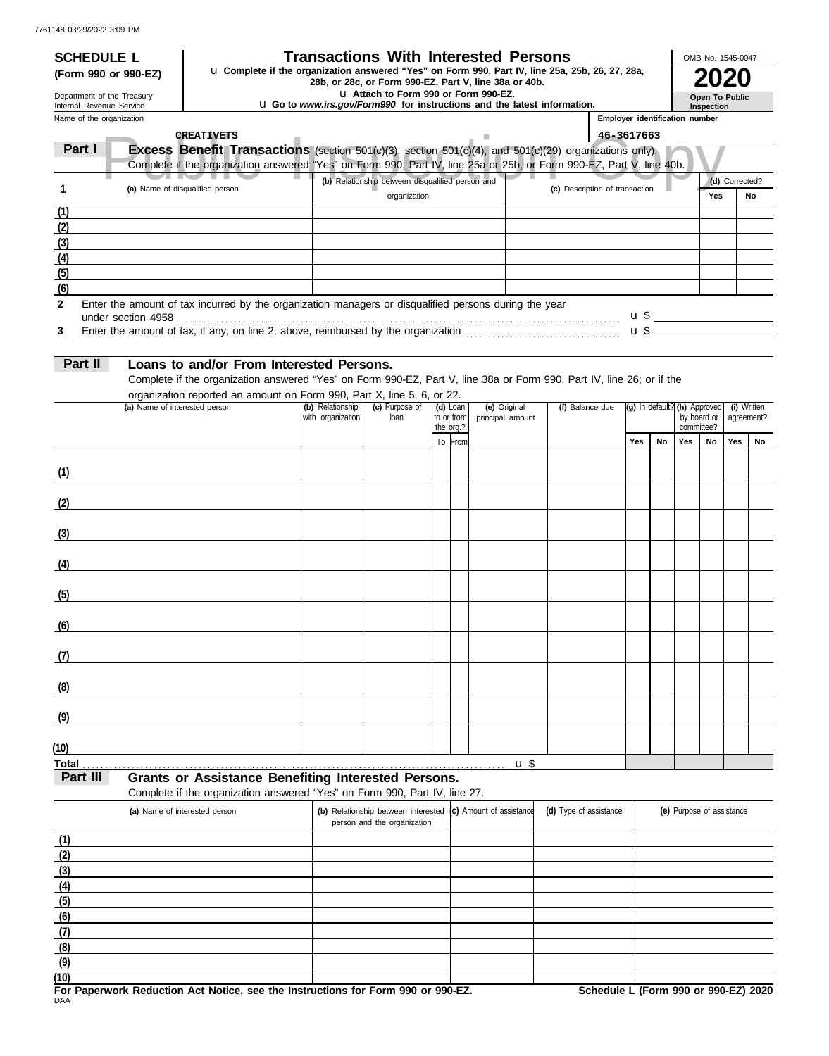## **SCHEDULE L Transactions With Interested Persons**

**28b, or 28c, or Form 990-EZ, Part V, line 38a or 40b. 2020 (Form 990 or 990-EZ)** u **Complete if the organization answered "Yes" on Form 990, Part IV, line 25a, 25b, 26, 27, 28a,**

u **Attach to Form 990 or Form 990-EZ.**

u **Go to** *www.irs.gov/Form990* **for instructions and the latest information.**

| OMB No. 1545-0047 |
|-------------------|
|                   |
| Open To Public    |
| Inspection        |

Name of the organization Department of the Treasury Internal Revenue Service

| Name of the organization |                                 |                                                                                                                       | Employer identification number |     |
|--------------------------|---------------------------------|-----------------------------------------------------------------------------------------------------------------------|--------------------------------|-----|
|                          | <b>CREATIVETS</b>               |                                                                                                                       | 46-3617663                     |     |
| Part I                   |                                 | <b>Excess Benefit Transactions</b> (section $501(c)(3)$ , section $501(c)(4)$ , and $501(c)(29)$ organizations only). |                                |     |
|                          |                                 | Complete if the organization answered "Yes" on Form 990, Part IV, line 25a or 25b, or Form 990-EZ, Part V, line 40b.  |                                |     |
|                          |                                 | (b) Relationship between disqualified person and                                                                      | (c) Description of transaction | (d) |
|                          | (a) Name of disqualified person | organization                                                                                                          |                                | Yes |
| (1)                      |                                 |                                                                                                                       |                                |     |

|     | (a) Name of disqualified person                                                                       | (b) Relationship between disqualified person and |                                | (d) Corrected? |    |  |  |
|-----|-------------------------------------------------------------------------------------------------------|--------------------------------------------------|--------------------------------|----------------|----|--|--|
|     |                                                                                                       | organization                                     | (c) Description of transaction | Yes            | No |  |  |
| (1) |                                                                                                       |                                                  |                                |                |    |  |  |
| (2) |                                                                                                       |                                                  |                                |                |    |  |  |
| (3) |                                                                                                       |                                                  |                                |                |    |  |  |
| (4) |                                                                                                       |                                                  |                                |                |    |  |  |
| (5) |                                                                                                       |                                                  |                                |                |    |  |  |
| (6) |                                                                                                       |                                                  |                                |                |    |  |  |
|     | Enter the amount of tax incurred by the organization managers or disqualified persons during the year |                                                  | u \$                           |                |    |  |  |
|     | Enter the amount of tax, if any, on line 2, above, reimbursed by the organization                     |                                                  | u \$                           |                |    |  |  |

**3** Enter the amount of tax, if any, on line 2, above, reimbursed by the organization . . . . . . . . . . . . . . . . . . . . . . . . . . . . . . . . . . .

| . . |
|-----|
|     |

**2**

# **Part II Loans to and/or From Interested Persons.**

Complete if the organization answered "Yes" on Form 990-EZ, Part V, line 38a or Form 990, Part IV, line 26; or if the organization reported an amount on Form 990, Part X, line 5, 6, or 22.

| (a) Name of interested person | (b) Relationship  | (c) Purpose of | (d) Loan |                                 | (e) Original     | (f) Balance due | (g) In default? (h) Approved (i) Written<br>by board or agreement?<br>committee? |    |     |    |            |    |
|-------------------------------|-------------------|----------------|----------|---------------------------------|------------------|-----------------|----------------------------------------------------------------------------------|----|-----|----|------------|----|
|                               | with organization | loan           |          | to or from<br>the $\frac{1}{2}$ | principal amount |                 |                                                                                  |    |     |    | agreement? |    |
|                               |                   |                |          |                                 |                  |                 | Yes                                                                              | No | Yes | No | Yes        | No |
|                               |                   |                |          | To From                         |                  |                 |                                                                                  |    |     |    |            |    |
|                               |                   |                |          |                                 |                  |                 |                                                                                  |    |     |    |            |    |
| (1)                           |                   |                |          |                                 |                  |                 |                                                                                  |    |     |    |            |    |
| (2)                           |                   |                |          |                                 |                  |                 |                                                                                  |    |     |    |            |    |
|                               |                   |                |          |                                 |                  |                 |                                                                                  |    |     |    |            |    |
| (3)                           |                   |                |          |                                 |                  |                 |                                                                                  |    |     |    |            |    |
|                               |                   |                |          |                                 |                  |                 |                                                                                  |    |     |    |            |    |
| (4)                           |                   |                |          |                                 |                  |                 |                                                                                  |    |     |    |            |    |
|                               |                   |                |          |                                 |                  |                 |                                                                                  |    |     |    |            |    |
| (5)                           |                   |                |          |                                 |                  |                 |                                                                                  |    |     |    |            |    |
| (6)                           |                   |                |          |                                 |                  |                 |                                                                                  |    |     |    |            |    |
|                               |                   |                |          |                                 |                  |                 |                                                                                  |    |     |    |            |    |
| (7)                           |                   |                |          |                                 |                  |                 |                                                                                  |    |     |    |            |    |
|                               |                   |                |          |                                 |                  |                 |                                                                                  |    |     |    |            |    |
| (8)                           |                   |                |          |                                 |                  |                 |                                                                                  |    |     |    |            |    |
|                               |                   |                |          |                                 |                  |                 |                                                                                  |    |     |    |            |    |
| (9)                           |                   |                |          |                                 |                  |                 |                                                                                  |    |     |    |            |    |
|                               |                   |                |          |                                 |                  |                 |                                                                                  |    |     |    |            |    |
| (10)                          |                   |                |          |                                 |                  |                 |                                                                                  |    |     |    |            |    |
| <b>Total</b><br>$\mathbf{u}$  |                   |                |          |                                 |                  |                 |                                                                                  |    |     |    |            |    |

**Part III Grants or Assistance Benefiting Interested Persons.**

| Complete if the organization answered "Yes" on Form 990, Part IV, line 27. |  |  |  |  |
|----------------------------------------------------------------------------|--|--|--|--|
|                                                                            |  |  |  |  |

| (a) Name of interested person | (b) Relationship between interested $(c)$ Amount of assistance<br>person and the organization | (d) Type of assistance | (e) Purpose of assistance |
|-------------------------------|-----------------------------------------------------------------------------------------------|------------------------|---------------------------|
| (1)                           |                                                                                               |                        |                           |
| (2)                           |                                                                                               |                        |                           |
| (3)                           |                                                                                               |                        |                           |
| (4)                           |                                                                                               |                        |                           |
| (5)                           |                                                                                               |                        |                           |
| (6)                           |                                                                                               |                        |                           |
| (7)                           |                                                                                               |                        |                           |
| (8)                           |                                                                                               |                        |                           |
| (9)                           |                                                                                               |                        |                           |
| (10)                          |                                                                                               |                        |                           |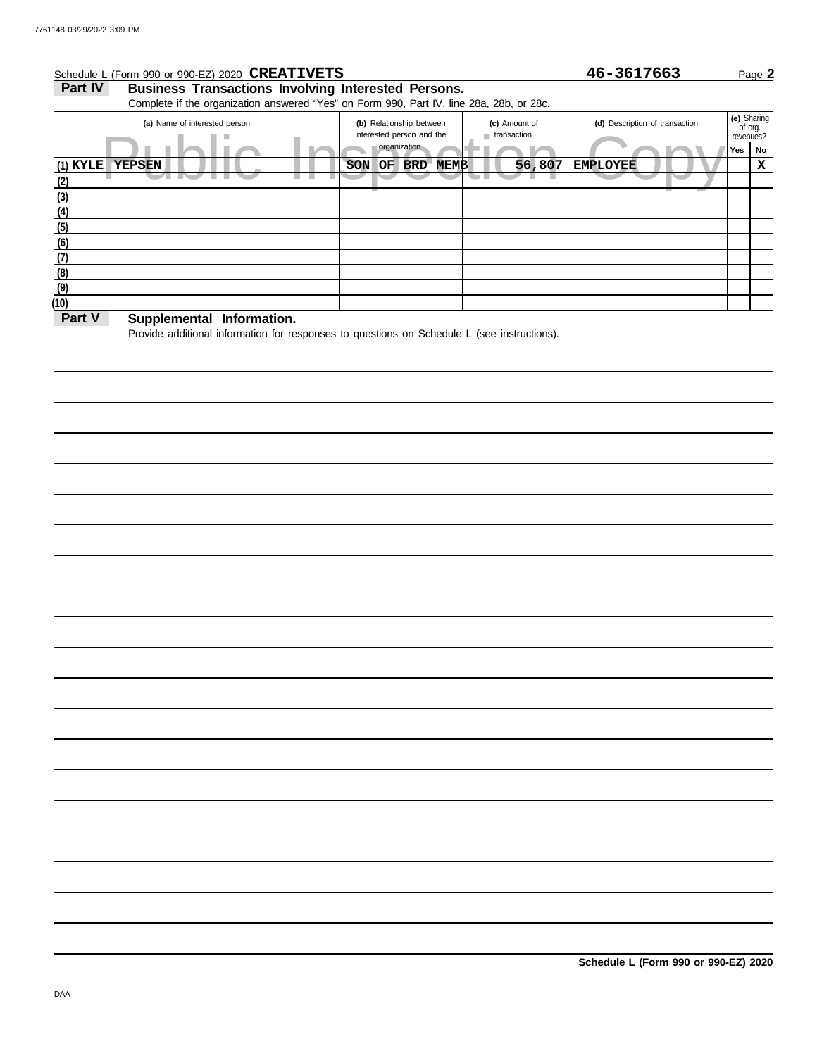# Schedule L (Form 990 or 990-EZ) 2020 Page **2 CREATIVETS 46-3617663**

Part IV Business Transactions Involving Interested Persons. Complete if the organization answered "Yes" on Form 990, Part IV, line 28a, 28b, or 28c.

| ັ                                     |                                                       |                              |                                |     |                                     |  |
|---------------------------------------|-------------------------------------------------------|------------------------------|--------------------------------|-----|-------------------------------------|--|
| (a) Name of interested person         | (b) Relationship between<br>interested person and the | (c) Amount of<br>transaction | (d) Description of transaction |     | (e) Sharing<br>of org.<br>revenues? |  |
|                                       | organization                                          |                              |                                | Yes | No                                  |  |
| $(1)$ KYLE YEPSEN                     | SON<br>OF<br>BRD MEMB                                 | 56,807                       | <b>EMPLOYEE</b>                |     | x                                   |  |
| (2)                                   |                                                       |                              |                                |     |                                     |  |
| (3)                                   |                                                       |                              |                                |     |                                     |  |
| (4)                                   |                                                       |                              |                                |     |                                     |  |
| (5)                                   |                                                       |                              |                                |     |                                     |  |
| (6)                                   |                                                       |                              |                                |     |                                     |  |
| (7)                                   |                                                       |                              |                                |     |                                     |  |
| (8)                                   |                                                       |                              |                                |     |                                     |  |
| (9)                                   |                                                       |                              |                                |     |                                     |  |
| (10)                                  |                                                       |                              |                                |     |                                     |  |
| Part V<br>Supplamental<br>Information |                                                       |                              |                                |     |                                     |  |

### **Part V Supplemental Information.**

Provide additional information for responses to questions on Schedule L (see instructions).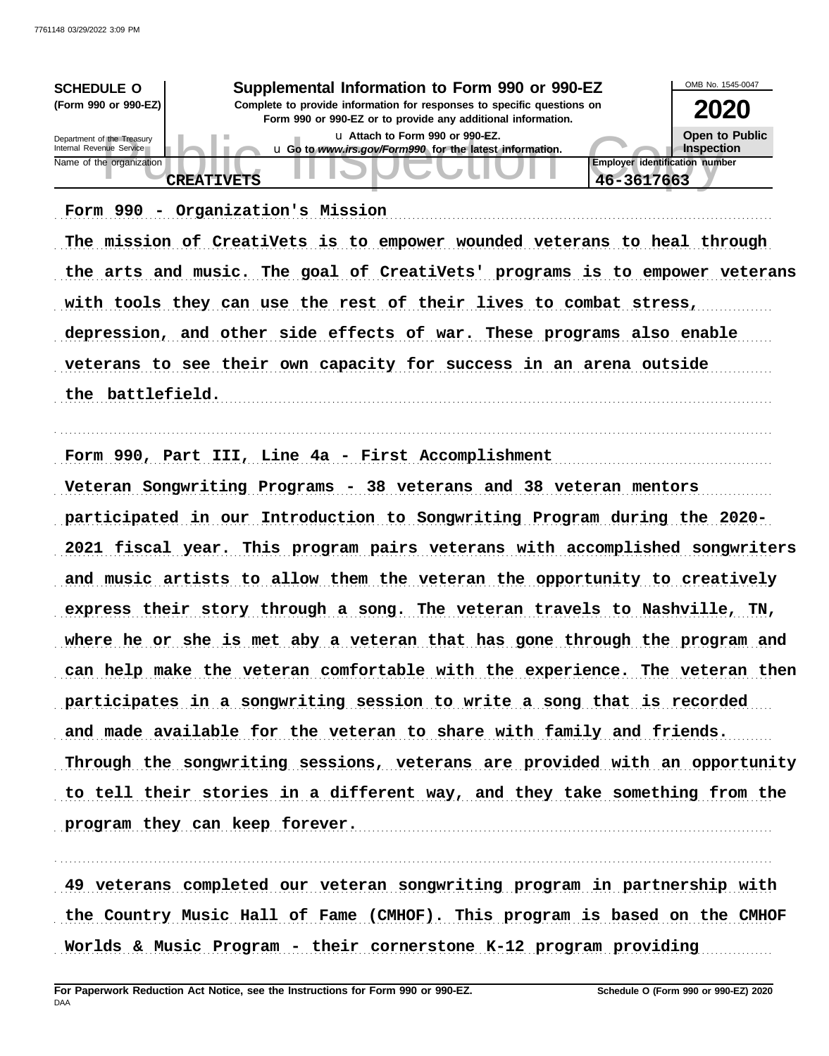| <b>SCHEDULE O</b><br>(Form 990 or 990-EZ)              | Supplemental Information to Form 990 or 990-EZ<br>Complete to provide information for responses to specific questions on<br>Form 990 or 990-EZ or to provide any additional information. | OMB No. 1545-0047<br>2020    |
|--------------------------------------------------------|------------------------------------------------------------------------------------------------------------------------------------------------------------------------------------------|------------------------------|
| Department of the Treasury<br>Internal Revenue Service | La Attach to Form 990 or 990-EZ.<br>u Go to www.irs.gov/Form990 for the latest information.                                                                                              | Open to Public<br>Inspection |
| Name of the organization                               | <b>Employer identification number</b><br>46-3617663<br><b>CREATIVETS</b>                                                                                                                 |                              |

Form 990 - Organization's Mission (1998) (1999) - Contractor State of Mission (1998) - Contractor State Organization (1998) - Contractor State Organization (1998) - Contractor State Organization (1999) - Contractor State O

The mission of CreatiVets is to empower wounded veterans to heal through the arts and music. The goal of CreatiVets' programs is to empower veterans with tools they can use the rest of their lives to combat stress, depression, and other side effects of war. These programs also enable veterans to see their own capacity for success in an arena outside the battlefield.

. . . . . . . . . . . . . . . . . . . . . . . . . . . . . . . . . . . . . . . . . . . . . . . . . . . . . . . . . . . . . . . . . . . . . . . . . . . . . . . . . . . . . . . . . . . . . . . . . . . . . . . . . . . . . . . . . . . . . . . . . . . . . . . . . . . . . . . . . . . . . . . . . . . . . . . . . . . . . . . . .

Form 990, Part III, Line 4a - First Accomplishment

Veteran Songwriting Programs - 38 veterans and 38 veteran mentors participated in our Introduction to Songwriting Program during the 2020-2021 fiscal year. This program pairs veterans with accomplished songwriters and music artists to allow them the veteran the opportunity to creatively express their story through a song. The veteran travels to Nashville, TN, where he or she is met aby a veteran that has gone through the program and can help make the veteran comfortable with the experience. The veteran then participates in a songwriting session to write a song that is recorded and made available for the veteran to share with family and friends. Through the songwriting sessions, veterans are provided with an opportunity to tell their stories in a different way, and they take something from the program they can keep forever.

49 veterans completed our veteran songwriting program in partnership with the Country Music Hall of Fame (CMHOF). This program is based on the CMHOF Worlds & Music Program - their cornerstone K-12 program providing

. . . . . . . . . . . . . . . . . . . . . . . . . . . . . . . . . . . . . . . . . . . . . . . . . . . . . . . . . . . . . . . . . . . . . . . . . . . . . . . . . . . . . . . . . . . . . . . . . . . . . . . . . . . . . . . . . . . . . . . . . . . . . . . . . . . . . . . . . . . . . . . . . . . . . . . . . . . . . . . . .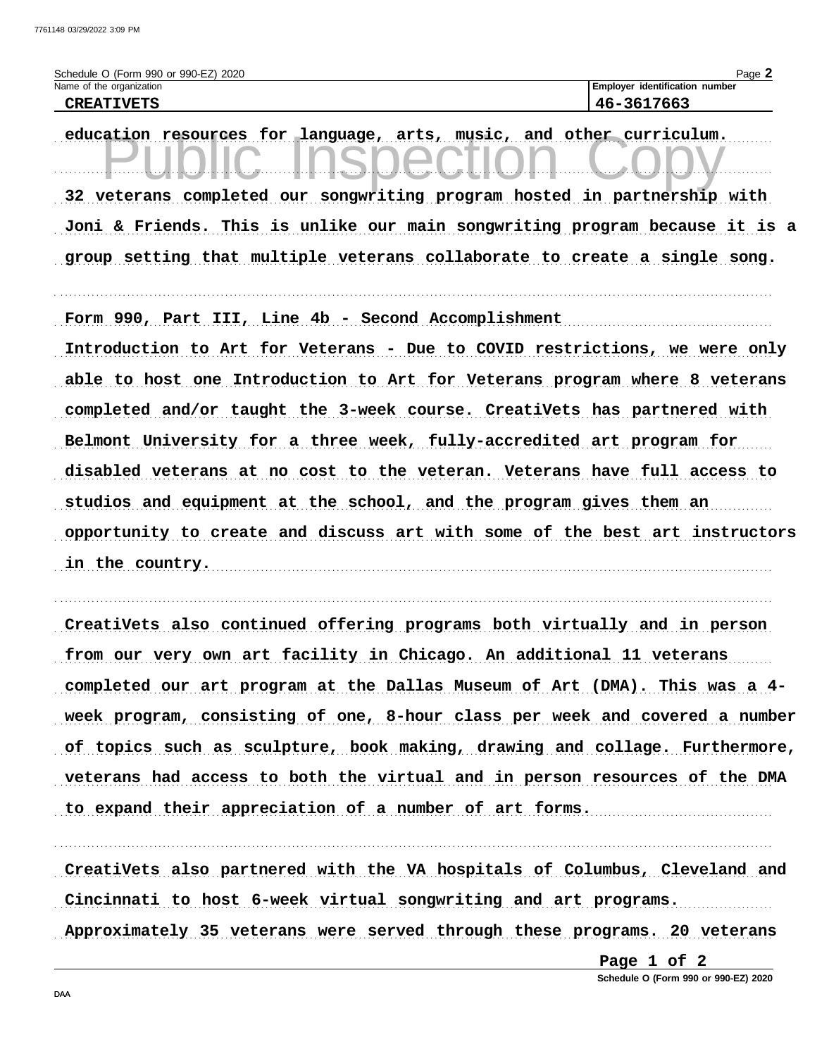| Schedule O (Form 990 or 990-EZ) 2020 | $P$ aqe $\overline{a}$                |
|--------------------------------------|---------------------------------------|
| Name of the organization             | <b>Employer identification number</b> |
| <b>CREATIVETS</b>                    | 3617663<br>$46 -$                     |

education resources for language, arts, music, and other curriculum. 32 veterans completed our songwriting program hosted in partnership with Joni & Friends. This is unlike our main songwriting program because it is a group setting that multiple veterans collaborate to create a single song.

Form 990, Part III, Line 4b - Second Accomplishment

Introduction to Art for Veterans - Due to COVID restrictions, we were only able to host one Introduction to Art for Veterans program where 8 veterans completed and/or taught the 3-week course. CreatiVets has partnered with Belmont University for a three week, fully-accredited art program for disabled veterans at no cost to the veteran. Veterans have full access to studios and equipment at the school, and the program gives them an opportunity to create and discuss art with some of the best art instructors in the country.

CreatiVets also continued offering programs both virtually and in person from our very own art facility in Chicago. An additional 11 veterans completed our art program at the Dallas Museum of Art (DMA). This was a 4week program, consisting of one, 8-hour class per week and covered a number of topics such as sculpture, book making, drawing and collage. Furthermore, veterans had access to both the virtual and in person resources of the DMA to expand their appreciation of a number of art forms.

CreatiVets also partnered with the VA hospitals of Columbus, Cleveland and Cincinnati to host 6-week virtual songwriting and art programs. Approximately 35 veterans were served through these programs. 20 veterans

> Page 1 of 2 Schedule O (Form 990 or 990-EZ) 2020